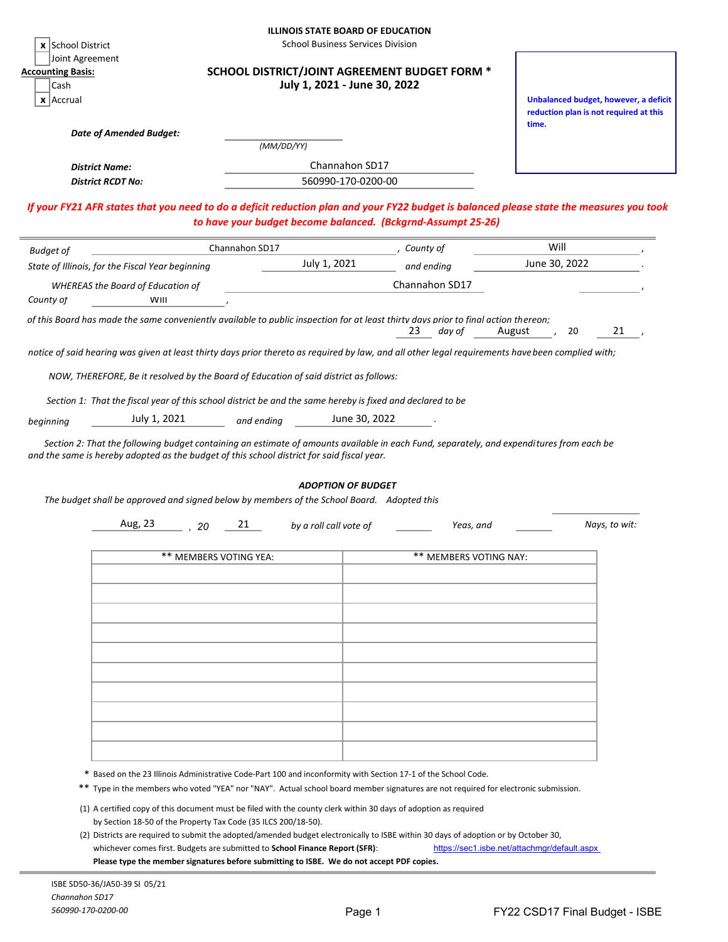|                                                                                                                                                                                                                                                       |                              | <b>ILLINOIS STATE BOARD OF EDUCATION</b>                                      |                                                                                 |
|-------------------------------------------------------------------------------------------------------------------------------------------------------------------------------------------------------------------------------------------------------|------------------------------|-------------------------------------------------------------------------------|---------------------------------------------------------------------------------|
| x School District                                                                                                                                                                                                                                     |                              | <b>School Business Services Division</b>                                      |                                                                                 |
| Joint Agreement<br><b>Accounting Basis:</b><br>Cash<br>$x$   Accrual                                                                                                                                                                                  |                              | SCHOOL DISTRICT/JOINT AGREEMENT BUDGET FORM *<br>July 1, 2021 - June 30, 2022 | Unbalanced budget, however, a deficit<br>reduction plan is not required at this |
| <b>Date of Amended Budget:</b>                                                                                                                                                                                                                        |                              |                                                                               | time.                                                                           |
|                                                                                                                                                                                                                                                       | (MM/DD/YY)                   |                                                                               |                                                                                 |
| <b>District Name:</b>                                                                                                                                                                                                                                 |                              | Channahon SD17                                                                |                                                                                 |
| <b>District RCDT No:</b>                                                                                                                                                                                                                              |                              | 560990-170-0200-00                                                            |                                                                                 |
| If your FY21 AFR states that you need to do a deficit reduction plan and your FY22 budget is balanced please state the measures you took                                                                                                              |                              | to have your budget become balanced. (Bckgrnd-Assumpt 25-26)                  |                                                                                 |
| <b>Budget of</b>                                                                                                                                                                                                                                      | Channahon SD17               | County of                                                                     | Will                                                                            |
| State of Illinois, for the Fiscal Year beginning                                                                                                                                                                                                      | July 1, 2021                 | and ending                                                                    | June 30, 2022                                                                   |
| <b>WHEREAS the Board of Education of</b><br>County of<br><b>VVIII</b>                                                                                                                                                                                 |                              | Channahon SD17                                                                |                                                                                 |
| of this Board has made the same conveniently available to public inspection for at least thirty days prior to final action thereon;                                                                                                                   |                              | 23<br>day of                                                                  | August<br>20<br>21                                                              |
| notice of said hearing was given at least thirty days prior thereto as required by law, and all other legal requirements have been complied with;                                                                                                     |                              |                                                                               |                                                                                 |
| NOW, THEREFORE, Be it resolved by the Board of Education of said district as follows:                                                                                                                                                                 |                              |                                                                               |                                                                                 |
|                                                                                                                                                                                                                                                       |                              |                                                                               |                                                                                 |
| Section 1: That the fiscal year of this school district be and the same hereby is fixed and declared to be                                                                                                                                            |                              |                                                                               |                                                                                 |
| July 1, 2021<br>beginning                                                                                                                                                                                                                             | and ending                   | June 30, 2022                                                                 |                                                                                 |
| Section 2: That the following budget containing an estimate of amounts available in each Fund, separately, and expenditures from each be<br>and the same is hereby adopted as the budget of this school district for said fiscal year.                |                              |                                                                               |                                                                                 |
|                                                                                                                                                                                                                                                       |                              | <b>ADOPTION OF BUDGET</b>                                                     |                                                                                 |
| The budget shall be approved and signed below by members of the School Board. Adopted this                                                                                                                                                            |                              |                                                                               |                                                                                 |
| Aug, 23<br>.20                                                                                                                                                                                                                                        | 21<br>by a roll call vote of | Yeas, and                                                                     | Nays, to wit:                                                                   |
| ** MEMBERS VOTING YEA:                                                                                                                                                                                                                                |                              | ** MEMBERS VOTING NAY:                                                        |                                                                                 |
|                                                                                                                                                                                                                                                       |                              |                                                                               |                                                                                 |
|                                                                                                                                                                                                                                                       |                              |                                                                               |                                                                                 |
|                                                                                                                                                                                                                                                       |                              |                                                                               |                                                                                 |
|                                                                                                                                                                                                                                                       |                              |                                                                               |                                                                                 |
|                                                                                                                                                                                                                                                       |                              |                                                                               |                                                                                 |
|                                                                                                                                                                                                                                                       |                              |                                                                               |                                                                                 |
|                                                                                                                                                                                                                                                       |                              |                                                                               |                                                                                 |
|                                                                                                                                                                                                                                                       |                              |                                                                               |                                                                                 |
|                                                                                                                                                                                                                                                       |                              |                                                                               |                                                                                 |
|                                                                                                                                                                                                                                                       |                              |                                                                               |                                                                                 |
|                                                                                                                                                                                                                                                       |                              |                                                                               |                                                                                 |
| * Based on the 23 Illinois Administrative Code-Part 100 and inconformity with Section 17-1 of the School Code.<br>** Type in the members who voted "YEA" nor "NAY". Actual school board member signatures are not required for electronic submission. |                              |                                                                               |                                                                                 |
|                                                                                                                                                                                                                                                       |                              |                                                                               |                                                                                 |
| (1) A certified copy of this document must be filed with the county clerk within 30 days of adoption as required<br>by Section 18-50 of the Property Tax Code (35 ILCS 200/18-50).                                                                    |                              |                                                                               |                                                                                 |

(2) Districts are required to submit the adopted/amended budget electronically to ISBE within 30 days of adoption or by October 30, whichever comes first. Budgets are submitted to **School Finance Report (SFR)**: https://sec1.isbe.net/attachmgr/default.aspx **Please type the member signatures before submitting to ISBE. We do not accept PDF copies.**

 $=$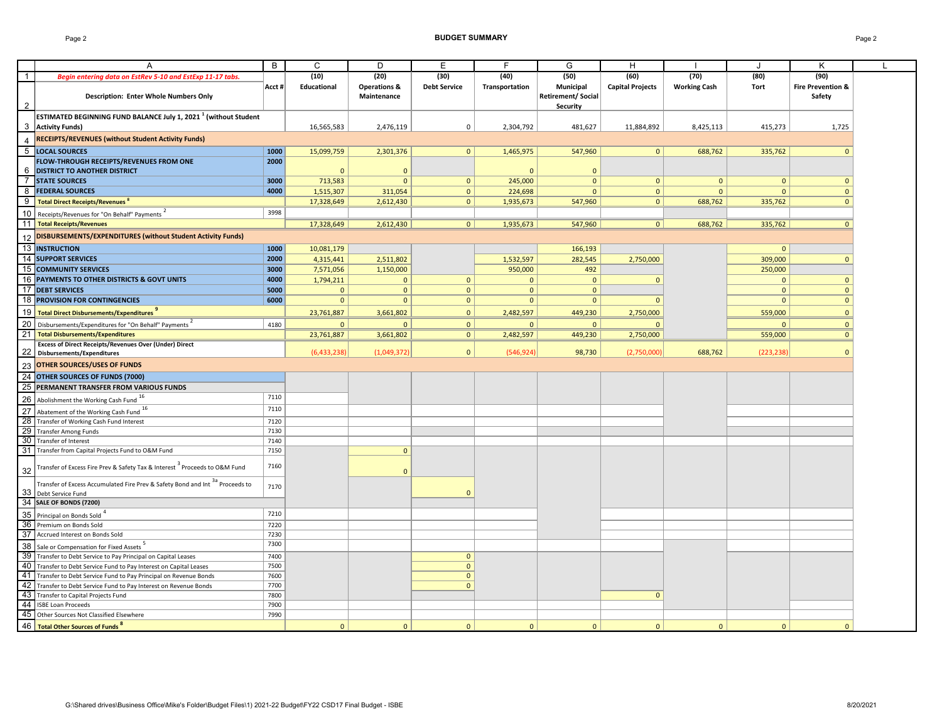Page 2 **BUDGET SUMMARY** Page 2

|                |                                                                                          | B      | C            | D                       | E                   | F              | G                        | H                       |                     |              | K                            |  |
|----------------|------------------------------------------------------------------------------------------|--------|--------------|-------------------------|---------------------|----------------|--------------------------|-------------------------|---------------------|--------------|------------------------------|--|
|                | Α                                                                                        |        |              |                         |                     |                |                          |                         |                     |              |                              |  |
| $\overline{1}$ | Begin entering data on EstRev 5-10 and EstExp 11-17 tabs.                                |        | (10)         | (20)                    | (30)                | (40)           | (50)                     | (60)                    | (70)                | (80)         | (90)                         |  |
|                |                                                                                          | Acct # | Educational  | <b>Operations &amp;</b> | <b>Debt Service</b> | Transportation | Municipal                | <b>Capital Projects</b> | <b>Working Cash</b> | <b>Tort</b>  | <b>Fire Prevention &amp;</b> |  |
|                | Description: Enter Whole Numbers Only                                                    |        |              | Maintenance             |                     |                | <b>Retirement/Social</b> |                         |                     |              | Safety                       |  |
| 2              |                                                                                          |        |              |                         |                     |                | Security                 |                         |                     |              |                              |  |
|                | ESTIMATED BEGINNING FUND BALANCE July 1, 2021 <sup>1</sup> (without Student              |        |              |                         |                     |                |                          |                         |                     |              |                              |  |
|                | 3 Activity Funds)                                                                        |        | 16,565,583   | 2,476,119               | $\mathbf 0$         | 2,304,792      | 481,627                  | 11,884,892              | 8,425,113           | 415,273      | 1,725                        |  |
|                | <b>RECEIPTS/REVENUES (without Student Activity Funds)</b>                                |        |              |                         |                     |                |                          |                         |                     |              |                              |  |
| $\overline{4}$ |                                                                                          |        |              |                         |                     |                |                          |                         |                     |              |                              |  |
|                | 5  LOCAL SOURCES                                                                         | 1000   | 15,099,759   | 2,301,376               | $\mathbf{0}$        | 1,465,975      | 547,960                  | $\mathbf{0}$            | 688,762             | 335,762      | $\mathbf{0}$                 |  |
|                | FLOW-THROUGH RECEIPTS/REVENUES FROM ONE                                                  | 2000   |              |                         |                     |                |                          |                         |                     |              |                              |  |
|                | <b>6 DISTRICT TO ANOTHER DISTRICT</b>                                                    |        | $\mathbf{0}$ | $\Omega$                |                     | $\Omega$       | $\mathbf{0}$             |                         |                     |              |                              |  |
|                | <b>7 STATE SOURCES</b>                                                                   | 3000   | 713,583      | $\mathbf{0}$            | $\mathbf{0}$        | 245,000        | $\mathbf{0}$             | $\mathbf{0}$            | $\mathbf{0}$        | $\mathbf{0}$ | $\mathbf{0}$                 |  |
| 8              | <b>FEDERAL SOURCES</b>                                                                   | 4000   | 1,515,307    | 311,054                 | $\mathbf{0}$        | 224,698        | $\mathbf{0}$             | $\mathbf{0}$            | $\mathbf{0}$        | $\Omega$     | $\mathbf{0}$                 |  |
| -9             | <b>Total Direct Receipts/Revenues<sup>8</sup></b>                                        |        | 17,328,649   | 2,612,430               | $\mathbf{0}$        | 1,935,673      | 547,960                  | $\mathbf{0}$            | 688,762             | 335,762      | $\mathbf{0}$                 |  |
| 10 I           | Receipts/Revenues for "On Behalf" Payments                                               | 3998   |              |                         |                     |                |                          |                         |                     |              |                              |  |
|                | 11 Total Receipts/Revenues                                                               |        | 17,328,649   | 2,612,430               | 0                   | 1,935,673      | 547,960                  | 0                       | 688,762             | 335,762      | $\mathbf{0}$                 |  |
|                |                                                                                          |        |              |                         |                     |                |                          |                         |                     |              |                              |  |
|                | 12 DISBURSEMENTS/EXPENDITURES (without Student Activity Funds)                           |        |              |                         |                     |                |                          |                         |                     |              |                              |  |
|                | 13 INSTRUCTION                                                                           | 1000   | 10,081,179   |                         |                     |                | 166,193                  |                         |                     | $\Omega$     |                              |  |
|                | 14 SUPPORT SERVICES                                                                      | 2000   | 4,315,441    | 2,511,802               |                     | 1,532,597      | 282,545                  | 2,750,000               |                     | 309,000      | $\mathbf 0$                  |  |
|                | <b>15 COMMUNITY SERVICES</b>                                                             | 3000   | 7,571,056    | 1,150,000               |                     | 950,000        | 492                      |                         |                     | 250,000      |                              |  |
|                | 16 PAYMENTS TO OTHER DISTRICTS & GOVT UNITS                                              | 4000   | 1,794,211    | $\mathbf 0$             | $\mathbf{0}$        | $\mathbf{0}$   | $\mathbf{0}$             | $\mathbf{0}$            |                     | $\mathbf{0}$ | $\mathbf{0}$                 |  |
|                | 17 DEBT SERVICES                                                                         | 5000   | $\mathbf{0}$ | $\mathbf{0}$            | $\mathbf{0}$        | $\mathbf{0}$   | $\mathbf{0}$             |                         |                     | $\mathbf{0}$ | $\mathbf{0}$                 |  |
|                | 18 PROVISION FOR CONTINGENCIES                                                           | 6000   | $\mathbf{0}$ | $\Omega$                | $\mathbf{0}$        | $\Omega$       | $\mathbf{0}$             |                         |                     | $\Omega$     | $\mathbf 0$                  |  |
|                |                                                                                          |        |              |                         |                     |                |                          |                         |                     |              |                              |  |
| 19             | <b>Total Direct Disbursements/Expenditures</b>                                           |        | 23,761,887   | 3,661,802               | $\mathbf{0}$        | 2,482,597      | 449,230                  | 2,750,000               |                     | 559,000      | $\mathbf 0$                  |  |
| 20             | Disbursements/Expenditures for "On Behalf" Payments                                      | 4180   | $\mathbf{0}$ | $\mathbf{0}$            | $\mathbf{0}$        | $\mathbf{0}$   | $\mathbf{0}$             | $\Omega$                |                     | $\Omega$     | $\mathbf{0}$                 |  |
| 21             | <b>Total Disbursements/Expenditures</b>                                                  |        | 23,761,887   | 3,661,802               | 0                   | 2,482,597      | 449,230                  | 2,750,000               |                     | 559,000      | $\mathbf{0}$                 |  |
|                | <b>Excess of Direct Receipts/Revenues Over (Under) Direct</b>                            |        |              |                         |                     |                |                          |                         |                     |              |                              |  |
|                | 22 Disbursements/Expenditures                                                            |        | (6,433,238)  | (1,049,372)             | $\mathbf{0}$        | (546, 924)     | 98,730                   | (2,750,000)             | 688,762             | (223, 238)   | $\Omega$                     |  |
|                | 23 OTHER SOURCES/USES OF FUNDS                                                           |        |              |                         |                     |                |                          |                         |                     |              |                              |  |
|                | 24 OTHER SOURCES OF FUNDS (7000)                                                         |        |              |                         |                     |                |                          |                         |                     |              |                              |  |
|                | 25 PERMANENT TRANSFER FROM VARIOUS FUNDS                                                 |        |              |                         |                     |                |                          |                         |                     |              |                              |  |
| 26             | Abolishment the Working Cash Fund 16                                                     | 7110   |              |                         |                     |                |                          |                         |                     |              |                              |  |
|                |                                                                                          |        |              |                         |                     |                |                          |                         |                     |              |                              |  |
| 27             | Abatement of the Working Cash Fund 16                                                    | 7110   |              |                         |                     |                |                          |                         |                     |              |                              |  |
|                | 28 Transfer of Working Cash Fund Interest                                                | 7120   |              |                         |                     |                |                          |                         |                     |              |                              |  |
|                | 29 Transfer Among Funds                                                                  | 7130   |              |                         |                     |                |                          |                         |                     |              |                              |  |
|                | 30 Transfer of Interest                                                                  | 7140   |              |                         |                     |                |                          |                         |                     |              |                              |  |
|                | 31 Transfer from Capital Projects Fund to O&M Fund                                       | 7150   |              | $\overline{0}$          |                     |                |                          |                         |                     |              |                              |  |
|                | Transfer of Excess Fire Prev & Safety Tax & Interest <sup>3</sup> Proceeds to O&M Fund   | 7160   |              |                         |                     |                |                          |                         |                     |              |                              |  |
| 32             |                                                                                          |        |              | $\overline{0}$          |                     |                |                          |                         |                     |              |                              |  |
|                | Transfer of Excess Accumulated Fire Prev & Safety Bond and Int <sup>3a</sup> Proceeds to | 7170   |              |                         |                     |                |                          |                         |                     |              |                              |  |
|                | 33 Debt Service Fund                                                                     |        |              |                         | $\Omega$            |                |                          |                         |                     |              |                              |  |
|                | 34 SALE OF BONDS (7200)                                                                  |        |              |                         |                     |                |                          |                         |                     |              |                              |  |
|                | 35 Principal on Bonds Sold <sup>4</sup>                                                  | 7210   |              |                         |                     |                |                          |                         |                     |              |                              |  |
|                | 36 Premium on Bonds Sold                                                                 | 7220   |              |                         |                     |                |                          |                         |                     |              |                              |  |
|                | 37 Accrued Interest on Bonds Sold                                                        | 7230   |              |                         |                     |                |                          |                         |                     |              |                              |  |
|                |                                                                                          | 7300   |              |                         |                     |                |                          |                         |                     |              |                              |  |
|                | 38 Sale or Compensation for Fixed Assets <sup>5</sup>                                    |        |              |                         |                     |                |                          |                         |                     |              |                              |  |
|                | 39 Transfer to Debt Service to Pay Principal on Capital Leases                           | 7400   |              |                         | $\mathbf{0}$        |                |                          |                         |                     |              |                              |  |
|                | 40 Transfer to Debt Service Fund to Pay Interest on Capital Leases                       | 7500   |              |                         | $\mathbf{0}$        |                |                          |                         |                     |              |                              |  |
|                | 41 Transfer to Debt Service Fund to Pay Principal on Revenue Bonds                       | 7600   |              |                         | $\mathbf 0$         |                |                          |                         |                     |              |                              |  |
| 42             | Transfer to Debt Service Fund to Pay Interest on Revenue Bonds                           | 7700   |              |                         | $\mathbf{0}$        |                |                          |                         |                     |              |                              |  |
|                | 43 Transfer to Capital Projects Fund                                                     | 7800   |              |                         |                     |                |                          | $\mathbf{0}$            |                     |              |                              |  |
|                | 44 ISBE Loan Proceeds                                                                    | 7900   |              |                         |                     |                |                          |                         |                     |              |                              |  |
|                | 45 Other Sources Not Classified Elsewhere                                                | 7990   |              |                         |                     |                |                          |                         |                     |              |                              |  |
|                | 46 Total Other Sources of Funds <sup>8</sup>                                             |        | $\mathbf{0}$ | $\mathbf{0}$            | $\mathbf{0}$        | $\mathbf{0}$   | $\mathbf{0}$             | $\mathbf{0}$            | $\mathbf{0}$        | $\mathbf{0}$ | $\Omega$                     |  |
|                |                                                                                          |        |              |                         |                     |                |                          |                         |                     |              |                              |  |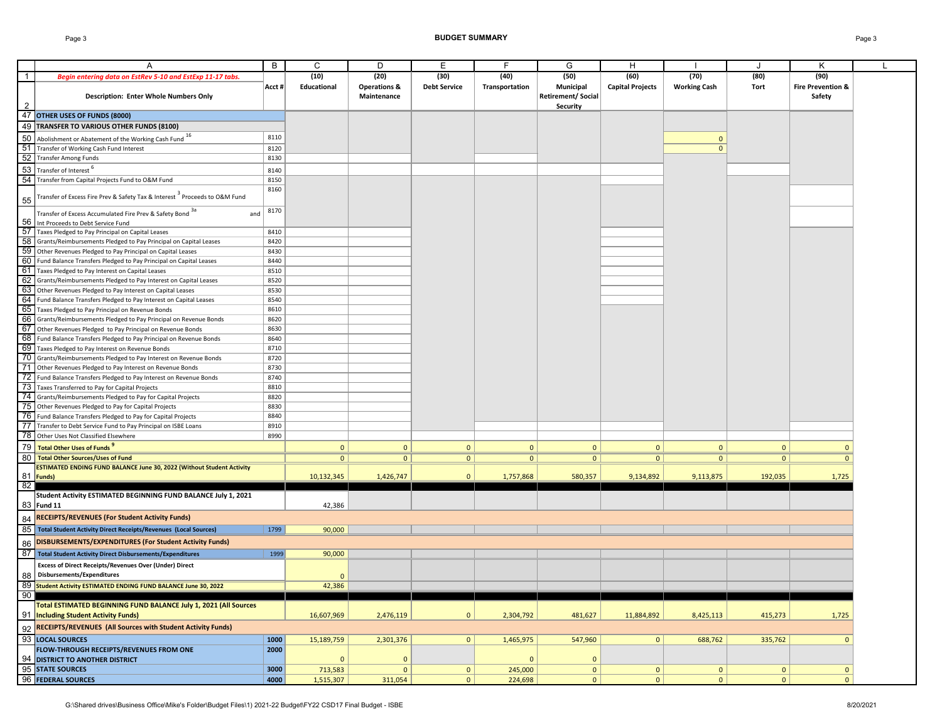|                | A                                                                                           | B     | C            | D                       | E                   | F              | G                        | Н                       |                     | $\cdot$        | K                            | L. |
|----------------|---------------------------------------------------------------------------------------------|-------|--------------|-------------------------|---------------------|----------------|--------------------------|-------------------------|---------------------|----------------|------------------------------|----|
| $\overline{1}$ | Begin entering data on EstRev 5-10 and EstExp 11-17 tabs.                                   |       | (10)         | (20)                    | (30)                | (40)           | (50)                     | (60)                    | (70)                | (80)           | (90)                         |    |
|                |                                                                                             | Acct# | Educational  | <b>Operations &amp;</b> | <b>Debt Service</b> | Transportation | Municipal                | <b>Capital Projects</b> | <b>Working Cash</b> | Tort           | <b>Fire Prevention &amp;</b> |    |
|                | Description: Enter Whole Numbers Only                                                       |       |              | <b>Maintenance</b>      |                     |                | <b>Retirement/Social</b> |                         |                     |                | Safety                       |    |
| 2              |                                                                                             |       |              |                         |                     |                | Security                 |                         |                     |                |                              |    |
|                | 47 OTHER USES OF FUNDS (8000)                                                               |       |              |                         |                     |                |                          |                         |                     |                |                              |    |
|                | 49 TRANSFER TO VARIOUS OTHER FUNDS (8100)                                                   |       |              |                         |                     |                |                          |                         |                     |                |                              |    |
|                | 50 Abolishment or Abatement of the Working Cash Fund 16                                     | 8110  |              |                         |                     |                |                          |                         | $\overline{0}$      |                |                              |    |
|                | 51 Transfer of Working Cash Fund Interest                                                   | 8120  |              |                         |                     |                |                          |                         | $\Omega$            |                |                              |    |
|                | 52 Transfer Among Funds                                                                     | 8130  |              |                         |                     |                |                          |                         |                     |                |                              |    |
|                | 53 Transfer of Interest <sup>6</sup>                                                        | 8140  |              |                         |                     |                |                          |                         |                     |                |                              |    |
|                | 54 Transfer from Capital Projects Fund to O&M Fund                                          | 8150  |              |                         |                     |                |                          |                         |                     |                |                              |    |
|                |                                                                                             | 8160  |              |                         |                     |                |                          |                         |                     |                |                              |    |
| 55             | Transfer of Excess Fire Prev & Safety Tax & Interest <sup>3</sup> Proceeds to O&M Fund      |       |              |                         |                     |                |                          |                         |                     |                |                              |    |
|                |                                                                                             | 8170  |              |                         |                     |                |                          |                         |                     |                |                              |    |
|                | Transfer of Excess Accumulated Fire Prev & Safety Bond 3a<br>and                            |       |              |                         |                     |                |                          |                         |                     |                |                              |    |
|                | 56 Int Proceeds to Debt Service Fund<br>57 Taxes Pledged to Pay Principal on Capital Leases | 8410  |              |                         |                     |                |                          |                         |                     |                |                              |    |
|                | 58 Grants/Reimbursements Pledged to Pay Principal on Capital Leases                         | 8420  |              |                         |                     |                |                          |                         |                     |                |                              |    |
|                | 59 Other Revenues Pledged to Pay Principal on Capital Leases                                | 8430  |              |                         |                     |                |                          |                         |                     |                |                              |    |
|                | 60 Fund Balance Transfers Pledged to Pay Principal on Capital Leases                        | 8440  |              |                         |                     |                |                          |                         |                     |                |                              |    |
|                | 61 Taxes Pledged to Pay Interest on Capital Leases                                          | 8510  |              |                         |                     |                |                          |                         |                     |                |                              |    |
|                | 62 Grants/Reimbursements Pledged to Pay Interest on Capital Leases                          | 8520  |              |                         |                     |                |                          |                         |                     |                |                              |    |
|                | 63 Other Revenues Pledged to Pay Interest on Capital Leases                                 | 8530  |              |                         |                     |                |                          |                         |                     |                |                              |    |
| 64             | Fund Balance Transfers Pledged to Pay Interest on Capital Leases                            | 8540  |              |                         |                     |                |                          |                         |                     |                |                              |    |
|                | 65 Taxes Pledged to Pay Principal on Revenue Bonds                                          | 8610  |              |                         |                     |                |                          |                         |                     |                |                              |    |
|                | 66 Grants/Reimbursements Pledged to Pay Principal on Revenue Bonds                          | 8620  |              |                         |                     |                |                          |                         |                     |                |                              |    |
|                | 67 Other Revenues Pledged to Pay Principal on Revenue Bonds                                 | 8630  |              |                         |                     |                |                          |                         |                     |                |                              |    |
|                | 68 Fund Balance Transfers Pledged to Pay Principal on Revenue Bonds                         | 8640  |              |                         |                     |                |                          |                         |                     |                |                              |    |
|                | 69 Taxes Pledged to Pay Interest on Revenue Bonds                                           | 8710  |              |                         |                     |                |                          |                         |                     |                |                              |    |
|                | 70 Grants/Reimbursements Pledged to Pay Interest on Revenue Bonds                           | 8720  |              |                         |                     |                |                          |                         |                     |                |                              |    |
|                | 71 Other Revenues Pledged to Pay Interest on Revenue Bonds                                  | 8730  |              |                         |                     |                |                          |                         |                     |                |                              |    |
|                | 72 Fund Balance Transfers Pledged to Pay Interest on Revenue Bonds                          | 8740  |              |                         |                     |                |                          |                         |                     |                |                              |    |
|                | 73 Taxes Transferred to Pay for Capital Projects                                            | 8810  |              |                         |                     |                |                          |                         |                     |                |                              |    |
|                | 74 Grants/Reimbursements Pledged to Pay for Capital Projects                                | 8820  |              |                         |                     |                |                          |                         |                     |                |                              |    |
|                | 75 Other Revenues Pledged to Pay for Capital Projects                                       | 8830  |              |                         |                     |                |                          |                         |                     |                |                              |    |
|                | 76 Fund Balance Transfers Pledged to Pay for Capital Projects                               | 8840  |              |                         |                     |                |                          |                         |                     |                |                              |    |
|                | 77 Transfer to Debt Service Fund to Pay Principal on ISBE Loans                             | 8910  |              |                         |                     |                |                          |                         |                     |                |                              |    |
|                | 78 Other Uses Not Classified Elsewhere                                                      | 8990  |              |                         |                     |                |                          |                         |                     |                |                              |    |
|                | 79 Total Other Uses of Funds <sup>9</sup>                                                   |       | $\mathbf{0}$ | $\mathbf{0}$            | $\mathbf{0}$        | $\mathbf{0}$   | $\mathbf{0}$             | $\mathbf{0}$            | $\mathbf 0$         | $\mathbf{0}$   | $\mathbf{0}$                 |    |
|                | 80 Total Other Sources/Uses of Fund                                                         |       | 0            | 0                       | 0                   | $\mathbf{0}$   | 0                        | $\mathbf{0}$            | $\mathbf{0}$        | 0 <sup>1</sup> | $\mathbf{0}$                 |    |
|                | ESTIMATED ENDING FUND BALANCE June 30, 2022 (Without Student Activity                       |       |              |                         |                     |                |                          |                         |                     |                |                              |    |
|                | 81 Funds)                                                                                   |       | 10,132,345   | 1,426,747               | $\mathbf 0$         | 1,757,868      | 580,357                  | 9,134,892               | 9,113,875           | 192,035        | 1,725                        |    |
| 82             | Student Activity ESTIMATED BEGINNING FUND BALANCE July 1, 2021                              |       |              |                         |                     |                |                          |                         |                     |                |                              |    |
|                | 83 Fund 11                                                                                  |       | 42,386       |                         |                     |                |                          |                         |                     |                |                              |    |
|                |                                                                                             |       |              |                         |                     |                |                          |                         |                     |                |                              |    |
| 84             | <b>RECEIPTS/REVENUES (For Student Activity Funds)</b>                                       |       |              |                         |                     |                |                          |                         |                     |                |                              |    |
|                | 85   Total Student Activity Direct Receipts/Revenues (Local Sources)                        | 1799  | 90,000       |                         |                     |                |                          |                         |                     |                |                              |    |
|                | 86 DISBURSEMENTS/EXPENDITURES (For Student Activity Funds)                                  |       |              |                         |                     |                |                          |                         |                     |                |                              |    |
|                | 87 Total Student Activity Direct Disbursements/Expenditures                                 | 1999  | 90,000       |                         |                     |                |                          |                         |                     |                |                              |    |
|                | Excess of Direct Receipts/Revenues Over (Under) Direct                                      |       |              |                         |                     |                |                          |                         |                     |                |                              |    |
|                | 88 Disbursements/Expenditures                                                               |       | $\mathbf{0}$ |                         |                     |                |                          |                         |                     |                |                              |    |
|                | 89 Student Activity ESTIMATED ENDING FUND BALANCE June 30, 2022                             |       | 42,386       |                         |                     |                |                          |                         |                     |                |                              |    |
| .90            |                                                                                             |       |              |                         |                     |                |                          |                         |                     |                |                              |    |
|                | Total ESTIMATED BEGINNING FUND BALANCE July 1, 2021 (All Sources                            |       |              |                         |                     |                |                          |                         |                     |                |                              |    |
|                | 91   Including Student Activity Funds)                                                      |       | 16,607,969   | 2,476,119               | $\mathbf 0$         | 2,304,792      | 481,627                  | 11,884,892              | 8,425,113           | 415,273        | 1,725                        |    |
|                | 92 RECEIPTS/REVENUES (All Sources with Student Activity Funds)                              |       |              |                         |                     |                |                          |                         |                     |                |                              |    |
|                | 93 LOCAL SOURCES                                                                            | 1000  | 15,189,759   | 2,301,376               | $\mathbf 0$         | 1,465,975      | 547,960                  | $\mathbf{0}$            | 688,762             | 335,762        | $\mathbf{0}$                 |    |
|                | FLOW-THROUGH RECEIPTS/REVENUES FROM ONE                                                     | 2000  |              |                         |                     |                |                          |                         |                     |                |                              |    |
|                | 94 DISTRICT TO ANOTHER DISTRICT                                                             |       | $\mathbf{0}$ | $\mathbf{0}$            |                     | $\mathbf{0}$   | $\mathbf 0$              |                         |                     |                |                              |    |
|                | 95 STATE SOURCES                                                                            | 3000  | 713,583      | $\mathbf{0}$            | $\mathbf{0}$        | 245,000        | 0                        | $\mathbf{0}$            | $\mathbf{0}$        | $\mathbf{0}$   | $\mathbf{0}$                 |    |
|                | 96 FEDERAL SOURCES                                                                          | 4000  | 1,515,307    | 311,054                 | 0                   | 224,698        | 0                        | 0                       | $\mathbf{0}$        | $\mathbf{0}$   | $\mathbf 0$                  |    |
|                |                                                                                             |       |              |                         |                     |                |                          |                         |                     |                |                              |    |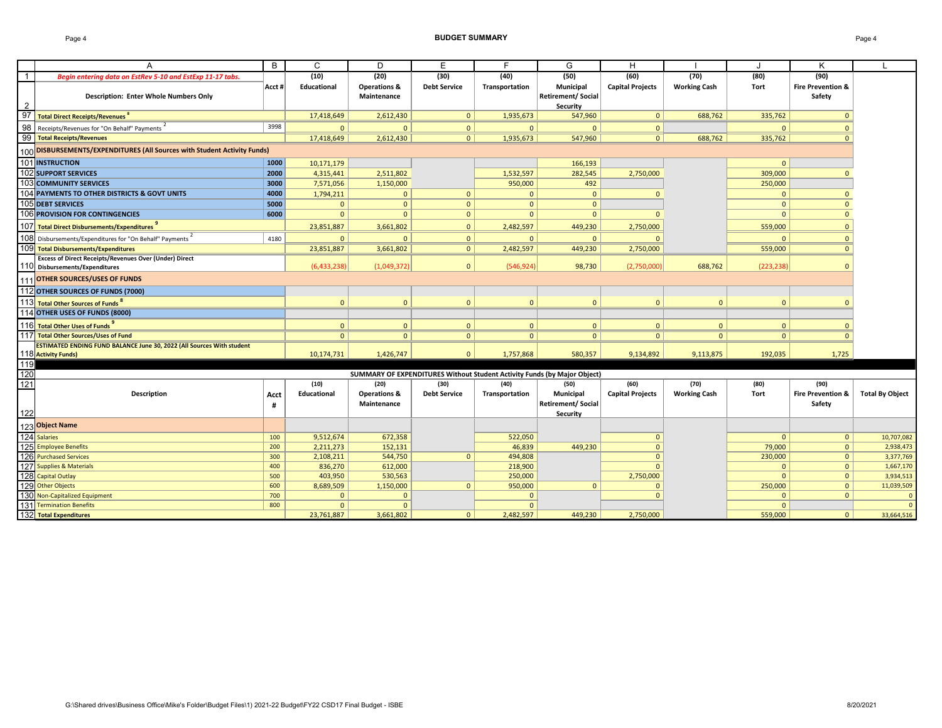Page 4 **BUDGET SUMMARY** Page 4

|                | A                                                                                        | B      | $\mathsf{C}$               | D                                      | Ε                           | F                         | G                                                                        | H                               |                             |                     | K                                      |                        |
|----------------|------------------------------------------------------------------------------------------|--------|----------------------------|----------------------------------------|-----------------------------|---------------------------|--------------------------------------------------------------------------|---------------------------------|-----------------------------|---------------------|----------------------------------------|------------------------|
|                | Begin entering data on EstRev 5-10 and EstExp 11-17 tabs.                                |        | (10)                       | (20)                                   | (30)                        | (40)                      | (50)                                                                     | (60)                            | (70)                        | (80)                | (90)                                   |                        |
| $\overline{2}$ | <b>Description: Enter Whole Numbers Only</b>                                             | Acct # | <b>Educational</b>         | <b>Operations &amp;</b><br>Maintenance | <b>Debt Service</b>         | Transportation            | Municipal<br><b>Retirement/Social</b><br>Security                        | <b>Capital Projects</b>         | <b>Working Cash</b>         | <b>Tort</b>         | <b>Fire Prevention &amp;</b><br>Safety |                        |
| 97             | <b>Total Direct Receipts/Revenues<sup>8</sup></b>                                        |        | 17,418,649                 | 2,612,430                              | 0 <sup>1</sup>              | 1,935,673                 | 547,960                                                                  | $\mathbf{0}$                    | 688,762                     | 335,762             | $\Omega$                               |                        |
| 98             | Receipts/Revenues for "On Behalf" Payments <sup>2</sup>                                  | 3998   | $\mathbf{0}$               | $\Omega$                               | 0                           | $\mathbf{0}$              | $\mathbf{0}$                                                             | $\mathbf{0}$                    |                             | $\Omega$            | $\Omega$                               |                        |
| 99             | <b>Total Receipts/Revenues</b>                                                           |        | 17,418,649                 | 2,612,430                              | 0 <sup>1</sup>              | 1,935,673                 | 547,960                                                                  | $\mathbf{0}$                    | 688,762                     | 335,762             | $\Omega$                               |                        |
| 100            | <b>DISBURSEMENTS/EXPENDITURES (All Sources with Student Activity Funds)</b>              |        |                            |                                        |                             |                           |                                                                          |                                 |                             |                     |                                        |                        |
|                | 101 INSTRUCTION                                                                          | 1000   | 10,171,179                 |                                        |                             |                           | 166,193                                                                  |                                 |                             | $\mathbf{0}$        |                                        |                        |
|                | <b>102 SUPPORT SERVICES</b>                                                              | 2000   | 4,315,441                  | 2,511,802                              |                             | 1,532,597                 | 282,545                                                                  | 2,750,000                       |                             | 309,000             | $\mathbf{0}$                           |                        |
| 103            | <b>COMMUNITY SERVICES</b>                                                                | 3000   | 7,571,056                  | 1,150,000                              |                             | 950,000                   | 492                                                                      |                                 |                             | 250,000             |                                        |                        |
| 104            | <b>PAYMENTS TO OTHER DISTRICTS &amp; GOVT UNITS</b>                                      | 4000   | 1,794,211                  | $\mathbf{0}$                           | $\mathbf{0}$                | $\mathbf{0}$              | $\overline{0}$                                                           | $\Omega$                        |                             | $\Omega$            | $\mathbf{0}$                           |                        |
|                | 105 DEBT SERVICES                                                                        | 5000   | $\mathbf{0}$               | $\mathbf{0}$                           | $\mathbf{0}$                | $\mathbf{0}$              | $\mathbf{0}$                                                             |                                 |                             | $\Omega$            | $\mathbf{0}$                           |                        |
|                | 106 PROVISION FOR CONTINGENCIES                                                          | 6000   | $\mathbf{0}$               | $\mathbf{0}$                           | $\mathbf{0}$                | $\Omega$                  | $\mathbf{0}$                                                             | $\Omega$                        |                             | $\Omega$            | $\mathbf{0}$                           |                        |
| 107            | <b>Total Direct Disbursements/Expenditures</b>                                           |        | 23,851,887                 | 3,661,802                              | $\mathbf{0}$                | 2,482,597                 | 449,230                                                                  | 2,750,000                       |                             | 559,000             | $\Omega$                               |                        |
| 108            | Disbursements/Expenditures for "On Behalf" Payments <sup>2</sup>                         | 4180   | $\mathbf{0}$               | $\Omega$                               | $\mathbf{0}$                | $\mathbf{0}$              | $\mathbf{0}$                                                             | $\Omega$                        |                             | $\Omega$            | $\mathbf{0}$                           |                        |
| 109            | <b>Total Disbursements/Expenditures</b>                                                  |        | 23,851,887                 | 3,661,802                              | 0 <sup>1</sup>              | 2,482,597                 | 449,230                                                                  | 2,750,000                       |                             | 559,000             | $\mathbf{0}$                           |                        |
|                | Excess of Direct Receipts/Revenues Over (Under) Direct<br>110 Disbursements/Expenditures |        | (6,433,238)                | (1,049,372)                            | 0                           | (546, 924)                | 98,730                                                                   | (2,750,000)                     | 688,762                     | (223, 238)          | $\mathbf{0}$                           |                        |
| 111            | <b>OTHER SOURCES/USES OF FUNDS</b>                                                       |        |                            |                                        |                             |                           |                                                                          |                                 |                             |                     |                                        |                        |
|                | 112 OTHER SOURCES OF FUNDS (7000)                                                        |        |                            |                                        |                             |                           |                                                                          |                                 |                             |                     |                                        |                        |
| 113            | <b>Total Other Sources of Funds<sup>8</sup></b>                                          |        | $\mathbf{0}$               | $\mathbf{0}$                           | $\Omega$                    | $\mathbf{0}$              | $\mathbf{0}$                                                             | $\Omega$                        | $\Omega$                    | $\Omega$            | $\Omega$                               |                        |
| 114            | OTHER USES OF FUNDS (8000)                                                               |        |                            |                                        |                             |                           |                                                                          |                                 |                             |                     |                                        |                        |
| 116            | Total Other Uses of Funds <sup>9</sup>                                                   |        | $\mathbf{0}$               | $\mathbf{0}$                           | $\Omega$                    | $\mathbf{0}$              | $\mathbf{0}$                                                             | $\mathbf{0}$                    | $\Omega$                    | $\mathbf{0}$        | $\Omega$                               |                        |
| 117            | <b>Total Other Sources/Uses of Fund</b>                                                  |        | 0                          | $\mathbf{0}$                           | 0 <sup>1</sup>              | $\mathbf{0}$              | 0                                                                        | $\mathbf{0}$                    | $\Omega$                    | $\mathbf{0}$        | $\Omega$                               |                        |
|                | <b>ESTIMATED ENDING FUND BALANCE June 30, 2022 (All Sources With student</b>             |        |                            |                                        |                             |                           |                                                                          |                                 |                             |                     |                                        |                        |
|                | 118 Activity Funds)                                                                      |        | 10,174,731                 | 1,426,747                              | 0 <sup>1</sup>              | 1,757,868                 | 580,357                                                                  | 9,134,892                       | 9,113,875                   | 192,035             | 1,725                                  |                        |
| 119            |                                                                                          |        |                            |                                        |                             |                           |                                                                          |                                 |                             |                     |                                        |                        |
| 120            |                                                                                          |        |                            |                                        |                             |                           | SUMMARY OF EXPENDITURES Without Student Activity Funds (by Major Object) |                                 |                             |                     |                                        |                        |
| 121            | Description                                                                              |        | (10)<br>Educational        | (20)<br><b>Operations &amp;</b>        | (30)<br><b>Debt Service</b> | (40)<br>Transportation    | (50)<br>Municipal                                                        | (60)<br><b>Capital Projects</b> | (70)<br><b>Working Cash</b> | (80)<br>Tort        | (90)<br><b>Fire Prevention &amp;</b>   | <b>Total By Object</b> |
|                |                                                                                          | Acct   |                            | Maintenance                            |                             |                           | <b>Retirement/Social</b>                                                 |                                 |                             |                     | Safety                                 |                        |
| 122            |                                                                                          | #      |                            |                                        |                             |                           | Security                                                                 |                                 |                             |                     |                                        |                        |
|                | 123 Object Name                                                                          |        |                            |                                        |                             |                           |                                                                          |                                 |                             |                     |                                        |                        |
|                | 124 Salaries                                                                             | 100    | 9,512,674                  | 672,358                                |                             | 522,050                   |                                                                          | $\mathbf{0}$                    |                             | $\Omega$            | $\overline{0}$                         | 10,707,082             |
|                | 125 Employee Benefits                                                                    | 200    | 2,211,273                  | 152,131                                |                             | 46,839                    | 449,230                                                                  | $\Omega$                        |                             | 79,000              | $\mathbf{0}$                           | 2,938,473              |
| 126            | <b>Purchased Services</b>                                                                | 300    | 2,108,211                  | 544,750                                | $\Omega$                    | 494,808                   |                                                                          | $\Omega$                        |                             | 230,000             | $\mathbf{0}$                           | 3,377,769              |
|                | 127 Supplies & Materials                                                                 | 400    | 836,270                    | 612,000                                |                             | 218,900                   |                                                                          | $\Omega$                        |                             | $\Omega$            | $\mathbf{0}$                           | 1,667,170              |
|                | 128 Capital Outlay                                                                       | 500    | 403,950                    | 530,563                                |                             | 250,000                   |                                                                          | 2,750,000                       |                             | $\Omega$            | $\mathbf{0}$                           | 3,934,513              |
| 129            | <b>Other Objects</b>                                                                     | 600    | 8,689,509                  | 1,150,000                              | $\mathbf{0}$                | 950,000                   | $\mathbf{0}$                                                             | $\Omega$                        |                             | 250,000             | $\mathbf{0}$                           | 11,039,509             |
| 130            | <b>Non-Capitalized Equipment</b>                                                         | 700    | $\mathbf{0}$               | $\Omega$                               |                             | $\Omega$                  |                                                                          | $\Omega$                        |                             | $\Omega$            | $\mathbf{0}$                           | $\Omega$               |
| 131            | <b>Termination Benefits</b><br>132 Total Expenditures                                    | 800    | $\mathbf{0}$<br>23,761,887 | $\Omega$<br>3,661,802                  | $\Omega$                    | $\mathbf{0}$<br>2.482.597 | 449,230                                                                  | 2.750.000                       |                             | $\Omega$<br>559,000 | $\Omega$                               | $\Omega$<br>33,664,516 |
|                |                                                                                          |        |                            |                                        |                             |                           |                                                                          |                                 |                             |                     |                                        |                        |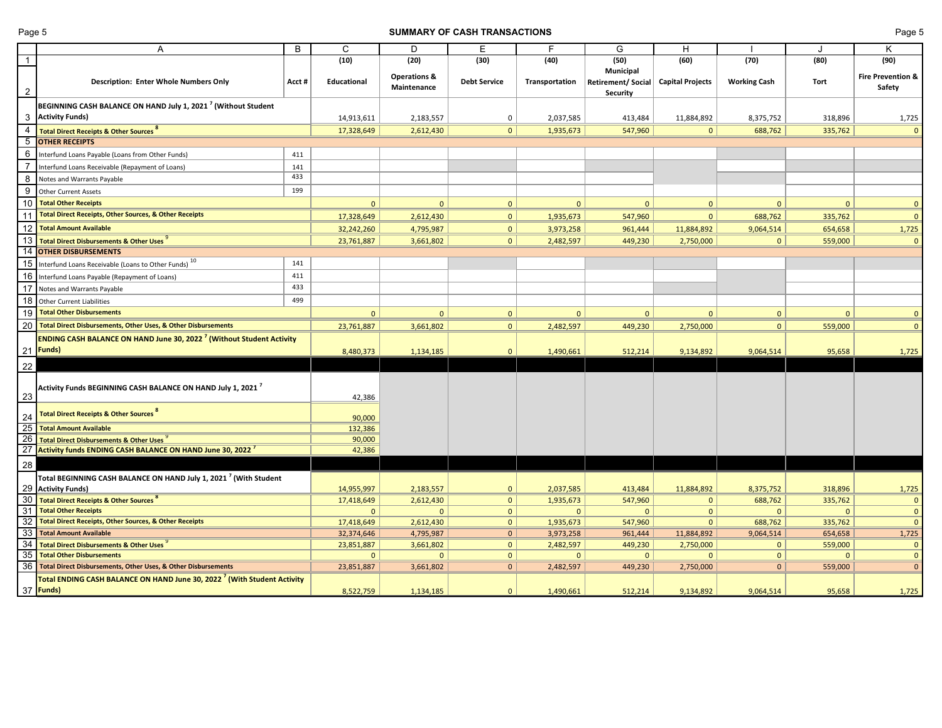### Page 5 **SUMMARY OF CASH TRANSACTIONS** Page 5

|                                                                     | A                                                                                      | B      | C                 | D                       | Ε                   | F              | G                                    | H                       |                     | J            | Κ                            |
|---------------------------------------------------------------------|----------------------------------------------------------------------------------------|--------|-------------------|-------------------------|---------------------|----------------|--------------------------------------|-------------------------|---------------------|--------------|------------------------------|
| $\overline{1}$                                                      |                                                                                        |        | (10)              | (20)                    | (30)                | (40)           | (50)                                 | (60)                    | (70)                | (80)         | (90)                         |
|                                                                     |                                                                                        |        |                   | <b>Operations &amp;</b> |                     |                | <b>Municipal</b>                     |                         |                     |              | <b>Fire Prevention &amp;</b> |
| $\mathbf{2}$                                                        | <b>Description: Enter Whole Numbers Only</b>                                           | Acct # | Educational       | Maintenance             | <b>Debt Service</b> | Transportation | <b>Retirement/Social</b><br>Security | <b>Capital Projects</b> | <b>Working Cash</b> | Tort         | Safety                       |
|                                                                     | BEGINNING CASH BALANCE ON HAND July 1, 2021 <sup>7</sup> (Without Student              |        |                   |                         |                     |                |                                      |                         |                     |              |                              |
|                                                                     | 3 Activity Funds)                                                                      |        | 14,913,611        | 2,183,557               | 0                   | 2,037,585      | 413,484                              | 11,884,892              | 8,375,752           | 318,896      | 1,725                        |
| $\overline{4}$                                                      | <b>Total Direct Receipts &amp; Other Sources 8</b>                                     |        | 17,328,649        | 2,612,430               | 0                   | 1,935,673      | 547,960                              | $\mathbf{0}$            | 688,762             | 335,762      | $\mathbf{0}$                 |
| 5                                                                   | <b>OTHER RECEIPTS</b>                                                                  |        |                   |                         |                     |                |                                      |                         |                     |              |                              |
| 6                                                                   | Interfund Loans Payable (Loans from Other Funds)                                       | 411    |                   |                         |                     |                |                                      |                         |                     |              |                              |
| $\overline{7}$                                                      | Interfund Loans Receivable (Repayment of Loans)                                        | 141    |                   |                         |                     |                |                                      |                         |                     |              |                              |
| 8                                                                   | Notes and Warrants Payable                                                             | 433    |                   |                         |                     |                |                                      |                         |                     |              |                              |
| 9                                                                   | Other Current Assets                                                                   | 199    |                   |                         |                     |                |                                      |                         |                     |              |                              |
| 10                                                                  | <b>Total Other Receipts</b>                                                            |        | $\mathbf{0}$      | $\mathbf 0$             | $\mathbf{0}$        | $\mathbf{0}$   | $\mathbf{0}$                         | $\mathbf{0}$            | $\mathbf 0$         | $\mathbf{0}$ | $\mathbf{0}$                 |
| 11                                                                  | <b>Total Direct Receipts, Other Sources, &amp; Other Receipts</b>                      |        | 17,328,649        | 2,612,430               | 0                   | 1,935,673      | 547,960                              | $\mathbf{0}$            | 688,762             | 335,762      | $\mathbf 0$                  |
| 12                                                                  | <b>Total Amount Available</b>                                                          |        | 32,242,260        | 4,795,987               | 0                   | 3,973,258      | 961,444                              | 11,884,892              | 9,064,514           | 654,658      | 1,725                        |
| 13                                                                  | <b>Total Direct Disbursements &amp; Other Uses</b>                                     |        | 23,761,887        | 3,661,802               | 0                   | 2,482,597      | 449,230                              | 2,750,000               | $\mathbf{0}$        | 559,000      | $\mathbf 0$                  |
|                                                                     | 14 OTHER DISBURSEMENTS                                                                 |        |                   |                         |                     |                |                                      |                         |                     |              |                              |
| 15                                                                  | Interfund Loans Receivable (Loans to Other Funds) 10                                   | 141    |                   |                         |                     |                |                                      |                         |                     |              |                              |
| 16                                                                  | Interfund Loans Payable (Repayment of Loans)                                           | 411    |                   |                         |                     |                |                                      |                         |                     |              |                              |
| 17                                                                  | Notes and Warrants Payable                                                             | 433    |                   |                         |                     |                |                                      |                         |                     |              |                              |
| 18                                                                  | <b>Other Current Liabilities</b>                                                       | 499    |                   |                         |                     |                |                                      |                         |                     |              |                              |
| 19                                                                  | <b>Total Other Disbursements</b>                                                       |        | $\mathbf{0}$      | $\Omega$                | $\mathbf{0}$        | $\Omega$       | $\Omega$                             | $\mathbf{0}$            | $\mathbf{0}$        | $\Omega$     | $\mathbf{0}$                 |
| 20                                                                  | Total Direct Disbursements, Other Uses, & Other Disbursements                          |        | 23,761,887        | 3,661,802               | 0                   | 2,482,597      | 449,230                              | 2,750,000               | $\mathbf{0}$        | 559,000      | $\mathbf{0}$                 |
|                                                                     | <b>ENDING CASH BALANCE ON HAND June 30, 2022<sup>7</sup> (Without Student Activity</b> |        |                   |                         |                     |                |                                      |                         |                     |              |                              |
|                                                                     | 21 Funds)                                                                              |        | 8,480,373         | 1,134,185               | $\mathbf{0}$        | 1,490,661      | 512,214                              | 9,134,892               | 9,064,514           | 95,658       | 1,725                        |
| 22                                                                  |                                                                                        |        |                   |                         |                     |                |                                      |                         |                     |              |                              |
|                                                                     |                                                                                        |        |                   |                         |                     |                |                                      |                         |                     |              |                              |
|                                                                     | Activity Funds BEGINNING CASH BALANCE ON HAND July 1, 2021 $^7$                        |        |                   |                         |                     |                |                                      |                         |                     |              |                              |
| 23                                                                  |                                                                                        |        | 42,386            |                         |                     |                |                                      |                         |                     |              |                              |
|                                                                     | <b>Total Direct Receipts &amp; Other Sources<sup>8</sup></b>                           |        |                   |                         |                     |                |                                      |                         |                     |              |                              |
|                                                                     | <b>Total Amount Available</b>                                                          |        | 90,000<br>132,386 |                         |                     |                |                                      |                         |                     |              |                              |
| $\begin{array}{r}\n 24 \\ \hline\n 25 \\ \hline\n 26\n \end{array}$ | <b>Total Direct Disbursements &amp; Other Uses</b>                                     |        | 90,000            |                         |                     |                |                                      |                         |                     |              |                              |
|                                                                     | 27 Activity funds ENDING CASH BALANCE ON HAND June 30, 2022 <sup>7</sup>               |        | 42,386            |                         |                     |                |                                      |                         |                     |              |                              |
| 28                                                                  |                                                                                        |        |                   |                         |                     |                |                                      |                         |                     |              |                              |
|                                                                     | Total BEGINNING CASH BALANCE ON HAND July 1, 2021 <sup>7</sup> (With Student           |        |                   |                         |                     |                |                                      |                         |                     |              |                              |
| 29                                                                  | <b>Activity Funds)</b>                                                                 |        | 14,955,997        | 2,183,557               | $\mathbf{0}$        | 2,037,585      | 413,484                              | 11,884,892              | 8,375,752           | 318,896      | 1,725                        |
| 30                                                                  | <b>Total Direct Receipts &amp; Other Sources</b>                                       |        | 17,418,649        | 2,612,430               | 0                   | 1,935,673      | 547,960                              | $\mathbf{0}$            | 688,762             | 335,762      | $\mathbf{0}$                 |
|                                                                     | 31 Total Other Receipts                                                                |        | $\mathbf{0}$      | $\mathbf{0}$            | 0                   | $\Omega$       | $\mathbf{0}$                         | $\mathbf{0}$            | $\mathbf{0}$        | $\mathbf{0}$ | $\mathbf 0$                  |
| 32                                                                  | <b>Total Direct Receipts, Other Sources, &amp; Other Receipts</b>                      |        | 17,418,649        | 2,612,430               | 0                   | 1,935,673      | 547,960                              | $\mathbf{0}$            | 688,762             | 335,762      | $\mathbf{0}$                 |
| $rac{33}{36}$                                                       | <b>Total Amount Available</b>                                                          |        | 32,374,646        | 4,795,987               | 0                   | 3,973,258      | 961,444                              | 11,884,892              | 9,064,514           | 654,658      | 1,725                        |
|                                                                     | Total Direct Disbursements & Other Uses                                                |        | 23,851,887        | 3,661,802               | 0                   | 2,482,597      | 449,230                              | 2,750,000               | $\mathbf{0}$        | 559,000      | $\mathbf{0}$                 |
|                                                                     | <b>Total Other Disbursements</b>                                                       |        | $\mathbf{0}$      | $\mathbf{0}$            | 0                   | $\Omega$       | $\mathbf{0}$                         | $\mathbf{0}$            | $\mathbf 0$         | $\mathbf{0}$ | $\mathbf 0$                  |
|                                                                     | Total Direct Disbursements, Other Uses, & Other Disbursements                          |        | 23,851,887        | 3,661,802               | 0                   | 2,482,597      | 449,230                              | 2,750,000               | $\mathbf{0}$        | 559,000      | $\mathbf{0}$                 |
|                                                                     | Total ENDING CASH BALANCE ON HAND June 30, 2022 <sup>7</sup> (With Student Activity    |        |                   |                         |                     |                |                                      |                         |                     |              |                              |
|                                                                     | 37 <b>Funds</b> )                                                                      |        | 8,522,759         | 1,134,185               | $\mathbf{0}$        | 1,490,661      | 512,214                              | 9,134,892               | 9,064,514           | 95,658       | 1,725                        |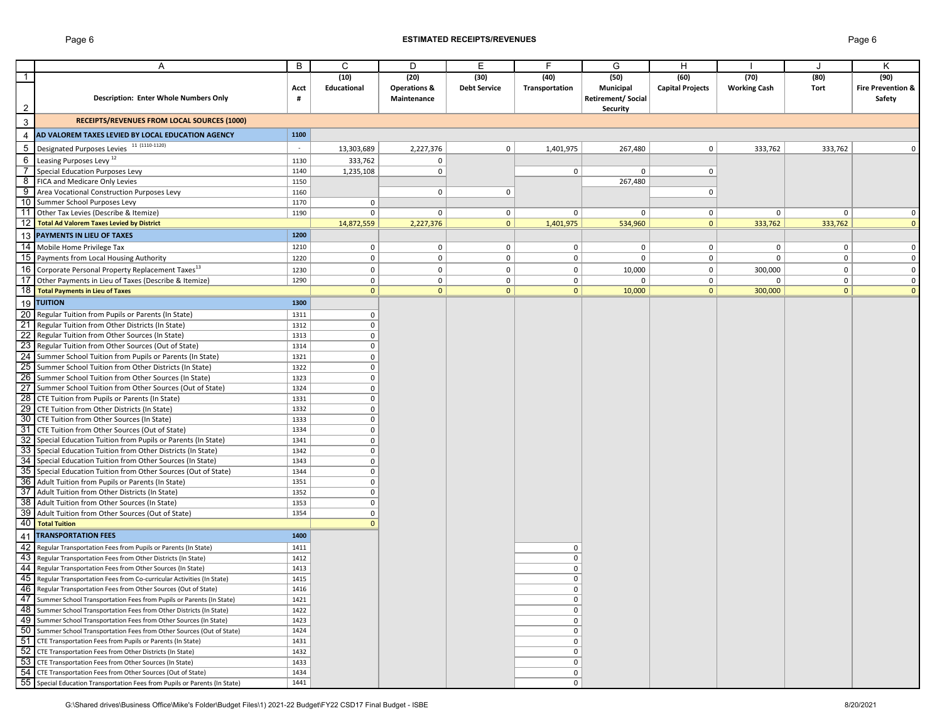## Page 6 **ESTIMATED RECEIPTS/REVENUES** Page 6

|                 | A                                                                          | B      | C            | D                       | E                   | F              | G                        | H                       |                     |              | Κ                            |
|-----------------|----------------------------------------------------------------------------|--------|--------------|-------------------------|---------------------|----------------|--------------------------|-------------------------|---------------------|--------------|------------------------------|
| $\overline{1}$  |                                                                            |        | (10)         | (20)                    | (30)                | (40)           | (50)                     | (60)                    | (70)                | (80)         | (90)                         |
|                 |                                                                            | Acct   | Educational  | <b>Operations &amp;</b> | <b>Debt Service</b> | Transportation | Municipal                | <b>Capital Projects</b> | <b>Working Cash</b> | Tort         | <b>Fire Prevention &amp;</b> |
|                 | Description: Enter Whole Numbers Only                                      | #      |              | Maintenance             |                     |                | <b>Retirement/Social</b> |                         |                     |              | Safety                       |
| $\overline{2}$  |                                                                            |        |              |                         |                     |                | Security                 |                         |                     |              |                              |
| $\mathbf{3}$    | RECEIPTS/REVENUES FROM LOCAL SOURCES (1000)                                |        |              |                         |                     |                |                          |                         |                     |              |                              |
| $\overline{4}$  | AD VALOREM TAXES LEVIED BY LOCAL EDUCATION AGENCY                          | 1100   |              |                         |                     |                |                          |                         |                     |              |                              |
|                 |                                                                            |        |              |                         |                     |                |                          |                         |                     |              |                              |
| $5\phantom{.0}$ | Designated Purposes Levies 11 (1110-1120)                                  | $\sim$ | 13,303,689   | 2,227,376               | $\overline{0}$      | 1,401,975      | 267,480                  | $\mathbf 0$             | 333,762             | 333,762      |                              |
|                 | 6 Leasing Purposes Levy <sup>12</sup>                                      | 1130   | 333,762      | $\mathbf 0$             |                     |                |                          |                         |                     |              |                              |
|                 | 7 Special Education Purposes Levy                                          | 1140   | 1,235,108    | $\mathbf 0$             |                     | $\mathbf 0$    | $\mathbf 0$              | $\mathbf 0$             |                     |              |                              |
|                 | 8 FICA and Medicare Only Levies                                            | 1150   |              |                         |                     |                | 267,480                  |                         |                     |              |                              |
|                 | 9 Area Vocational Construction Purposes Levy                               | 1160   |              | $\mathbf 0$             | 0                   |                |                          | $\mathbf 0$             |                     |              |                              |
|                 | 10 Summer School Purposes Levy                                             | 1170   | 0            |                         |                     |                |                          |                         |                     |              |                              |
|                 | 11 Other Tax Levies (Describe & Itemize)                                   | 1190   | $\mathbf 0$  | $\mathbf 0$             | $\overline{0}$      | $\mathbf 0$    | 0                        | $\mathbf 0$             | 0                   | $\mathbf 0$  |                              |
|                 | 12 Total Ad Valorem Taxes Levied by District                               |        | 14,872,559   | 2,227,376               | 0                   | 1,401,975      | 534,960                  | 0                       | 333,762             | 333,762      | $\Omega$                     |
|                 | 13 PAYMENTS IN LIEU OF TAXES                                               | 1200   |              |                         |                     |                |                          |                         |                     |              |                              |
|                 | 14 Mobile Home Privilege Tax                                               | 1210   | 0            | $\mathbf 0$             | $\overline{0}$      | $\mathbf 0$    | 0                        | $\mathbf 0$             | 0                   | 0            | $\Omega$                     |
|                 | 15 Payments from Local Housing Authority                                   | 1220   | $\mathbf 0$  | $\mathsf 0$             | $\overline{0}$      | $\mathbf 0$    | 0                        | $\mathbf 0$             | $\Omega$            | 0            | $\Omega$                     |
|                 | 16 Corporate Personal Property Replacement Taxes <sup>13</sup>             | 1230   | 0            | $\mathsf 0$             | $\mathbf 0$         | $\mathbf 0$    | 10,000                   | $\mathbf 0$             | 300,000             | 0            |                              |
|                 | 17 Other Payments in Lieu of Taxes (Describe & Itemize)                    | 1290   | $\mathbf 0$  | $\mathsf 0$             | $\overline{0}$      | $\mathbf 0$    | 0                        | $\mathbf 0$             | $\mathbf 0$         | $\mathbf 0$  | 0                            |
|                 | 18 Total Payments in Lieu of Taxes                                         |        | $\mathbf{0}$ | 0                       | $\overline{0}$      | $\mathbf{0}$   | 10,000                   | 0                       | 300,000             | $\mathbf{0}$ | $\Omega$                     |
|                 | 19 TUITION                                                                 | 1300   |              |                         |                     |                |                          |                         |                     |              |                              |
|                 | 20 Regular Tuition from Pupils or Parents (In State)                       | 1311   | 0            |                         |                     |                |                          |                         |                     |              |                              |
|                 | 21 Regular Tuition from Other Districts (In State)                         | 1312   | $\mathbf 0$  |                         |                     |                |                          |                         |                     |              |                              |
|                 | 22 Regular Tuition from Other Sources (In State)                           | 1313   | 0            |                         |                     |                |                          |                         |                     |              |                              |
|                 | 23 Regular Tuition from Other Sources (Out of State)                       | 1314   | $\Omega$     |                         |                     |                |                          |                         |                     |              |                              |
|                 | 24 Summer School Tuition from Pupils or Parents (In State)                 | 1321   | $\Omega$     |                         |                     |                |                          |                         |                     |              |                              |
|                 | 25 Summer School Tuition from Other Districts (In State)                   | 1322   | $\mathbf 0$  |                         |                     |                |                          |                         |                     |              |                              |
|                 | 26 Summer School Tuition from Other Sources (In State)                     | 1323   | 0            |                         |                     |                |                          |                         |                     |              |                              |
|                 | 27 Summer School Tuition from Other Sources (Out of State)                 | 1324   | 0            |                         |                     |                |                          |                         |                     |              |                              |
|                 | 28 CTE Tuition from Pupils or Parents (In State)                           | 1331   | $\mathbf 0$  |                         |                     |                |                          |                         |                     |              |                              |
|                 | 29 CTE Tuition from Other Districts (In State)                             | 1332   | $\mathbf 0$  |                         |                     |                |                          |                         |                     |              |                              |
|                 | 30 CTE Tuition from Other Sources (In State)                               | 1333   | 0            |                         |                     |                |                          |                         |                     |              |                              |
|                 | 31 CTE Tuition from Other Sources (Out of State)                           | 1334   | $\Omega$     |                         |                     |                |                          |                         |                     |              |                              |
|                 | 32 Special Education Tuition from Pupils or Parents (In State)             | 1341   | 0            |                         |                     |                |                          |                         |                     |              |                              |
|                 | 33 Special Education Tuition from Other Districts (In State)               | 1342   | 0            |                         |                     |                |                          |                         |                     |              |                              |
|                 | 34 Special Education Tuition from Other Sources (In State)                 | 1343   | $\mathbf 0$  |                         |                     |                |                          |                         |                     |              |                              |
|                 | 35 Special Education Tuition from Other Sources (Out of State)             | 1344   | $\Omega$     |                         |                     |                |                          |                         |                     |              |                              |
|                 | 36 Adult Tuition from Pupils or Parents (In State)                         | 1351   | $\Omega$     |                         |                     |                |                          |                         |                     |              |                              |
|                 | 37 Adult Tuition from Other Districts (In State)                           | 1352   | 0            |                         |                     |                |                          |                         |                     |              |                              |
|                 | 38 Adult Tuition from Other Sources (In State)                             | 1353   | 0            |                         |                     |                |                          |                         |                     |              |                              |
|                 | 39 Adult Tuition from Other Sources (Out of State)                         | 1354   | $\mathbf 0$  |                         |                     |                |                          |                         |                     |              |                              |
|                 | 40 Total Tuition                                                           |        | $\Omega$     |                         |                     |                |                          |                         |                     |              |                              |
| 41              | <b>TRANSPORTATION FEES</b>                                                 | 1400   |              |                         |                     |                |                          |                         |                     |              |                              |
|                 | 42 Regular Transportation Fees from Pupils or Parents (In State)           | 1411   |              |                         |                     | $\mathbf 0$    |                          |                         |                     |              |                              |
|                 | 43 Regular Transportation Fees from Other Districts (In State)             | 1412   |              |                         |                     | $\mathbf 0$    |                          |                         |                     |              |                              |
|                 | 44 Regular Transportation Fees from Other Sources (In State)               | 1413   |              |                         |                     | $\mathsf 0$    |                          |                         |                     |              |                              |
|                 | 45 Regular Transportation Fees from Co-curricular Activities (In State)    | 1415   |              |                         |                     | $\mathbf 0$    |                          |                         |                     |              |                              |
|                 | 46 Regular Transportation Fees from Other Sources (Out of State)           | 1416   |              |                         |                     |                |                          |                         |                     |              |                              |
|                 | 47 Summer School Transportation Fees from Pupils or Parents (In State)     | 1421   |              |                         |                     | 0              |                          |                         |                     |              |                              |
|                 | 48 Summer School Transportation Fees from Other Districts (In State)       | 1422   |              |                         |                     | $\mathsf 0$    |                          |                         |                     |              |                              |
|                 | 49 Summer School Transportation Fees from Other Sources (In State)         | 1423   |              |                         |                     | 0              |                          |                         |                     |              |                              |
|                 | 50 Summer School Transportation Fees from Other Sources (Out of State)     | 1424   |              |                         |                     | 0              |                          |                         |                     |              |                              |
|                 | 51 CTE Transportation Fees from Pupils or Parents (In State)               | 1431   |              |                         |                     | 0              |                          |                         |                     |              |                              |
|                 | 52 CTE Transportation Fees from Other Districts (In State)                 | 1432   |              |                         |                     | $\mathsf 0$    |                          |                         |                     |              |                              |
|                 | 53 CTE Transportation Fees from Other Sources (In State)                   | 1433   |              |                         |                     | $\mathbf 0$    |                          |                         |                     |              |                              |
|                 | 54 CTE Transportation Fees from Other Sources (Out of State)               | 1434   |              |                         |                     | $\mathbf 0$    |                          |                         |                     |              |                              |
|                 | 55 Special Education Transportation Fees from Pupils or Parents (In State) | 1441   |              |                         |                     | $\mathbf 0$    |                          |                         |                     |              |                              |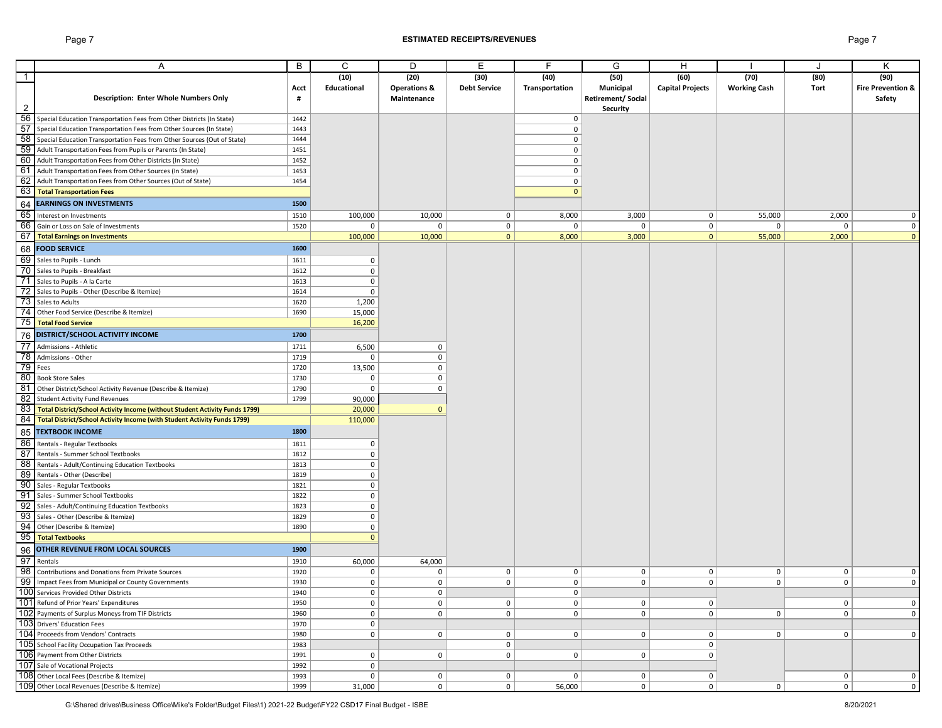## Page 7 **ESTIMATED RECEIPTS/REVENUES** Page 7

|                | A                                                                                            | B    | С            | D                       | Е                   | F              | G                         | H                       |                     | $\cdot$        | Κ                            |
|----------------|----------------------------------------------------------------------------------------------|------|--------------|-------------------------|---------------------|----------------|---------------------------|-------------------------|---------------------|----------------|------------------------------|
| $\overline{1}$ |                                                                                              |      | (10)         | (20)                    | (30)                | (40)           | (50)                      | (60)                    | (70)                | (80)           | (90)                         |
|                |                                                                                              | Acct | Educational  | <b>Operations &amp;</b> | <b>Debt Service</b> | Transportation | Municipal                 | <b>Capital Projects</b> | <b>Working Cash</b> | Tort           | <b>Fire Prevention &amp;</b> |
|                | Description: Enter Whole Numbers Only                                                        | #    |              | Maintenance             |                     |                | <b>Retirement/ Social</b> |                         |                     |                | Safety                       |
| $\overline{2}$ |                                                                                              |      |              |                         |                     |                | Security                  |                         |                     |                |                              |
|                | 56 Special Education Transportation Fees from Other Districts (In State)                     | 1442 |              |                         |                     | $\mathbf 0$    |                           |                         |                     |                |                              |
|                | 57 Special Education Transportation Fees from Other Sources (In State)                       | 1443 |              |                         |                     | $\mathbf 0$    |                           |                         |                     |                |                              |
|                | 58 Special Education Transportation Fees from Other Sources (Out of State)                   | 1444 |              |                         |                     | 0              |                           |                         |                     |                |                              |
|                | 59 Adult Transportation Fees from Pupils or Parents (In State)                               | 1451 |              |                         |                     | 0              |                           |                         |                     |                |                              |
|                | 60 Adult Transportation Fees from Other Districts (In State)                                 | 1452 |              |                         |                     | 0              |                           |                         |                     |                |                              |
|                | 61 Adult Transportation Fees from Other Sources (In State)                                   | 1453 |              |                         |                     | $\mathbf 0$    |                           |                         |                     |                |                              |
|                | 62 Adult Transportation Fees from Other Sources (Out of State)                               | 1454 |              |                         |                     | $^{\circ}$     |                           |                         |                     |                |                              |
|                | 63 Total Transportation Fees                                                                 |      |              |                         |                     | $\mathbf{0}$   |                           |                         |                     |                |                              |
|                |                                                                                              |      |              |                         |                     |                |                           |                         |                     |                |                              |
|                | 64 EARNINGS ON INVESTMENTS                                                                   | 1500 |              |                         |                     |                |                           |                         |                     |                |                              |
|                | 65 Interest on Investments                                                                   | 1510 | 100,000      | 10,000                  | $\mathbf 0$         | 8,000          | 3,000                     | 0                       | 55,000              | 2,000          | 0                            |
| 66             | Gain or Loss on Sale of Investments                                                          | 1520 | 0            | $\mathbf{0}$            | $\mathbf{0}$        | $^{\circ}$     | $\mathbf{0}$              | $\mathbf 0$             | 0                   | 0              | 0                            |
|                | 67 Total Earnings on Investments                                                             |      | 100,000      | 10,000                  | 0                   | 8,000          | 3,000                     | $\mathbf{0}$            | 55,000              | 2,000          | $\Omega$                     |
|                | 68 FOOD SERVICE                                                                              | 1600 |              |                         |                     |                |                           |                         |                     |                |                              |
|                | 69 Sales to Pupils - Lunch                                                                   | 1611 | $\mathbf 0$  |                         |                     |                |                           |                         |                     |                |                              |
|                | 70 Sales to Pupils - Breakfast                                                               | 1612 | $\mathsf 0$  |                         |                     |                |                           |                         |                     |                |                              |
|                | 71 Sales to Pupils - A la Carte                                                              | 1613 | $\mathbf 0$  |                         |                     |                |                           |                         |                     |                |                              |
|                | 72 Sales to Pupils - Other (Describe & Itemize)                                              | 1614 | $\mathsf 0$  |                         |                     |                |                           |                         |                     |                |                              |
| 73             | Sales to Adults                                                                              | 1620 | 1,200        |                         |                     |                |                           |                         |                     |                |                              |
|                | 74 Other Food Service (Describe & Itemize)                                                   | 1690 | 15,000       |                         |                     |                |                           |                         |                     |                |                              |
|                | 75 Total Food Service                                                                        |      | 16,200       |                         |                     |                |                           |                         |                     |                |                              |
|                |                                                                                              | 1700 |              |                         |                     |                |                           |                         |                     |                |                              |
|                | 76 DISTRICT/SCHOOL ACTIVITY INCOME                                                           |      |              |                         |                     |                |                           |                         |                     |                |                              |
| 77             | Admissions - Athletic                                                                        | 1711 | 6,500        | $\mathbf 0$             |                     |                |                           |                         |                     |                |                              |
|                | 78 Admissions - Other                                                                        | 1719 | $\mathsf{o}$ | $\mathsf 0$             |                     |                |                           |                         |                     |                |                              |
|                | 79 Fees                                                                                      | 1720 | 13,500       | $\mathbf 0$             |                     |                |                           |                         |                     |                |                              |
|                | 80 Book Store Sales                                                                          | 1730 | $\mathbf 0$  | $\mathbf 0$             |                     |                |                           |                         |                     |                |                              |
|                | 81 Other District/School Activity Revenue (Describe & Itemize)                               | 1790 | $\mathsf 0$  | $\mathbf 0$             |                     |                |                           |                         |                     |                |                              |
|                | 82 Student Activity Fund Revenues                                                            | 1799 | 90,000       |                         |                     |                |                           |                         |                     |                |                              |
| 83             | Total District/School Activity Income (without Student Activity Funds 1799)                  |      | 20,000       | $\mathbf{0}$            |                     |                |                           |                         |                     |                |                              |
| 84             | Total District/School Activity Income (with Student Activity Funds 1799)                     |      | 110,000      |                         |                     |                |                           |                         |                     |                |                              |
|                | 85 TEXTBOOK INCOME                                                                           | 1800 |              |                         |                     |                |                           |                         |                     |                |                              |
|                | 86 Rentals - Regular Textbooks                                                               | 1811 | 0            |                         |                     |                |                           |                         |                     |                |                              |
| 87             | Rentals - Summer School Textbooks                                                            | 1812 | $\mathsf 0$  |                         |                     |                |                           |                         |                     |                |                              |
|                | 88 Rentals - Adult/Continuing Education Textbooks                                            | 1813 | $\mathsf 0$  |                         |                     |                |                           |                         |                     |                |                              |
|                | 89 Rentals - Other (Describe)                                                                | 1819 | $\mathsf 0$  |                         |                     |                |                           |                         |                     |                |                              |
|                | 90 Sales - Regular Textbooks                                                                 | 1821 | $\mathsf{o}$ |                         |                     |                |                           |                         |                     |                |                              |
|                | 91 Sales - Summer School Textbooks                                                           | 1822 | $\mathsf{o}$ |                         |                     |                |                           |                         |                     |                |                              |
|                | 92 Sales - Adult/Continuing Education Textbooks                                              | 1823 | $\mathsf 0$  |                         |                     |                |                           |                         |                     |                |                              |
|                | 93 Sales - Other (Describe & Itemize)                                                        | 1829 | $\mathbf 0$  |                         |                     |                |                           |                         |                     |                |                              |
|                | 94 Other (Describe & Itemize)                                                                | 1890 | 0            |                         |                     |                |                           |                         |                     |                |                              |
|                | 95 Total Textbooks                                                                           |      | $\mathbf{0}$ |                         |                     |                |                           |                         |                     |                |                              |
|                | 96 OTHER REVENUE FROM LOCAL SOURCES                                                          | 1900 |              |                         |                     |                |                           |                         |                     |                |                              |
| 97             | Rentals                                                                                      | 1910 | 60,000       | 64,000                  |                     |                |                           |                         |                     |                |                              |
|                | 98 Contributions and Donations from Private Sources                                          | 1920 | 0            | $\mathbf 0$             | $\mathbf 0$         | $\mathbf 0$    | 0                         | 0                       | $\mathbf 0$         | $\mathbf 0$    | 0                            |
|                |                                                                                              | 1930 | $\mathsf 0$  | $\mathbf 0$             | $\mathbf{0}$        | $\mathbf 0$    | 0                         | $\mathbf 0$             | $\mathbf 0$         | $\mathbf{0}$   | $\Omega$                     |
|                | 99 Impact Fees from Municipal or County Governments                                          |      |              |                         |                     |                |                           |                         |                     |                |                              |
|                | <b>100</b> Services Provided Other Districts                                                 | 1940 | $\mathbf{0}$ | $\mathbf{0}$            |                     | 0 <sup>1</sup> |                           |                         |                     |                |                              |
|                | 101 Refund of Prior Years' Expenditures<br>102 Payments of Surplus Moneys from TIF Districts | 1950 | $\mathbf 0$  | $\mathsf 0$             | 0 <sup>1</sup>      | $\overline{0}$ | 0                         | $\mathbf 0$             |                     | $\mathbf 0$    | $\pmb{0}$                    |
|                |                                                                                              | 1960 | $\mathbf 0$  | $\mathbf 0$             | 0 <sup>1</sup>      | $\overline{0}$ | $\circ$                   | 0                       | $\mathbf 0$         | 0 <sup>1</sup> | $\mathbf 0$                  |
|                | 103 Drivers' Education Fees                                                                  | 1970 | $\mathbf 0$  |                         |                     |                |                           |                         |                     |                |                              |
|                | 104 Proceeds from Vendors' Contracts                                                         | 1980 | $\mathbf 0$  | $\mathbf 0$             | 0 <sup>1</sup>      | $\mathbf 0$    | 0                         | 0                       | $\mathbf 0$         | $\mathbf 0$    | $\mathbf 0$                  |
|                | 105 School Facility Occupation Tax Proceeds                                                  | 1983 |              |                         | 0                   |                |                           | $\mathbf 0$             |                     |                |                              |
|                | 106 Payment from Other Districts                                                             | 1991 | $\mathbf 0$  | $\mathbf 0$             | 0 <sup>1</sup>      | $\mathbf 0$    | 0                         | $\mathbf 0$             |                     |                |                              |
|                | 107 Sale of Vocational Projects                                                              | 1992 | $\mathsf 0$  |                         |                     |                |                           |                         |                     |                |                              |
|                | 108 Other Local Fees (Describe & Itemize)                                                    | 1993 | $\mathsf{O}$ | $\mathbf 0$             | $\mathbf 0$         | $\mathbf 0$    | 0                         | $\pmb{0}$               |                     | $\mathbf 0$    | $\mathbf 0$                  |
|                | 109 Other Local Revenues (Describe & Itemize)                                                | 1999 | 31,000       | $\mathsf{O}$            | 0 <sup>1</sup>      | 56,000         | 0 <sup>1</sup>            | $\mathbf 0$             | $\mathbf 0$         | 0 <sup>1</sup> | $\Omega$                     |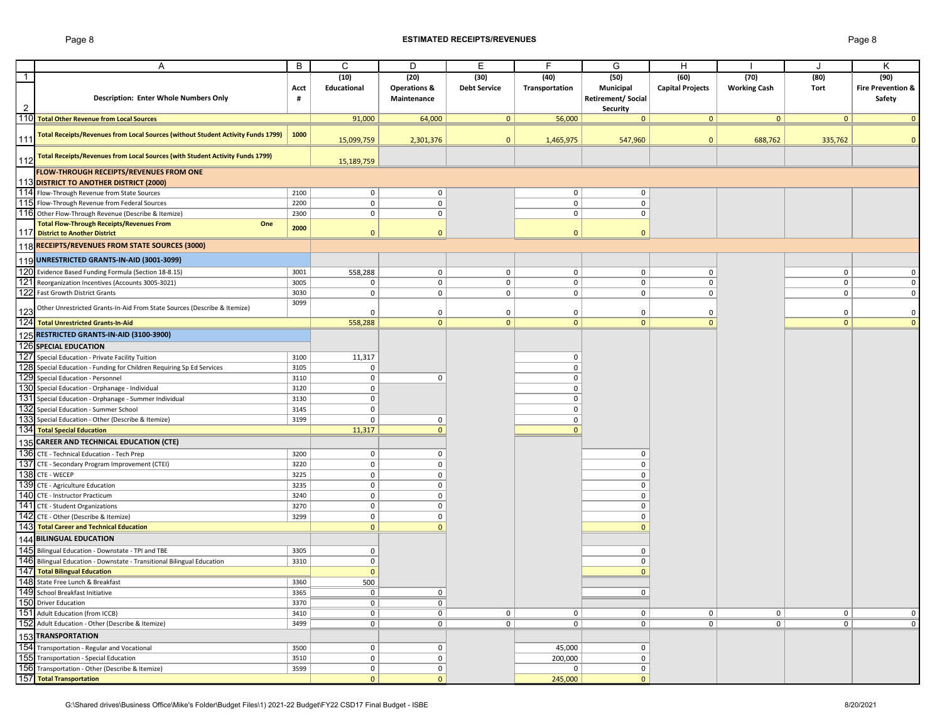## Page 8 **ESTIMATED RECEIPTS/REVENUES** Page 8

|     | Α                                                                                | B            | C                       | D                       | Е                   | F                          | G                         | н                          |                     |                            | κ                            |
|-----|----------------------------------------------------------------------------------|--------------|-------------------------|-------------------------|---------------------|----------------------------|---------------------------|----------------------------|---------------------|----------------------------|------------------------------|
| - 1 |                                                                                  |              | (10)                    | (20)                    | (30)                | (40)                       | (50)                      | (60)                       | (70)                | (80)                       | (90)                         |
|     |                                                                                  | Acct         | Educational             | <b>Operations &amp;</b> | <b>Debt Service</b> | Transportation             | Municipal                 | <b>Capital Projects</b>    | <b>Working Cash</b> | Tort                       | <b>Fire Prevention &amp;</b> |
|     | <b>Description: Enter Whole Numbers Only</b>                                     | #            |                         | Maintenance             |                     |                            | <b>Retirement/ Social</b> |                            |                     |                            | Safety                       |
| 2   |                                                                                  |              |                         |                         |                     |                            | Security                  |                            |                     |                            |                              |
|     | 110 Total Other Revenue from Local Sources                                       |              | 91,000                  | 64,000                  | 0                   | 56,000                     | $\mathbf{0}$              | $\mathbf{0}$               | 0                   | 0                          | $\overline{0}$               |
|     |                                                                                  |              |                         |                         |                     |                            |                           |                            |                     |                            |                              |
| 111 | Total Receipts/Revenues from Local Sources (without Student Activity Funds 1799) | 1000         | 15,099,759              | 2,301,376               | $\mathbf{0}$        | 1,465,975                  | 547,960                   | $\mathbf{0}$               | 688,762             | 335,762                    | $\Omega$                     |
|     |                                                                                  |              |                         |                         |                     |                            |                           |                            |                     |                            |                              |
| 112 | Total Receipts/Revenues from Local Sources (with Student Activity Funds 1799)    |              | 15,189,759              |                         |                     |                            |                           |                            |                     |                            |                              |
|     | FLOW-THROUGH RECEIPTS/REVENUES FROM ONE                                          |              |                         |                         |                     |                            |                           |                            |                     |                            |                              |
|     | 113 DISTRICT TO ANOTHER DISTRICT (2000)                                          |              |                         |                         |                     |                            |                           |                            |                     |                            |                              |
|     | 114 Flow-Through Revenue from State Sources                                      | 2100         | 0                       | 0                       |                     | $\mathbf{0}$               | 0                         |                            |                     |                            |                              |
|     | 115 Flow-Through Revenue from Federal Sources                                    | 2200         | 0                       | $\mathsf 0$             |                     | $\mathbf 0$                | $\mathbf 0$               |                            |                     |                            |                              |
|     | 116 Other Flow-Through Revenue (Describe & Itemize)                              | 2300         | $\mathbf 0$             | $\mathsf 0$             |                     | $\mathbf 0$                | $\mathbf 0$               |                            |                     |                            |                              |
|     | <b>Total Flow-Through Receipts/Revenues From</b><br>One                          |              |                         |                         |                     |                            |                           |                            |                     |                            |                              |
|     | 117 District to Another District                                                 | 2000         | $\mathbf{0}$            | $\mathbf{0}$            |                     | $\mathbf{0}$               | $\mathbf{0}$              |                            |                     |                            |                              |
|     | 118 RECEIPTS/REVENUES FROM STATE SOURCES (3000)                                  |              |                         |                         |                     |                            |                           |                            |                     |                            |                              |
|     | 119 UNRESTRICTED GRANTS-IN-AID (3001-3099)                                       |              |                         |                         |                     |                            |                           |                            |                     |                            |                              |
|     | 120 Evidence Based Funding Formula (Section 18-8.15)                             |              |                         |                         |                     |                            |                           |                            |                     |                            |                              |
|     | 121 Reorganization Incentives (Accounts 3005-3021)                               | 3001<br>3005 | 558,288<br>0            | 0<br>$\mathsf 0$        | 0<br>0              | $\mathbf 0$<br>$\mathbf 0$ | 0<br>$\mathbf 0$          | $\mathbf 0$<br>$\mathbf 0$ |                     | $\mathbf 0$<br>$\mathbf 0$ | $\Omega$<br>$\mathbf 0$      |
|     | 122 Fast Growth District Grants                                                  | 3030         | 0                       | 0                       | 0                   | $\mathbf 0$                | 0                         | $\mathbf 0$                |                     | 0                          | $\Omega$                     |
|     |                                                                                  | 3099         |                         |                         |                     |                            |                           |                            |                     |                            |                              |
|     | 123 Other Unrestricted Grants-In-Aid From State Sources (Describe & Itemize)     |              | $\Omega$                | 0                       | 0                   | 0                          | $\mathbf 0$               | $\mathbf 0$                |                     | $\Omega$                   | $\Omega$                     |
|     | 124 Total Unrestricted Grants-In-Aid                                             |              | 558,288                 | $\mathbf{0}$            | $\mathbf{0}$        | $\mathbf{0}$               | $\mathbf{0}$              | $\Omega$                   |                     | $\mathbf{0}$               | $\Omega$                     |
|     | 125 RESTRICTED GRANTS-IN-AID (3100-3900)                                         |              |                         |                         |                     |                            |                           |                            |                     |                            |                              |
|     | <b>126 SPECIAL EDUCATION</b>                                                     |              |                         |                         |                     |                            |                           |                            |                     |                            |                              |
|     | 127 Special Education - Private Facility Tuition                                 | 3100         | 11,317                  |                         |                     | $\mathbf 0$                |                           |                            |                     |                            |                              |
|     | 128 Special Education - Funding for Children Requiring Sp Ed Services            | 3105         | 0                       |                         |                     | $\mathsf 0$                |                           |                            |                     |                            |                              |
|     | 129 Special Education - Personnel                                                | 3110         | 0                       | $\mathbf 0$             |                     | $\mathsf 0$                |                           |                            |                     |                            |                              |
|     | 130 Special Education - Orphanage - Individual                                   | 3120         | 0                       |                         |                     | $\mathbf 0$                |                           |                            |                     |                            |                              |
|     | 131 Special Education - Orphanage - Summer Individual                            | 3130         | 0                       |                         |                     | $\mathbf 0$                |                           |                            |                     |                            |                              |
|     | 132 Special Education - Summer School                                            | 3145         | 0                       |                         |                     | $\mathbf 0$                |                           |                            |                     |                            |                              |
|     | 133 Special Education - Other (Describe & Itemize)                               | 3199         | $\mathbf 0$             | 0                       |                     | $\mathbf 0$                |                           |                            |                     |                            |                              |
|     | 134 Total Special Education                                                      |              | 11,317                  | $\mathbf{0}$            |                     | $\mathbf{0}$               |                           |                            |                     |                            |                              |
|     | 135 CAREER AND TECHNICAL EDUCATION (CTE)                                         |              |                         |                         |                     |                            |                           |                            |                     |                            |                              |
|     | 136 CTE - Technical Education - Tech Prep                                        | 3200         | 0                       | $\mathsf 0$             |                     |                            | 0                         |                            |                     |                            |                              |
|     | 137 CTE - Secondary Program Improvement (CTEI)                                   | 3220         | 0                       | $\mathsf{O}\xspace$     |                     |                            | $\mathbf 0$               |                            |                     |                            |                              |
|     | 138 CTE - WECEP                                                                  | 3225         | 0                       | $\mathsf 0$             |                     |                            | $\mathbf 0$               |                            |                     |                            |                              |
|     | 139 CTE - Agriculture Education                                                  | 3235         | 0                       | $\mathsf 0$             |                     |                            | 0                         |                            |                     |                            |                              |
|     | 140 CTE - Instructor Practicum                                                   | 3240         | 0                       | $\mathsf 0$             |                     |                            | 0                         |                            |                     |                            |                              |
|     | 141 CTE - Student Organizations                                                  | 3270         | 0                       | $\mathsf 0$             |                     |                            | 0                         |                            |                     |                            |                              |
|     | 142 CTE - Other (Describe & Itemize)                                             | 3299         | 0                       | $\mathsf 0$             |                     |                            | $\mathbf 0$               |                            |                     |                            |                              |
|     | 143 Total Career and Technical Education                                         |              | $\mathbf{0}$            | $\mathbf{0}$            |                     |                            | $\mathbf{0}$              |                            |                     |                            |                              |
|     | <b>144 BILINGUAL EDUCATION</b>                                                   |              |                         |                         |                     |                            |                           |                            |                     |                            |                              |
|     | 145 Bilingual Education - Downstate - TPI and TBE                                | 3305         | 0                       |                         |                     |                            | 0                         |                            |                     |                            |                              |
|     | 146 Bilingual Education - Downstate - Transitional Bilingual Education           | 3310         | 0                       |                         |                     |                            | $\mathbf 0$               |                            |                     |                            |                              |
|     | 147 Total Bilingual Education                                                    |              | $\mathbf{0}$            |                         |                     |                            | $\mathbf{0}$              |                            |                     |                            |                              |
|     | 148 State Free Lunch & Breakfast                                                 | 3360         | 500                     |                         |                     |                            |                           |                            |                     |                            |                              |
|     | 149 School Breakfast Initiative                                                  | 3365         | $\overline{\mathsf{O}}$ | $\overline{0}$          |                     |                            | 0                         |                            |                     |                            |                              |
|     | 150 Driver Education                                                             | 3370         | 0 <sup>1</sup>          | $\mathsf{O}\xspace$     |                     |                            |                           |                            |                     |                            |                              |
|     | 151 Adult Education (from ICCB)                                                  | 3410         | $\circ$                 | 0 <sup>1</sup>          | 0                   | $\overline{0}$             | 0                         | $\mathbf 0$                | $\circ$             | 0                          | 0                            |
|     | 152 Adult Education - Other (Describe & Itemize)                                 | 3499         | $\circ$                 | 0                       | 0                   | $\overline{0}$             | 0                         | 0 <sup>1</sup>             | $\circ$             | 0                          | $\mathbf 0$                  |
|     | 153 TRANSPORTATION                                                               |              |                         |                         |                     |                            |                           |                            |                     |                            |                              |
|     | 154 Transportation - Regular and Vocational                                      | 3500         | $\mathbf 0$             | 0                       |                     | 45,000                     | 0                         |                            |                     |                            |                              |
|     | 155 Transportation - Special Education                                           | 3510         | $\mathbf 0$             | $\mathbf 0$             |                     | 200,000                    | 0                         |                            |                     |                            |                              |
|     | 156 Transportation - Other (Describe & Itemize)                                  | 3599         | $\mathbf 0$             | $\mathsf 0$             |                     | 0                          | $\mathsf 0$               |                            |                     |                            |                              |
|     | 157 Total Transportation                                                         |              | $\mathbf{0}$            | $\mathbf{0}$            |                     | 245,000                    | $\mathbf{0}$              |                            |                     |                            |                              |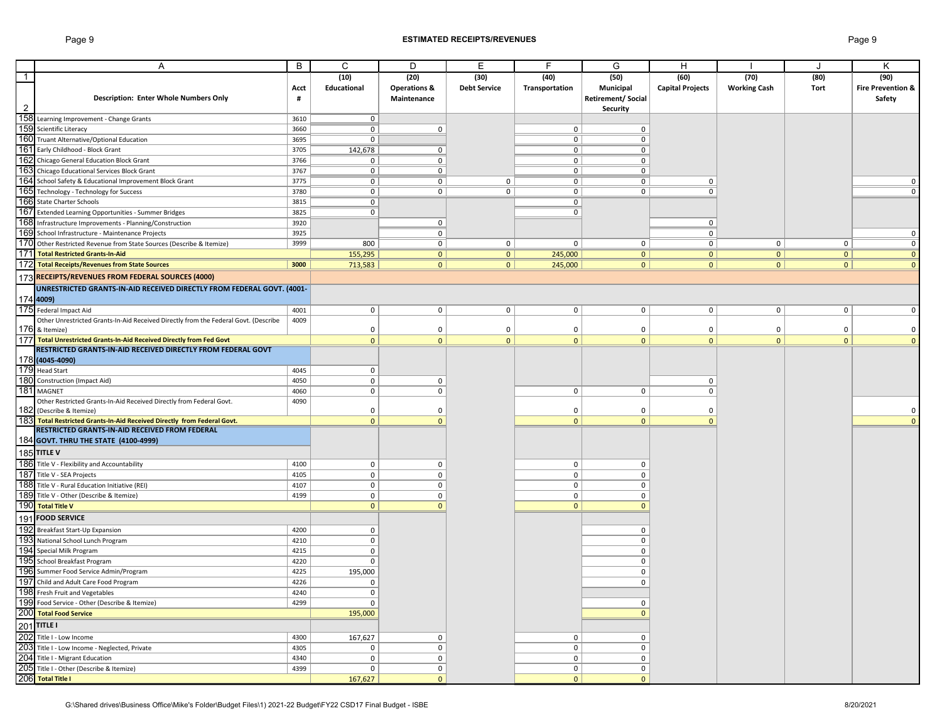## Page 9 **ESTIMATED RECEIPTS/REVENUES** Page 9

|                | Α                                                                                   | B            | C                 | D                                  | E                   | F                          | G                  | H                          |                     |              | κ                            |
|----------------|-------------------------------------------------------------------------------------|--------------|-------------------|------------------------------------|---------------------|----------------------------|--------------------|----------------------------|---------------------|--------------|------------------------------|
| $\overline{1}$ |                                                                                     |              | (10)              | (20)                               | (30)                | (40)                       | (50)               | (60)                       | (70)                | (80)         | (90)                         |
|                |                                                                                     | Acct         | Educational       | <b>Operations &amp;</b>            | <b>Debt Service</b> | Transportation             | Municipal          | <b>Capital Projects</b>    | <b>Working Cash</b> | Tort         | <b>Fire Prevention &amp;</b> |
|                | <b>Description: Enter Whole Numbers Only</b>                                        | #            |                   | Maintenance                        |                     |                            | Retirement/ Social |                            |                     |              | Safety                       |
| $\overline{2}$ |                                                                                     |              |                   |                                    |                     |                            | <b>Security</b>    |                            |                     |              |                              |
|                | 158 Learning Improvement - Change Grants                                            | 3610         | $\overline{0}$    |                                    |                     |                            |                    |                            |                     |              |                              |
|                | 159 Scientific Literacy                                                             | 3660         | 0                 | $\mathbf 0$                        |                     | $\mathbf 0$                | 0                  |                            |                     |              |                              |
|                | 160 Truant Alternative/Optional Education                                           | 3695         | $\circ$           |                                    |                     | 0                          | 0                  |                            |                     |              |                              |
|                | 161 Early Childhood - Block Grant                                                   | 3705         | 142,678           | $\overline{0}$                     |                     | 0                          | 0                  |                            |                     |              |                              |
|                | 162 Chicago General Education Block Grant                                           | 3766         | 0                 | $\overline{0}$                     |                     | 0 <sup>1</sup>             | 0                  |                            |                     |              |                              |
|                | 163 Chicago Educational Services Block Grant                                        | 3767         | 0                 | $\overline{0}$                     |                     | 0                          | 0                  |                            |                     |              |                              |
|                | 164 School Safety & Educational Improvement Block Grant                             | 3775         | 0 <sup>1</sup>    | $\overline{0}$                     | 0 <sup>1</sup>      | 0 <sup>1</sup>             | $\mathsf{O}$       | $\mathbf 0$                |                     |              | $\mathbf 0$                  |
|                | 165 Technology - Technology for Success                                             | 3780         | 0 <sup>1</sup>    | 0 <sup>1</sup>                     | 0 <sup>1</sup>      | 0                          | 0 <sup>1</sup>     | 0                          |                     |              | $\Omega$                     |
|                | 166 State Charter Schools                                                           | 3815         | $\circ$           |                                    |                     | $\mathbf 0$                |                    |                            |                     |              |                              |
|                | 167 Extended Learning Opportunities - Summer Bridges                                | 3825         | $\mathbf 0$       |                                    |                     | $\mathbf 0$                |                    |                            |                     |              |                              |
|                | 168 Infrastructure Improvements - Planning/Construction                             | 3920         |                   | $\mathbf 0$                        |                     |                            |                    | 0                          |                     |              |                              |
|                | 169 School Infrastructure - Maintenance Projects                                    | 3925         |                   | $\overline{\mathfrak{o}}$          |                     |                            |                    | $\mathbf 0$                |                     |              | 0                            |
|                | 170 Other Restricted Revenue from State Sources (Describe & Itemize)                | 3999         | 800               | $\overline{0}$                     | $\overline{0}$      | $\mathbf 0$                | 0                  | $\mathbf 0$                | $\mathsf{O}$        | $\mathbf 0$  | $\mathbf 0$                  |
|                | 171 Total Restricted Grants-In-Aid                                                  |              | 155,295           | 0                                  | 0                   | 245,000                    | 0                  | 0                          | 0                   | 0            | $\mathbf{0}$                 |
|                | 172 Total Receipts/Revenues from State Sources                                      | 3000         | 713,583           | 0                                  | 0 <sup>1</sup>      | 245,000                    | 0 <sup>1</sup>     | 0 <sup>1</sup>             | 0                   | 0            | $\mathbf 0$                  |
|                | 173 RECEIPTS/REVENUES FROM FEDERAL SOURCES (4000)                                   |              |                   |                                    |                     |                            |                    |                            |                     |              |                              |
|                |                                                                                     |              |                   |                                    |                     |                            |                    |                            |                     |              |                              |
|                | UNRESTRICTED GRANTS-IN-AID RECEIVED DIRECTLY FROM FEDERAL GOVT. (4001-              |              |                   |                                    |                     |                            |                    |                            |                     |              |                              |
|                | 174 4009)                                                                           |              |                   |                                    |                     |                            |                    |                            |                     |              |                              |
|                | 175 Federal Impact Aid                                                              | 4001         | 0                 | $\mathbf 0$                        | $\mathbf 0$         | $\mathbf 0$                | 0                  | 0                          | $\mathbf 0$         | $\mathbf 0$  | 0                            |
|                | Other Unrestricted Grants-In-Aid Received Directly from the Federal Govt. (Describe | 4009         |                   |                                    |                     |                            |                    |                            |                     |              |                              |
|                | 176 & Itemize)                                                                      |              | $\mathbf 0$       | $\mathbf 0$                        | $\mathbf 0$         | 0                          | 0                  | $\mathbf 0$                | 0                   | $\mathbf 0$  | 0                            |
|                | 177 Total Unrestricted Grants-In-Aid Received Directly from Fed Govt                |              | $\mathbf{0}$      | $\mathbf{0}$                       | $\mathbf{0}$        | $\mathbf{0}$               | $\mathbf{0}$       | $\mathbf{0}$               | $\mathbf{0}$        | $\mathbf{0}$ | $\Omega$                     |
|                | RESTRICTED GRANTS-IN-AID RECEIVED DIRECTLY FROM FEDERAL GOVT<br>178 (4045-4090)     |              |                   |                                    |                     |                            |                    |                            |                     |              |                              |
|                | 179 Head Start                                                                      | 4045         | $\mathbf 0$       |                                    |                     |                            |                    |                            |                     |              |                              |
|                | 180 Construction (Impact Aid)                                                       | 4050         | $\overline{0}$    |                                    |                     |                            |                    |                            |                     |              |                              |
|                | 181 MAGNET                                                                          | 4060         | $\mathbf 0$       | $\mathbf 0$<br>$\mathsf 0$         |                     | $\mathbf 0$                | 0                  | $\mathbf 0$<br>$\mathbf 0$ |                     |              |                              |
|                | Other Restricted Grants-In-Aid Received Directly from Federal Govt.                 | 4090         |                   |                                    |                     |                            |                    |                            |                     |              |                              |
|                | 182 (Describe & Itemize)                                                            |              | $\mathbf 0$       | $\mathbf 0$                        |                     | $\mathbf 0$                | 0                  | $\mathbf 0$                |                     |              |                              |
|                | 183 Total Restricted Grants-In-Aid Received Directly from Federal Govt.             |              | $\mathbf{0}$      | $\mathbf{0}$                       |                     | $\mathbf{0}$               | $\mathbf{0}$       | $\mathbf{0}$               |                     |              | $\Omega$                     |
|                | RESTRICTED GRANTS-IN-AID RECEIVED FROM FEDERAL                                      |              |                   |                                    |                     |                            |                    |                            |                     |              |                              |
|                | 184 GOVT. THRU THE STATE (4100-4999)                                                |              |                   |                                    |                     |                            |                    |                            |                     |              |                              |
|                | <b>185 TITLE V</b>                                                                  |              |                   |                                    |                     |                            |                    |                            |                     |              |                              |
|                |                                                                                     |              |                   |                                    |                     |                            |                    |                            |                     |              |                              |
|                | 186 Title V - Flexibility and Accountability<br>187 Title V - SEA Projects          | 4100<br>4105 | 0 <br>$\mathbf 0$ | $\mathbf 0$<br>$\mathsf{O}\xspace$ |                     | $\mathbf 0$<br>$\mathbf 0$ | 0<br>0             |                            |                     |              |                              |
|                | 188 Title V - Rural Education Initiative (REI)                                      | 4107         | $\mathbf 0$       | $\mathbf 0$                        |                     | 0                          |                    |                            |                     |              |                              |
|                | 189 Title V - Other (Describe & Itemize)                                            |              | $\mathbf 0$       | $\mathbf 0$                        |                     | 0                          | 0<br>0             |                            |                     |              |                              |
|                | 190 Total Title V                                                                   | 4199         | 0                 | $\mathbf{0}$                       |                     | $\mathbf{0}$               | $\mathbf{0}$       |                            |                     |              |                              |
|                |                                                                                     |              |                   |                                    |                     |                            |                    |                            |                     |              |                              |
|                | 191 FOOD SERVICE                                                                    |              |                   |                                    |                     |                            |                    |                            |                     |              |                              |
|                | 192 Breakfast Start-Up Expansion                                                    | 4200         | $\mathbf 0$       |                                    |                     |                            | 0                  |                            |                     |              |                              |
|                | 193 National School Lunch Program                                                   | 4210         | $\mathsf 0$       |                                    |                     |                            | 0                  |                            |                     |              |                              |
|                | 194 Special Milk Program                                                            | 4215         | $\mathbf 0$       |                                    |                     |                            | 0                  |                            |                     |              |                              |
|                | 195 School Breakfast Program                                                        | 4220         | $\mathbf 0$       |                                    |                     |                            | 0                  |                            |                     |              |                              |
|                | 196 Summer Food Service Admin/Program                                               | 4225         | 195,000           |                                    |                     |                            | 0                  |                            |                     |              |                              |
|                | 197 Child and Adult Care Food Program                                               | 4226         | $\mathsf 0$       |                                    |                     |                            | 0                  |                            |                     |              |                              |
|                | 198 Fresh Fruit and Vegetables                                                      | 4240         | $\mathbf 0$       |                                    |                     |                            |                    |                            |                     |              |                              |
|                | 199 Food Service - Other (Describe & Itemize)                                       | 4299         | $\mathbf 0$       |                                    |                     |                            | 0                  |                            |                     |              |                              |
|                | 200 Total Food Service                                                              |              | 195,000           |                                    |                     |                            | $\mathbf{0}$       |                            |                     |              |                              |
|                | 201 TITLE I                                                                         |              |                   |                                    |                     |                            |                    |                            |                     |              |                              |
|                | 202 Title I - Low Income                                                            | 4300         | 167,627           | $\mathbf 0$                        |                     | $\mathbf 0$                | 0                  |                            |                     |              |                              |
|                | 203 Title I - Low Income - Neglected, Private                                       | 4305         | $\mathbf 0$       | $\mathbf 0$                        |                     | $\mathbf 0$                | 0                  |                            |                     |              |                              |
|                | 204 Title I - Migrant Education                                                     | 4340         | $\mathbf 0$       | $\mathsf 0$                        |                     | $\mathbf 0$                | 0                  |                            |                     |              |                              |
|                | 205 Title I - Other (Describe & Itemize)                                            | 4399         | $\mathsf 0$       | $\mathbf 0$                        |                     | $\mathbf 0$                | 0                  |                            |                     |              |                              |
|                | 206 Total Title I                                                                   |              | 167,627           | $\mathbf{0}$                       |                     | $\mathbf{0}$               | $\mathbf{0}$       |                            |                     |              |                              |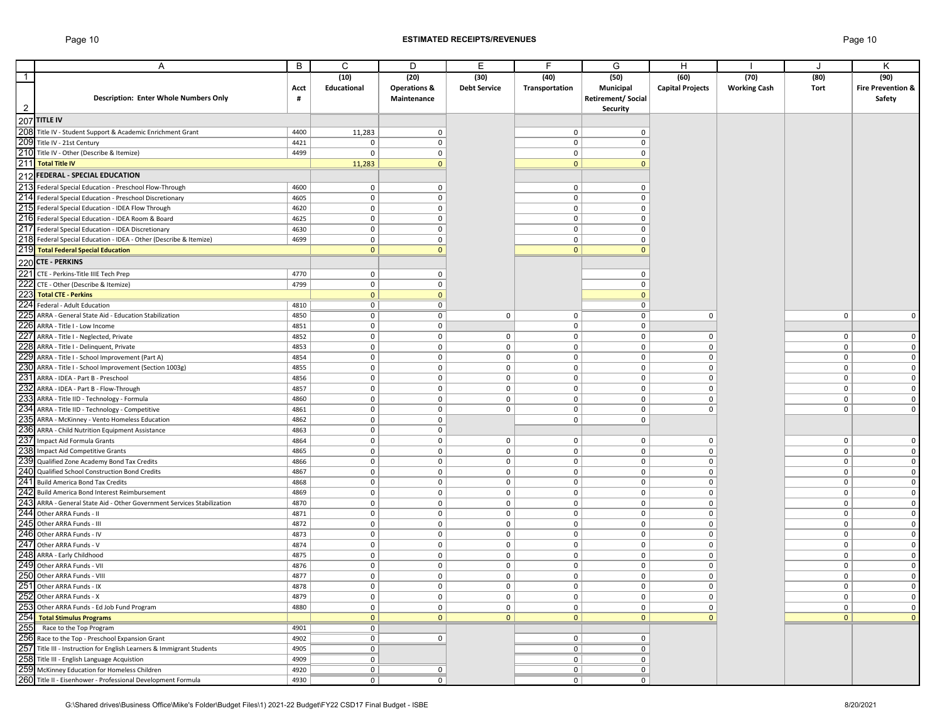|                | A                                                                      | B            | C            | D                       | E                   | F              | G                         | H                       |                     |              | K                            |
|----------------|------------------------------------------------------------------------|--------------|--------------|-------------------------|---------------------|----------------|---------------------------|-------------------------|---------------------|--------------|------------------------------|
| $\overline{1}$ |                                                                        |              | (10)         | (20)                    | (30)                | (40)           | (50)                      | (60)                    | (70)                | (80)         | (90)                         |
|                |                                                                        | Acct         | Educational  | <b>Operations &amp;</b> | <b>Debt Service</b> | Transportation | Municipal                 | <b>Capital Projects</b> | <b>Working Cash</b> | Tort         | <b>Fire Prevention &amp;</b> |
|                | <b>Description: Enter Whole Numbers Only</b>                           | #            |              | Maintenance             |                     |                | <b>Retirement/ Social</b> |                         |                     |              | Safety                       |
| 2              |                                                                        |              |              |                         |                     |                | Security                  |                         |                     |              |                              |
|                |                                                                        |              |              |                         |                     |                |                           |                         |                     |              |                              |
|                | 207 TITLE IV                                                           |              |              |                         |                     |                |                           |                         |                     |              |                              |
|                | 208 Title IV - Student Support & Academic Enrichment Grant             | 4400         | 11,283       | 0                       |                     | $\mathbf 0$    | $\mathbf 0$               |                         |                     |              |                              |
|                | 209 Title IV - 21st Century                                            | 4421         | $\mathbf 0$  | $\mathsf 0$             |                     | $\mathbf 0$    | $\mathbf 0$               |                         |                     |              |                              |
|                | 210 Title IV - Other (Describe & Itemize)                              | 4499         | $\mathbf 0$  | $\mathsf 0$             |                     | $\mathbf 0$    | $\mathbf 0$               |                         |                     |              |                              |
|                | 211 Total Title IV                                                     |              | 11,283       | $\mathbf{0}$            |                     | $\mathbf{0}$   | $\mathbf{0}$              |                         |                     |              |                              |
|                | 212 FEDERAL - SPECIAL EDUCATION                                        |              |              |                         |                     |                |                           |                         |                     |              |                              |
|                | 213 Federal Special Education - Preschool Flow-Through                 | 4600         | 0            | 0                       |                     | $\mathbf 0$    | 0                         |                         |                     |              |                              |
|                |                                                                        |              |              |                         |                     |                |                           |                         |                     |              |                              |
|                | 214 Federal Special Education - Preschool Discretionary                | 4605         | 0            | 0                       |                     | $\mathbf 0$    | 0                         |                         |                     |              |                              |
|                | 215 Federal Special Education - IDEA Flow Through                      | 4620         | 0            | $\mathsf 0$             |                     | $\mathbf 0$    | $\mathbf 0$               |                         |                     |              |                              |
|                | 216 Federal Special Education - IDEA Room & Board                      | 4625         | 0            | $\mathsf 0$             |                     | $\mathbf 0$    | 0                         |                         |                     |              |                              |
|                | 217 Federal Special Education - IDEA Discretionary                     | 4630         | 0            | $\mathsf 0$             |                     | $\mathbf 0$    | 0                         |                         |                     |              |                              |
|                | 218 Federal Special Education - IDEA - Other (Describe & Itemize)      | 4699         | 0            | $\mathsf 0$             |                     | $\mathbf 0$    | 0                         |                         |                     |              |                              |
|                | 219 Total Federal Special Education                                    |              | $\mathbf{0}$ | $\mathbf{0}$            |                     | $\mathbf{0}$   | $\mathbf{0}$              |                         |                     |              |                              |
|                | 220 CTE - PERKINS                                                      |              |              |                         |                     |                |                           |                         |                     |              |                              |
|                | 221 CTE - Perkins-Title IIIE Tech Prep                                 | 4770         | 0            | 0                       |                     |                | 0                         |                         |                     |              |                              |
|                | 222 CTE - Other (Describe & Itemize)                                   | 4799         | 0            | $\mathsf 0$             |                     |                | $\mathbf 0$               |                         |                     |              |                              |
|                |                                                                        |              |              |                         |                     |                |                           |                         |                     |              |                              |
|                | 223 Total CTE - Perkins                                                |              | $\mathbf{0}$ | $\mathbf 0$             |                     |                | $\mathbf 0$               |                         |                     |              |                              |
|                | 224 Federal - Adult Education                                          | 4810         | 0            | $\mathsf 0$             |                     |                | $\mathbf 0$               |                         |                     |              |                              |
|                | 225 ARRA - General State Aid - Education Stabilization                 | 4850         | $\mathbf 0$  | 0                       | $\mathbf 0$         | $\mathbf 0$    | 0                         | $\mathbf 0$             |                     | $\mathbf 0$  | 0                            |
|                | 226 ARRA - Title I - Low Income                                        | 4851         | $\mathbf 0$  | $\mathsf 0$             |                     | $\mathbf 0$    | $\mathbf 0$               |                         |                     |              |                              |
|                | 227 ARRA - Title I - Neglected, Private                                | 4852         | $\mathbf 0$  | 0                       | $\mathbf 0$         | $\mathbf 0$    | 0                         | 0                       |                     | $\mathbf 0$  | $\Omega$                     |
|                | 228 ARRA - Title I - Delinquent, Private                               | 4853         | $\mathbf 0$  | $\mathbf 0$             | $\mathbf 0$         | $\mathbf 0$    | $\mathbf 0$               | $\mathbf 0$             |                     | $\mathbf 0$  | $\Omega$                     |
|                | 229 ARRA - Title I - School Improvement (Part A)                       | 4854         | 0            | $\mathbf 0$             | $\mathbf{0}$        | $\mathbf 0$    | $\mathbf 0$               | 0                       |                     | $\mathbf 0$  | $\Omega$                     |
|                | 230 ARRA - Title I - School Improvement (Section 1003g)                | 4855         | $\mathbf 0$  | $\mathsf 0$             | $\mathbf 0$         | $\mathbf 0$    | $\mathbf 0$               | $\mathbf 0$             |                     | $\mathbf 0$  | $\mathbf 0$                  |
|                | 231 ARRA - IDEA - Part B - Preschool                                   | 4856         | $\mathbf 0$  | $\mathbf 0$             | $\mathbf 0$         | $\mathbf 0$    | $\mathbf 0$               | $\mathbf 0$             |                     | $\mathbf 0$  | $\Omega$                     |
|                | 232 ARRA - IDEA - Part B - Flow-Through                                | 4857         | $\mathbf 0$  | 0                       | 0                   | $\mathbf 0$    | $\mathbf 0$               | $\mathbf 0$             |                     | $\mathbf 0$  | 0                            |
|                | 233 ARRA - Title IID - Technology - Formula                            | 4860         | $\mathbf 0$  | 0                       | 0                   | $\mathbf 0$    | $\mathbf 0$               | $\mathbf 0$             |                     | $\mathbf 0$  | 0                            |
|                | 234 ARRA - Title IID - Technology - Competitive                        | 4861         | 0            | 0                       | $\mathbf{0}$        | $\mathbf 0$    | 0                         | $\mathbf 0$             |                     | $\mathbf{0}$ | 0                            |
|                | 235 ARRA - McKinney - Vento Homeless Education                         | 4862         | $\mathbf 0$  | 0                       |                     | $\mathbf 0$    | $\mathbf 0$               |                         |                     |              |                              |
|                | 236 ARRA - Child Nutrition Equipment Assistance                        | 4863         | 0            | $\mathsf 0$             |                     |                |                           |                         |                     |              |                              |
|                |                                                                        |              |              |                         |                     |                |                           |                         |                     |              |                              |
|                | 237 Impact Aid Formula Grants                                          | 4864         | 0            | $\mathsf 0$             | $\mathbf 0$         | $\mathbf 0$    | 0                         | $\mathbf 0$             |                     | $\mathbf 0$  | $\mathbf 0$                  |
|                | 238 Impact Aid Competitive Grants                                      | 4865         | 0            | 0                       | $\mathbf 0$         | $\mathbf 0$    | 0                         | $\mathbf 0$             |                     | $\mathbf 0$  | 0                            |
|                | 239 Qualified Zone Academy Bond Tax Credits                            | 4866         | 0            | 0                       | $\mathbf 0$         | $\mathbf 0$    | 0                         | $\mathbf 0$             |                     | $\mathbf 0$  | 0                            |
|                | 240 Qualified School Construction Bond Credits                         | 4867         | 0            | 0                       | $\mathbf 0$         | $\mathbf 0$    | 0                         | $\mathbf 0$             |                     | $\mathbf 0$  | $\Omega$                     |
|                | 241 Build America Bond Tax Credits                                     | 4868         | 0            | $\mathbf 0$             | $\mathbf 0$         | $\mathbf 0$    | $\mathbf 0$               | 0                       |                     | $\mathbf{0}$ | $\Omega$                     |
|                | 242 Build America Bond Interest Reimbursement                          | 4869         | 0            | $\mathbf 0$             | $\mathbf 0$         | $\mathbf 0$    | $\mathbf 0$               | 0                       |                     | $\mathbf 0$  | $\Omega$                     |
|                | 243 ARRA - General State Aid - Other Government Services Stabilization | 4870         | 0            | $\mathsf 0$             | $\mathbf 0$         | $\mathbf 0$    | $\mathbf 0$               | $\mathbf 0$             |                     | $\mathbf 0$  | $\Omega$                     |
|                | 244 Other ARRA Funds - II                                              | 4871         | 0            | $\mathbf 0$             | $\mathbf 0$         | $\mathbf 0$    | $\mathbf 0$               | $\mathbf 0$             |                     | $\mathbf 0$  | 0                            |
|                | 245 Other ARRA Funds - III                                             | 4872         | $\mathbf 0$  | $\mathsf 0$             | 0                   | $\mathbf 0$    | $\mathbf 0$               | $\mathbf 0$             |                     | $\mathbf 0$  | 0                            |
|                | 246 Other ARRA Funds - IV                                              | 4873         | $\mathbf 0$  | $\mathbf 0$             | 0                   | $\mathbf 0$    | $\mathbf 0$               | $\mathbf 0$             |                     | $\mathbf 0$  | $\Omega$                     |
|                | 247 Other ARRA Funds - V                                               | 4874         | $\mathbf 0$  | $\mathbf 0$             | $\mathbf{0}$        | $\mathbf 0$    | $\mathbf 0$               | $\mathbf 0$             |                     | $\mathbf{0}$ | $\Omega$                     |
|                | 248 ARRA - Early Childhood                                             | 4875         | 0            | $\mathbf 0$             | $\mathbf{0}$        | $\mathbf 0$    | $\mathbf 0$               | 0                       |                     | 0            | $\Omega$                     |
|                | 249 Other ARRA Funds - VII                                             | 4876         | 0            | 0                       | 0                   | $\mathbf 0$    | $\mathbf 0$               | 0                       |                     | $\mathbf 0$  | 0                            |
|                | 250 Other ARRA Funds - VIII                                            | 4877         | 0            | $\mathbf 0$             | $\mathbf 0$         | $\mathsf 0$    | 0                         | $\mathbf 0$             |                     | 0            | $\Omega$                     |
|                | 251 Other ARRA Funds - IX                                              | 4878         | 0            | $\mathbf 0$             | $\mathbf 0$         | $\mathbf 0$    | 0                         | $\mathbf{0}$            |                     | $\mathbf{0}$ | $\mathbf 0$                  |
|                | 252 Other ARRA Funds - X                                               |              |              | 0                       | 0                   | $\mathbf{0}$   | 0                         | $\mathbf 0$             |                     | $\mathbf 0$  |                              |
|                | 253 Other ARRA Funds - Ed Job Fund Program                             | 4879<br>4880 | 0            |                         |                     |                | $\mathbf 0$               |                         |                     |              | 0                            |
|                |                                                                        |              | 0            | 0                       | $\mathbf 0$         | $\mathsf 0$    |                           | $\mathbf 0$             |                     | $\mathsf{O}$ | $\mathbf 0$                  |
|                | 254 Total Stimulus Programs                                            |              | $\mathbf{0}$ | 0                       | 0                   | $\mathbf{0}$   | $\mathbf{0}$              | $\mathbf{0}$            |                     | 0            | $\Omega$                     |
|                | 255 Race to the Top Program                                            | 4901         | 0            |                         |                     |                |                           |                         |                     |              |                              |
|                | 256 Race to the Top - Preschool Expansion Grant                        | 4902         | $\mathsf{O}$ | $\mathsf 0$             |                     | $\mathsf{O}$   | $\mathsf 0$               |                         |                     |              |                              |
|                | 257 Title III - Instruction for English Learners & Immigrant Students  | 4905         | $\mathbf 0$  |                         |                     | $\mathbf{0}$   | $\mathsf 0$               |                         |                     |              |                              |
|                | 258 Title III - English Language Acquistion                            | 4909         | 0            |                         |                     | $\overline{0}$ | 0                         |                         |                     |              |                              |
|                | 259 McKinney Education for Homeless Children                           | 4920         | 0            | $\mathbf 0$             |                     | $\overline{0}$ | $\mathbf 0$               |                         |                     |              |                              |
|                | 260 Title II - Eisenhower - Professional Development Formula           | 4930         | 0            | $\mathbf 0$             |                     | $\overline{0}$ | 0                         |                         |                     |              |                              |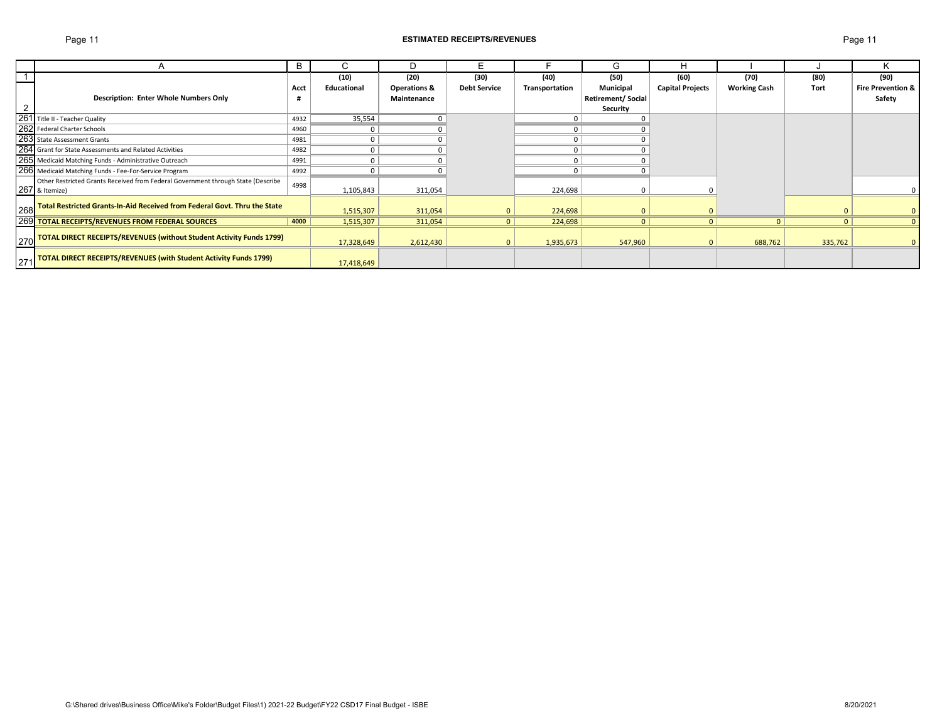## Page 11 **ESTIMATED RECEIPTS/REVENUES** Page 11

|                                                                                       | B    |                | D                       | E.                  |                | G                         |                         |                     |              |                              |
|---------------------------------------------------------------------------------------|------|----------------|-------------------------|---------------------|----------------|---------------------------|-------------------------|---------------------|--------------|------------------------------|
|                                                                                       |      | (10)           | (20)                    | (30)                | (40)           | (50)                      | (60)                    | (70)                | (80)         | (90)                         |
|                                                                                       | Acct | Educational    | <b>Operations &amp;</b> | <b>Debt Service</b> | Transportation | Municipal                 | <b>Capital Projects</b> | <b>Working Cash</b> | Tort         | <b>Fire Prevention &amp;</b> |
| <b>Description: Enter Whole Numbers Only</b>                                          |      |                | Maintenance             |                     |                | <b>Retirement/ Social</b> |                         |                     |              | Safety                       |
|                                                                                       |      |                |                         |                     |                | Security                  |                         |                     |              |                              |
| 261 Title II - Teacher Quality                                                        | 4932 | 35,554         |                         |                     |                |                           |                         |                     |              |                              |
| 262 Federal Charter Schools                                                           | 4960 |                |                         |                     |                |                           |                         |                     |              |                              |
| 263 State Assessment Grants                                                           | 4981 | $\overline{0}$ |                         |                     | $\mathbf 0$    |                           |                         |                     |              |                              |
| 264 Grant for State Assessments and Related Activities                                | 4982 | 0 <sup>1</sup> |                         |                     | $\Omega$       |                           |                         |                     |              |                              |
| 265 Medicaid Matching Funds - Administrative Outreach                                 | 4991 | 0 <sup>1</sup> |                         |                     | $\mathbf 0$    |                           |                         |                     |              |                              |
| 266 Medicaid Matching Funds - Fee-For-Service Program                                 | 4992 | $\overline{0}$ |                         |                     | $\mathbf 0$    |                           |                         |                     |              |                              |
| Other Restricted Grants Received from Federal Government through State (Describe      | 4998 |                |                         |                     |                |                           |                         |                     |              |                              |
| 267 & Itemize)                                                                        |      | 1,105,843      | 311,054                 |                     | 224,698        | 0                         |                         |                     |              |                              |
| 268 Total Restricted Grants-In-Aid Received from Federal Govt. Thru the State         |      |                |                         |                     |                |                           |                         |                     |              |                              |
|                                                                                       |      | 1,515,307      | 311,054                 |                     | 224,698        |                           | $\Omega$                |                     |              |                              |
| 269 TOTAL RECEIPTS/REVENUES FROM FEDERAL SOURCES                                      | 4000 | 1,515,307      | 311,054                 | $\mathbf{0}$        | 224,698        | $\mathbf{0}$              | $\mathbf{0}$            | $\mathbf{0}$        | $\mathbf{0}$ | $\mathbf 0$                  |
| 270 <mark>TOTAL DIRECT RECEIPTS/REVENUES (without Student Activity Funds 1799)</mark> |      |                |                         |                     |                |                           |                         |                     |              |                              |
|                                                                                       |      | 17,328,649     | 2,612,430               | $\Omega$            | 1,935,673      | 547,960                   | $\Omega$                | 688,762             | 335,762      | $\Omega$                     |
| 271 TOTAL DIRECT RECEIPTS/REVENUES (with Student Activity Funds 1799)                 |      | 17,418,649     |                         |                     |                |                           |                         |                     |              |                              |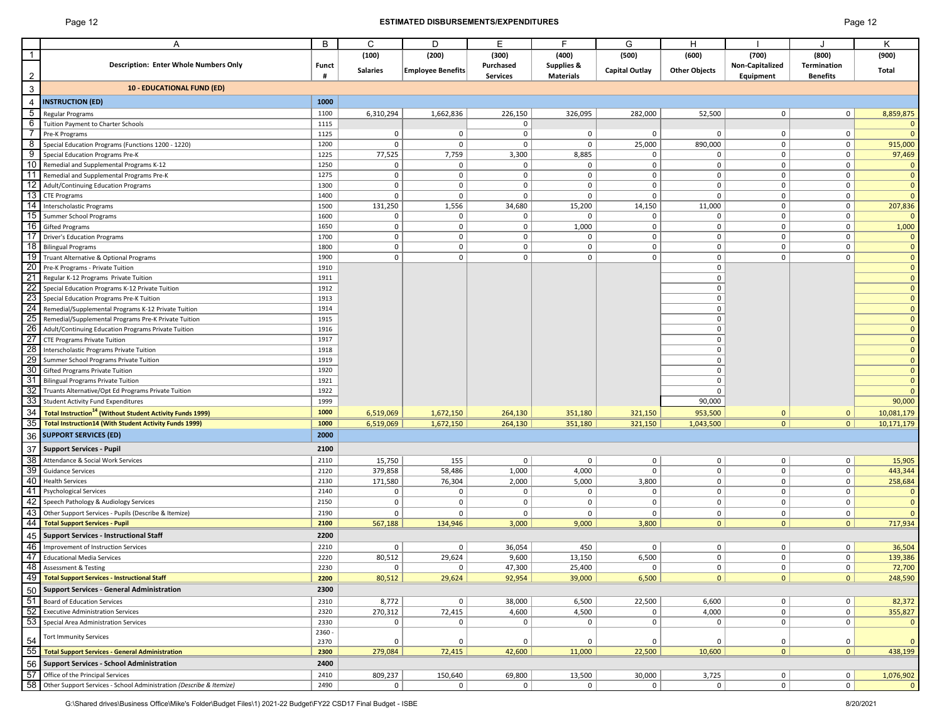## Page 12 **ESTIMATED DISBURSEMENTS/EXPENDITURES** Page 12

|                | Α                                                                           | B            | C                       | D                        | E               | F.                    | G                     | н                    |                 |                 | Κ                 |
|----------------|-----------------------------------------------------------------------------|--------------|-------------------------|--------------------------|-----------------|-----------------------|-----------------------|----------------------|-----------------|-----------------|-------------------|
| $\mathbf{1}$   |                                                                             |              | (100)                   | (200)                    | (300)           | (400)                 | (500)                 | (600)                | (700)           | (800)           | (900)             |
|                | Description: Enter Whole Numbers Only                                       | <b>Funct</b> | <b>Salaries</b>         | <b>Employee Benefits</b> | Purchased       | <b>Supplies &amp;</b> | <b>Capital Outlay</b> | <b>Other Objects</b> | Non-Capitalized | Termination     | Total             |
| $\overline{2}$ |                                                                             | #            |                         |                          | <b>Services</b> | <b>Materials</b>      |                       |                      | Equipment       | <b>Benefits</b> |                   |
| 3              | <b>10 - EDUCATIONAL FUND (ED)</b>                                           |              |                         |                          |                 |                       |                       |                      |                 |                 |                   |
| 4              | <b>INSTRUCTION (ED)</b>                                                     | 1000         |                         |                          |                 |                       |                       |                      |                 |                 |                   |
| 5              |                                                                             |              |                         |                          |                 |                       |                       |                      |                 |                 |                   |
| 6              | <b>Regular Programs</b>                                                     | 1100<br>1115 | 6,310,294               | 1,662,836                | 226,150<br>0    | 326,095               | 282,000               | 52,500               | $\mathbf 0$     | $\mathbf 0$     | 8,859,875         |
| 7              | Tuition Payment to Charter Schools                                          | 1125         | 0                       | $\mathbf 0$              | $\mathbf 0$     | 0                     | 0                     | 0                    | $\mathbf 0$     | $\mathbf 0$     | 0<br>$\mathbf{0}$ |
| 8              | Pre-K Programs<br>Special Education Programs (Functions 1200 - 1220)        | 1200         | $\mathsf 0$             | $\mathsf{O}$             | $\mathbf 0$     | $\mathsf 0$           | 25,000                | 890,000              | $\mathsf 0$     | $\mathsf 0$     | 915,000           |
| 9              | Special Education Programs Pre-K                                            | 1225         | 77,525                  | 7,759                    | 3,300           | 8,885                 | 0                     | 0                    | $\mathbf 0$     | 0               | 97,469            |
| 10             | Remedial and Supplemental Programs K-12                                     | 1250         | 0                       | $\mathbf 0$              | $\mathbf 0$     | $\mathbf 0$           | $\mathbf 0$           | $\mathbf{0}$         | $\mathsf 0$     | $\mathsf 0$     | $\mathbf 0$       |
|                | Remedial and Supplemental Programs Pre-K                                    | 1275         | $\mathsf 0$             | $\mathsf{O}$             | $\mathbf 0$     | $\mathbf 0$           | $\mathbf 0$           | $\mathbf{0}$         | $\mathsf 0$     | $\mathsf 0$     | $\mathbf{0}$      |
|                | Adult/Continuing Education Programs                                         | 1300         | $\mathsf 0$             | $\mathbf 0$              | $\mathbf 0$     | $\mathbf 0$           | $\mathbf 0$           | $\mathbf{0}$         | $\mathbf 0$     | $\mathsf 0$     | $\mathbf{0}$      |
| 13             | <b>CTE Programs</b>                                                         | 1400         | 0                       | $\mathsf{O}$             | $\mathbf 0$     | $\mathbf 0$           | 0                     | $\mathbf{0}$         | $\mathsf 0$     | 0               | $\mathbf 0$       |
|                | Interscholastic Programs                                                    | 1500         | 131,250                 | 1,556                    | 34,680          | 15,200                | 14,150                | 11,000               | $\mathbf 0$     | 0               | 207,836           |
| 15             | Summer School Programs                                                      | 1600         | 0                       | $\mathsf 0$              | $\mathbf 0$     | 0                     | 0                     | $\mathbf 0$          | $\mathsf 0$     | 0               | $\Omega$          |
| 16             | <b>Gifted Programs</b>                                                      | 1650         | $\mathsf 0$             | $\mathsf 0$              | $\mathbf 0$     | 1,000                 | $\mathbf 0$           | $\mathbf 0$          | $\mathbf 0$     | 0               | 1,000             |
| 17             | <b>Driver's Education Programs</b>                                          | 1700         | 0                       | $\mathsf 0$              | $\mathbf 0$     | 0                     | $\mathbf 0$           | $\mathbf 0$          | $\mathbf 0$     | 0               | $\mathbf 0$       |
| 18             | <b>Bilingual Programs</b>                                                   | 1800         | $\mathsf 0$             | $\mathsf{O}$             | $\mathbf 0$     | $\mathsf 0$           | $\mathbf 0$           | $\mathbf 0$          | $\mathsf 0$     | $\mathsf 0$     | $\mathbf 0$       |
| 19             | Truant Alternative & Optional Programs                                      | 1900         | $\mathsf{O}\phantom{0}$ | $\mathsf{O}$             | $\mathbf 0$     | $\mathbf 0$           | $\mathsf{O}$          | $\mathsf 0$          | $\mathbf 0$     | $\mathsf 0$     | $\mathbf 0$       |
| 20             | Pre-K Programs - Private Tuition                                            | 1910         |                         |                          |                 |                       |                       | $\mathsf 0$          |                 |                 | $\mathbf{0}$      |
|                | Regular K-12 Programs Private Tuition                                       | 1911         |                         |                          |                 |                       |                       | $\mathsf 0$          |                 |                 | $\mathbf 0$       |
|                | Special Education Programs K-12 Private Tuition                             | 1912         |                         |                          |                 |                       |                       | $\mathsf 0$          |                 |                 | $\mathbf 0$       |
|                | Special Education Programs Pre-K Tuition                                    | 1913         |                         |                          |                 |                       |                       | $\mathbf 0$          |                 |                 | $\mathbf 0$       |
|                | Remedial/Supplemental Programs K-12 Private Tuition                         | 1914         |                         |                          |                 |                       |                       | $\mathsf 0$          |                 |                 | $\mathbf{0}$      |
|                | Remedial/Supplemental Programs Pre-K Private Tuition                        | 1915         |                         |                          |                 |                       |                       | $\mathbf 0$          |                 |                 | $\mathbf{0}$      |
|                | Adult/Continuing Education Programs Private Tuition                         | 1916         |                         |                          |                 |                       |                       | $\mathbf 0$          |                 |                 | $\mathbf{0}$      |
| 27             | <b>CTE Programs Private Tuition</b>                                         | 1917         |                         |                          |                 |                       |                       | $\mathbf 0$          |                 |                 | $\mathbf{0}$      |
| 28             | Interscholastic Programs Private Tuition                                    | 1918         |                         |                          |                 |                       |                       | $\mathsf 0$          |                 |                 | $\mathbf 0$       |
|                | Summer School Programs Private Tuition                                      | 1919         |                         |                          |                 |                       |                       | $\mathsf 0$          |                 |                 | $\mathbf 0$       |
|                | Gifted Programs Private Tuition                                             | 1920         |                         |                          |                 |                       |                       | $\mathbf 0$          |                 |                 | $\mathbf 0$       |
| 31             | <b>Bilingual Programs Private Tuition</b>                                   | 1921         |                         |                          |                 |                       |                       | $\mathbf 0$          |                 |                 | $\mathbf 0$       |
| 32             | Truants Alternative/Opt Ed Programs Private Tuition                         | 1922         |                         |                          |                 |                       |                       | $\mathbf 0$          |                 |                 | $\overline{0}$    |
| 33             | <b>Student Activity Fund Expenditures</b>                                   | 1999         |                         |                          |                 |                       |                       | 90,000               |                 |                 | 90,000            |
| 34             | <b>Total Instruction<sup>14</sup> (Without Student Activity Funds 1999)</b> | 1000         | 6,519,069               | 1,672,150                | 264,130         | 351,180               | 321,150               | 953,500              | $\mathbf{0}$    | $\mathbf{0}$    | 10,081,179        |
| 35             | <b>Total Instruction14 (With Student Activity Funds 1999)</b>               | 1000         | 6,519,069               | 1,672,150                | 264,130         | 351,180               | 321,150               | 1,043,500            | 0               | $\mathbf{0}$    | 10,171,179        |
| 36             | <b>SUPPORT SERVICES (ED)</b>                                                | 2000         |                         |                          |                 |                       |                       |                      |                 |                 |                   |
|                |                                                                             |              |                         |                          |                 |                       |                       |                      |                 |                 |                   |
| 37             | <b>Support Services - Pupil</b>                                             | 2100         |                         |                          |                 |                       |                       |                      |                 |                 |                   |
| 38             | Attendance & Social Work Services                                           | 2110         | 15,750                  | 155                      | $\mathbf 0$     | $\mathbf 0$           | $\mathbf 0$           | $\mathbf{0}$         | $\pmb{0}$       | $\mathsf 0$     | 15,905            |
|                | <b>Guidance Services</b>                                                    | 2120         | 379,858                 | 58,486                   | 1,000           | 4,000                 | $\mathsf 0$           | $\mathbf 0$          | $\mathsf 0$     | $\mathsf 0$     | 443,344           |
|                | <b>Health Services</b>                                                      | 2130         | 171,580                 | 76,304                   | 2,000           | 5,000                 | 3,800                 | $\overline{0}$       | $\mathsf 0$     | 0               | 258,684           |
| 41             | <b>Psychological Services</b>                                               | 2140         | 0                       | $\mathsf 0$              | $\mathbf 0$     | 0                     | 0                     | $\overline{0}$       | $\mathbf 0$     | 0               | $\mathbf 0$       |
|                | Speech Pathology & Audiology Services                                       | 2150         | 0                       | $\mathbf 0$              | 0               | $\pmb{0}$             | 0                     | $\mathbf{0}$         | $\mathbf 0$     | 0               | $\mathbf 0$       |
|                | Other Support Services - Pupils (Describe & Itemize)                        | 2190         | 0                       | $\mathbf 0$              | 0               | $\pmb{0}$             | 0                     | $\mathbf 0$          | $\mathsf 0$     | 0               | $\mathbf{0}$      |
|                | <b>Total Support Services - Pupil</b>                                       | 2100         | 567,188                 | 134,946                  | 3,000           | 9,000                 | 3,800                 | 0                    | $\mathbf{0}$    | $\mathbf{0}$    | 717,934           |
| 45             | <b>Support Services - Instructional Staff</b>                               | 2200         |                         |                          |                 |                       |                       |                      |                 |                 |                   |
| 46             | Improvement of Instruction Services                                         | 2210         | 0                       | $\mathbf 0$              | 36,054          | 450                   | 0                     | $\mathbf 0$          | $\mathbf 0$     | 0               | 36,504            |
| 47             | <b>Educational Media Services</b>                                           | 2220         | 80,512                  | 29,624                   | 9,600           | 13,150                | 6,500                 | $\mathbf 0$          | $\mathsf 0$     | $\mathsf 0$     | 139,386           |
|                | 48 Assessment & Testing                                                     | 2230         | $\mathbf{0}$            | 0 <sup>1</sup>           | 47,300          | 25,400                | 0 <sup>1</sup>        | 0 <sub>1</sub>       | 0               | $\mathbf{0}$    | 72,700            |
| 49             | <b>Total Support Services - Instructional Staff</b>                         | 2200         | 80,512                  | 29,624                   | 92,954          | 39,000                | 6,500                 | 0                    | 0               | 0               | 248,590           |
| 50             | <b>Support Services - General Administration</b>                            | 2300         |                         |                          |                 |                       |                       |                      |                 |                 |                   |
|                | 51 Board of Education Services                                              | 2310         | 8,772                   | $\overline{0}$           | 38,000          | 6,500                 | 22,500                | 6,600                | $\mathbf 0$     | $\mathbf 0$     | 82,372            |
| 52             | <b>Executive Administration Services</b>                                    | 2320         | 270,312                 | 72,415                   | 4,600           | 4,500                 | 0                     | 4,000                | $\mathsf 0$     | 0               | 355,827           |
| <u>53</u>      | Special Area Administration Services                                        | 2330         | 0                       | $\mathbf 0$              | $\mathbf 0$     | $\mathbf 0$           | 0                     | $\mathbf 0$          | $\mathsf 0$     | 0               | $\pmb{0}$         |
|                |                                                                             | $2360 -$     |                         |                          |                 |                       |                       |                      |                 |                 |                   |
| 54             | <b>Tort Immunity Services</b>                                               | 2370         | 0                       | 0                        | 0               | 0                     | 0                     | 0                    | $\mathsf 0$     | 0               | $\mathbf 0$       |
| 55             | <b>Total Support Services - General Administration</b>                      | 2300         | 279,084                 | 72,415                   | 42,600          | 11,000                | 22,500                | 10,600               | 0               | 0               | 438,199           |
| 56             | <b>Support Services - School Administration</b>                             | 2400         |                         |                          |                 |                       |                       |                      |                 |                 |                   |
| 57             | Office of the Principal Services                                            | 2410         | 809,237                 | 150,640                  | 69,800          | 13,500                | 30,000                | 3,725                | $\mathsf 0$     | 0               | 1,076,902         |
| 58             | Other Support Services - School Administration (Describe & Itemize)         | 2490         | 0                       | $\circ$                  | $\mathbf 0$     | $\mathbf 0$           | 0                     | $\mathbf 0$          | $\mathsf 0$     | $\mathsf{O}$    | $\mathbf 0$       |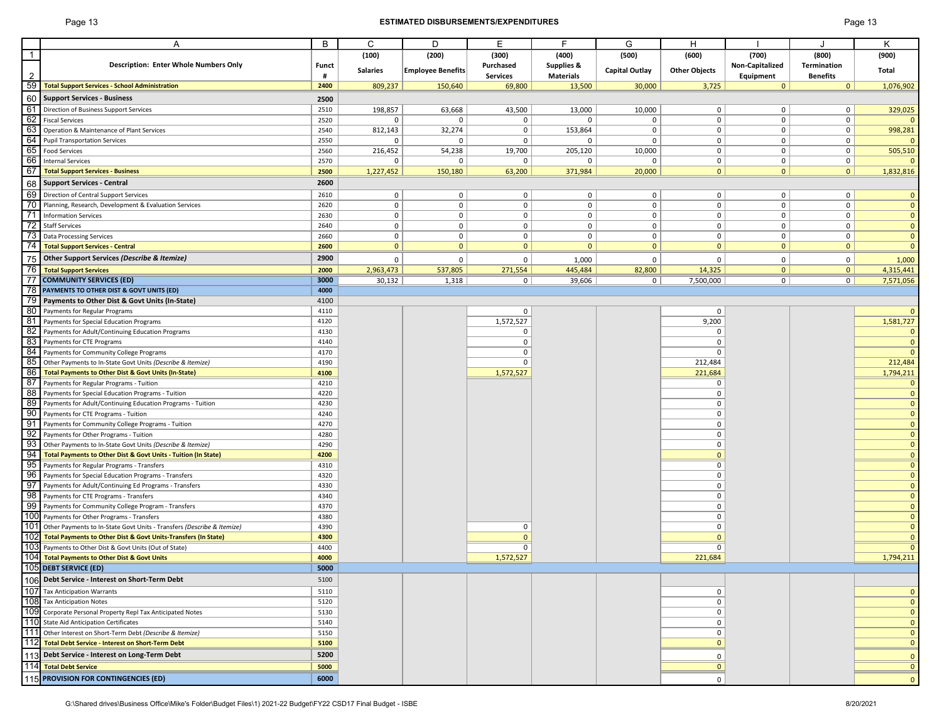## Page 13 **ESTIMATED DISBURSEMENTS/EXPENDITURES** Page 13

| -age | ר |
|------|---|
|------|---|

|                 | A                                                                                                   | B            | C               | D                        | E                   | F.               | G              | H                    |                 |                    | Κ                          |
|-----------------|-----------------------------------------------------------------------------------------------------|--------------|-----------------|--------------------------|---------------------|------------------|----------------|----------------------|-----------------|--------------------|----------------------------|
| $\overline{1}$  |                                                                                                     |              | (100)           | (200)                    | (300)               | (400)            | (500)          | (600)                | (700)           | (800)              | (900)                      |
|                 | <b>Description: Enter Whole Numbers Only</b>                                                        | Funct        |                 |                          | Purchased           | Supplies &       |                |                      | Non-Capitalized | <b>Termination</b> |                            |
| $\overline{2}$  |                                                                                                     | #            | <b>Salaries</b> | <b>Employee Benefits</b> | <b>Services</b>     | <b>Materials</b> | Capital Outlay | <b>Other Objects</b> | Equipment       | <b>Benefits</b>    | Total                      |
| 59              | <b>Total Support Services - School Administration</b>                                               | 2400         | 809,237         | 150,640                  | 69,800              | 13,500           | 30,000         | 3,725                | $\mathbf{0}$    | 0                  | 1,076,902                  |
| 60              | <b>Support Services - Business</b>                                                                  | 2500         |                 |                          |                     |                  |                |                      |                 |                    |                            |
| 61              | Direction of Business Support Services                                                              | 2510         | 198,857         | 63,668                   | 43,500              | 13,000           | 10,000         | $\mathbf 0$          | $\mathbf 0$     | $\mathbf 0$        | 329,025                    |
| 62              | <b>Fiscal Services</b>                                                                              | 2520         | 0               | $\Omega$                 | 0                   | 0                | $\mathbf 0$    | $\mathsf 0$          | $\mathbf 0$     | $\mathbf 0$        |                            |
| 63              | Operation & Maintenance of Plant Services                                                           | 2540         | 812,143         | 32,274                   | $\mathbf 0$         | 153,864          | $\mathbf 0$    | $\mathbf 0$          | $\mathbf 0$     | $\mathbf 0$        | 998,281                    |
| 64              | <b>Pupil Transportation Services</b>                                                                | 2550         | $\mathbf 0$     | $\Omega$                 | 0                   | 0                | $\mathbf 0$    | $\mathbf 0$          | $\mathbf 0$     | $\mathbf 0$        |                            |
| 65              | <b>Food Services</b>                                                                                | 2560         | 216,452         | 54,238                   | 19,700              | 205,120          | 10,000         | $\mathbf 0$          | $\mathbf 0$     | $\mathbf 0$        | 505,510                    |
| 66              | <b>Internal Services</b>                                                                            | 2570         | $\mathbf 0$     | $\mathbf 0$              | $\mathbf 0$         | $\mathbf 0$      | $\mathbf 0$    | $\mathbf 0$          | $\mathbf 0$     | $\overline{0}$     |                            |
| 67              | <b>Total Support Services - Business</b>                                                            | 2500         | 1,227,452       | 150,180                  | 63,200              | 371,984          | 20,000         | $\mathbf{0}$         | $\mathbf{0}$    | 0                  | 1,832,816                  |
| 68              | <b>Support Services - Central</b>                                                                   | 2600         |                 |                          |                     |                  |                |                      |                 |                    |                            |
| 69              | Direction of Central Support Services                                                               | 2610         | $\mathbf 0$     | $\mathbf 0$              | $\mathbf 0$         | $\mathbf 0$      | $\mathsf 0$    | $\mathbf 0$          | $\mathbf{0}$    | 0 <sup>1</sup>     | $\mathbf{0}$               |
| - 70            | Planning, Research, Development & Evaluation Services                                               | 2620         | $\mathsf 0$     | $\mathsf 0$              | $\mathsf{O}\xspace$ | $\mathbf 0$      | $\mathsf 0$    | $\mathsf 0$          | $\mathbf 0$     | $\mathbf 0$        | $\mathbf{0}$               |
| $71$            | <b>Information Services</b>                                                                         | 2630         | $\mathsf 0$     | $\mathbf 0$              | $\mathbf 0$         | $\mathbf 0$      | $\mathsf 0$    | $\mathbf 0$          | $\mathbf{0}$    | $\mathbf 0$        | $\mathbf{0}$               |
| 72              | <b>Staff Services</b>                                                                               | 2640         | $\mathbf 0$     | $\mathbf 0$              | $\mathbf 0$         | $\mathbf 0$      | $\mathsf 0$    | $\mathbf 0$          | $\mathbf 0$     | $\mathbf 0$        | $\mathbf 0$                |
| -73             | <b>Data Processing Services</b>                                                                     | 2660         | $\mathsf 0$     | $\mathsf 0$              | $\mathbf 0$         | $\mathbf 0$      | $\mathsf 0$    | $\mathbf 0$          | $\mathbf{0}$    | $\mathbf 0$        | $\mathbf 0$                |
| -74             | <b>Total Support Services - Central</b>                                                             | 2600         | $\mathbf{0}$    | $\mathbf 0$              | $\mathbf{0}$        | $\mathbf{0}$     | $\mathbf{0}$   | $\mathbf{0}$         | $\mathbf{0}$    | $\mathbf{0}$       | $\mathbf{0}$               |
| 75              | <b>Other Support Services (Describe &amp; Itemize)</b>                                              | 2900         | $\mathbf 0$     | $\mathbf 0$              | $\mathsf 0$         | 1,000            | $\mathbf 0$    | $\mathbf 0$          | $\mathbf 0$     | $\mathbf 0$        | 1,000                      |
| 76<br>-77       | <b>Total Support Services</b>                                                                       | 2000         | 2,963,473       | 537,805                  | 271,554             | 445,484          | 82,800         | 14,325               | $\mathbf{0}$    | 0                  | 4,315,441                  |
| -78             | <b>COMMUNITY SERVICES (ED)</b><br>PAYMENTS TO OTHER DIST & GOVT UNITS (ED)                          | 3000<br>4000 | 30,132          | 1,318                    | 0 <sup>1</sup>      | 39,606           | 0 <sup>1</sup> | 7,500,000            | 0               | 0 <sup>1</sup>     | 7,571,056                  |
| 79              | Payments to Other Dist & Govt Units (In-State)                                                      | 4100         |                 |                          |                     |                  |                |                      |                 |                    |                            |
| 80              | Payments for Regular Programs                                                                       | 4110         |                 |                          | 0                   |                  |                | $\mathbf 0$          |                 |                    |                            |
| 81              | Payments for Special Education Programs                                                             | 4120         |                 |                          | 1,572,527           |                  |                | 9,200                |                 |                    | 1,581,727                  |
| 82              | Payments for Adult/Continuing Education Programs                                                    | 4130         |                 |                          | 0                   |                  |                | $\mathbf 0$          |                 |                    | $\Omega$                   |
| 83              | Payments for CTE Programs                                                                           | 4140         |                 |                          | 0                   |                  |                | $\Omega$             |                 |                    | $\Omega$                   |
| -84             | Payments for Community College Programs                                                             | 4170         |                 |                          | 0                   |                  |                | $\Omega$             |                 |                    |                            |
| 85              | Other Payments to In-State Govt Units (Describe & Itemize)                                          | 4190         |                 |                          | $\mathbf 0$         |                  |                | 212,484              |                 |                    | 212,484                    |
| 86              | <b>Total Payments to Other Dist &amp; Govt Units (In-State)</b>                                     | 4100         |                 |                          | 1,572,527           |                  |                | 221,684              |                 |                    | 1,794,211                  |
| 87              | Payments for Regular Programs - Tuition                                                             | 4210         |                 |                          |                     |                  |                | $\Omega$             |                 |                    | $\Omega$                   |
| 88              | Payments for Special Education Programs - Tuition                                                   | 4220         |                 |                          |                     |                  |                | $\mathbf 0$          |                 |                    | $\mathbf{0}$               |
| 89              | Payments for Adult/Continuing Education Programs - Tuition                                          | 4230         |                 |                          |                     |                  |                | $\mathbf 0$          |                 |                    | $\mathbf 0$                |
| 06<br>91        | Payments for CTE Programs - Tuition                                                                 | 4240         |                 |                          |                     |                  |                | $\mathbf 0$          |                 |                    | $\mathbf 0$                |
| 92              | Payments for Community College Programs - Tuition<br>Payments for Other Programs - Tuition          | 4270<br>4280 |                 |                          |                     |                  |                | $\mathbf 0$<br>0     |                 |                    | $\mathbf 0$<br>$\mathbf 0$ |
| 93              | Other Payments to In-State Govt Units (Describe & Itemize)                                          | 4290         |                 |                          |                     |                  |                | $\mathbf 0$          |                 |                    | $\mathbf 0$                |
| -94             | Total Payments to Other Dist & Govt Units - Tuition (In State)                                      | 4200         |                 |                          |                     |                  |                | $\mathbf{0}$         |                 |                    | $\mathbf{0}$               |
| 95              | Payments for Regular Programs - Transfers                                                           | 4310         |                 |                          |                     |                  |                | $\mathbf 0$          |                 |                    | $\mathbf{0}$               |
| 96              | Payments for Special Education Programs - Transfers                                                 | 4320         |                 |                          |                     |                  |                | $\mathbf 0$          |                 |                    | $\mathbf 0$                |
| -97             | Payments for Adult/Continuing Ed Programs - Transfers                                               | 4330         |                 |                          |                     |                  |                | $\mathbf 0$          |                 |                    | $\mathbf 0$                |
| - 98            | Payments for CTE Programs - Transfers                                                               | 4340         |                 |                          |                     |                  |                | $\mathbf 0$          |                 |                    | $\mathbf{0}$               |
| - 99            | Payments for Community College Program - Transfers                                                  | 4370         |                 |                          |                     |                  |                | $\mathbf 0$          |                 |                    | $\mathbf 0$                |
| 10 <sub>0</sub> | Payments for Other Programs - Transfers                                                             | 4380         |                 |                          |                     |                  |                | $\mathbf 0$          |                 |                    | $\mathbf{0}$               |
| 101             | Other Payments to In-State Govt Units - Transfers (Describe & Itemize)                              | 4390         |                 |                          | 0                   |                  |                | $\mathbf 0$          |                 |                    | $\mathbf 0$                |
| 102             | <b>Total Payments to Other Dist &amp; Govt Units-Transfers (In State)</b>                           | 4300         |                 |                          | $\mathbf{0}$        |                  |                | $\mathbf{0}$         |                 |                    | $\Omega$                   |
| 103             | Payments to Other Dist & Govt Units (Out of State)<br>104 Total Payments to Other Dist & Govt Units | 4400         |                 |                          | $\overline{0}$      |                  |                | $\mathbf 0$          |                 |                    | $\overline{0}$             |
|                 | 105 DEBT SERVICE (ED)                                                                               | 4000         |                 |                          | 1,572,527           |                  |                | 221,684              |                 |                    | 1,794,211                  |
|                 |                                                                                                     | 5000         |                 |                          |                     |                  |                |                      |                 |                    |                            |
| 107             | 106 Debt Service - Interest on Short-Term Debt                                                      | 5100         |                 |                          |                     |                  |                |                      |                 |                    |                            |
|                 | <b>Tax Anticipation Warrants</b><br>108 Tax Anticipation Notes                                      | 5110<br>5120 |                 |                          |                     |                  |                | 0<br>$\mathbf 0$     |                 |                    | $\mathbf 0$<br>$\mathbf 0$ |
| 109             | Corporate Personal Property Repl Tax Anticipated Notes                                              | 5130         |                 |                          |                     |                  |                | $\mathbf 0$          |                 |                    | $\mathbf 0$                |
|                 | 110 State Aid Anticipation Certificates                                                             | 5140         |                 |                          |                     |                  |                | $\mathbf 0$          |                 |                    | $\mathbf 0$                |
|                 | 111 Other Interest on Short-Term Debt (Describe & Itemize)                                          | 5150         |                 |                          |                     |                  |                | $\mathbf 0$          |                 |                    | $\mathbf 0$                |
|                 | 112 Total Debt Service - Interest on Short-Term Debt                                                | 5100         |                 |                          |                     |                  |                | $\mathbf 0$          |                 |                    | $\mathbf 0$                |
| 113             | Debt Service - Interest on Long-Term Debt                                                           | 5200         |                 |                          |                     |                  |                | $\mathbf 0$          |                 |                    | $\mathbf 0$                |
|                 | 114 Total Debt Service                                                                              | 5000         |                 |                          |                     |                  |                | $\mathbf{0}$         |                 |                    | $\mathbf 0$                |
|                 | 115 PROVISION FOR CONTINGENCIES (ED)                                                                | 6000         |                 |                          |                     |                  |                |                      |                 |                    |                            |
|                 |                                                                                                     |              |                 |                          |                     |                  |                | $\Omega$             |                 |                    | $\mathbf 0$                |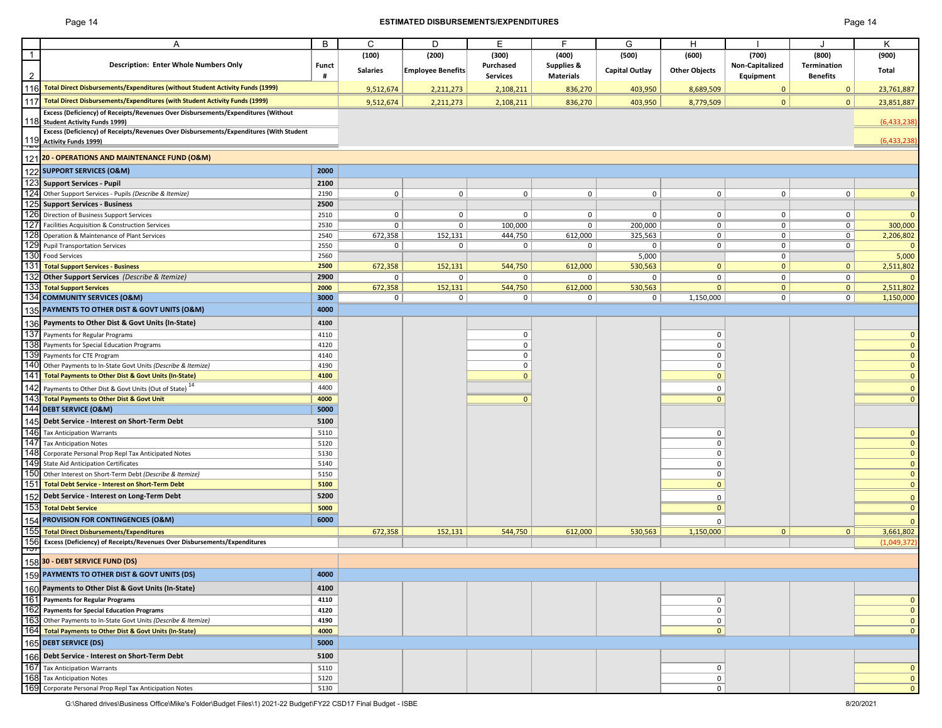## Page 14 **ESTIMATED DISBURSEMENTS/EXPENDITURES** Page 14

|                | Α                                                                                                                     | B            | C               | D                        | E.                | F.               | G                     | H                    |                 |                 | K            |
|----------------|-----------------------------------------------------------------------------------------------------------------------|--------------|-----------------|--------------------------|-------------------|------------------|-----------------------|----------------------|-----------------|-----------------|--------------|
| $\overline{1}$ |                                                                                                                       |              | (100)           | (200)                    | (300)             | (400)            | (500)                 | (600)                | (700)           | (800)           | (900)        |
|                | <b>Description: Enter Whole Numbers Only</b>                                                                          | Funct        |                 |                          | Purchased         | Supplies &       | <b>Capital Outlay</b> | <b>Other Objects</b> | Non-Capitalized | Termination     | Total        |
| $\overline{2}$ |                                                                                                                       | #            | <b>Salaries</b> | <b>Employee Benefits</b> | <b>Services</b>   | <b>Materials</b> |                       |                      | Equipment       | <b>Benefits</b> |              |
| 116            | Total Direct Disbursements/Expenditures (without Student Activity Funds (1999)                                        |              | 9,512,674       | 2,211,273                | 2,108,211         | 836,270          | 403,950               | 8,689,509            | $\mathbf{0}$    | $\mathbf{0}$    | 23,761,887   |
| 117            | Total Direct Disbursements/Expenditures (with Student Activity Funds (1999)                                           |              |                 |                          |                   |                  |                       |                      |                 |                 |              |
|                |                                                                                                                       |              | 9,512,674       | 2,211,273                | 2,108,211         | 836,270          | 403,950               | 8,779,509            | $\mathbf{0}$    | $\mathbf{0}$    | 23,851,887   |
|                | Excess (Deficiency) of Receipts/Revenues Over Disbursements/Expenditures (Without<br>118 Student Activity Funds 1999) |              |                 |                          |                   |                  |                       |                      |                 |                 | (6,433,238)  |
|                | Excess (Deficiency) of Receipts/Revenues Over Disbursements/Expenditures (With Student                                |              |                 |                          |                   |                  |                       |                      |                 |                 |              |
|                | 119 Activity Funds 1999)                                                                                              |              |                 |                          |                   |                  |                       |                      |                 |                 | (6,433,238)  |
| Ē              |                                                                                                                       |              |                 |                          |                   |                  |                       |                      |                 |                 |              |
|                | 121 20 - OPERATIONS AND MAINTENANCE FUND (O&M)                                                                        |              |                 |                          |                   |                  |                       |                      |                 |                 |              |
|                | 122 SUPPORT SERVICES (O&M)                                                                                            | 2000         |                 |                          |                   |                  |                       |                      |                 |                 |              |
|                | 123 Support Services - Pupil                                                                                          | 2100         |                 |                          |                   |                  |                       |                      |                 |                 |              |
|                | 124 Other Support Services - Pupils (Describe & Itemize)                                                              | 2190         | $\mathsf{O}$    | $\mathsf 0$              | $\mathbf 0$       | $\mathbf 0$      | $\mathsf{O}$          | $\mathbf 0$          | $\mathsf 0$     | $\mathbf 0$     | $\mathbf 0$  |
| 125            | <b>Support Services - Business</b>                                                                                    | 2500         |                 |                          |                   |                  |                       |                      |                 |                 |              |
|                | 126 Direction of Business Support Services                                                                            | 2510         | 0               | $\mathbf 0$              | 0                 | $\mathbf 0$      | $\mathbf 0$           | $\mathbf 0$          | $\mathbf 0$     | $\mathsf{O}$    | $\mathbf{0}$ |
|                | 127 Facilities Acquisition & Construction Services                                                                    | 2530         | $\mathbf 0$     | $\mathbf 0$              | 100,000           | $\mathbf 0$      | 200,000               | 0                    | $\mathbf 0$     | $\overline{0}$  | 300,000      |
|                | 128 Operation & Maintenance of Plant Services                                                                         | 2540         | 672,358         | 152,131                  | 444,750           | 612,000          | 325,563               | 0 <sup>1</sup>       | $\mathbf 0$     | 0               | 2,206,802    |
|                | 129 Pupil Transportation Services                                                                                     | 2550         | 0 <sup>1</sup>  | $\mathbf 0$              | 0                 | $\mathbf 0$      | 0                     | 0 <sup>1</sup>       | $\mathbf 0$     | $\overline{0}$  | $\mathbf{0}$ |
| 130            | <b>Food Services</b>                                                                                                  | 2560         |                 |                          |                   |                  | 5,000                 |                      | $\mathbf 0$     |                 | 5,000        |
| 131            | <b>Total Support Services - Business</b>                                                                              | 2500         | 672,358         | 152,131                  | 544,750           | 612,000          | 530,563               | $\mathbf{0}$         | $\mathbf{0}$    | $\mathbf{0}$    | 2,511,802    |
| 132            | Other Support Services (Describe & Itemize)                                                                           | 2900         | $\mathbf 0$     | $\mathbf 0$              | 0                 | $\mathbf 0$      | $\mathbf 0$           | $\mathbf 0$          | $\mathbf 0$     | $\circ$         | $\mathbf{0}$ |
|                | 133 Total Support Services                                                                                            | 2000         | 672,358         | 152,131                  | 544,750           | 612,000          | 530,563               | $\mathbf{0}$         | $\mathbf{0}$    | $\overline{0}$  | 2,511,802    |
|                | 134 COMMUNITY SERVICES (O&M)                                                                                          | 3000         | $\mathbf{0}$    | $\mathbf 0$              | 0 <sup>1</sup>    | $\mathbf 0$      | 0 <sup>1</sup>        | 1,150,000            | $\mathbf 0$     | 0 <sup>1</sup>  | 1,150,000    |
|                | 135 PAYMENTS TO OTHER DIST & GOVT UNITS (O&M)                                                                         | 4000         |                 |                          |                   |                  |                       |                      |                 |                 |              |
|                | 136 Payments to Other Dist & Govt Units (In-State)                                                                    | 4100         |                 |                          |                   |                  |                       |                      |                 |                 |              |
|                |                                                                                                                       |              |                 |                          |                   |                  |                       |                      |                 |                 |              |
| 137<br>138     | Payments for Regular Programs                                                                                         | 4110         |                 |                          | $\mathbf 0$       |                  |                       | $\mathbf 0$          |                 |                 | $\mathbf{0}$ |
|                | Payments for Special Education Programs                                                                               | 4120         |                 |                          | $\mathbf 0$       |                  |                       | $\mathbf 0$          |                 |                 | $\mathbf{0}$ |
|                | 139 Payments for CTE Program<br>140 Other Payments to In-State Govt Units (Describe & Itemize)                        | 4140         |                 |                          | $\mathbf 0$       |                  |                       | 0                    |                 |                 | $\mathbf{0}$ |
|                | 141 Total Payments to Other Dist & Govt Units (In-State)                                                              | 4190<br>4100 |                 |                          | 0<br>$\mathbf{0}$ |                  |                       | 0<br>$\mathbf{0}$    |                 |                 | $\mathbf{0}$ |
|                |                                                                                                                       |              |                 |                          |                   |                  |                       |                      |                 |                 | $\mathbf{0}$ |
|                | 142 Payments to Other Dist & Govt Units (Out of State) <sup>14</sup>                                                  | 4400         |                 |                          |                   |                  |                       | $\mathbf 0$          |                 |                 | $\mathbf{0}$ |
|                | 143 Total Payments to Other Dist & Govt Unit                                                                          | 4000         |                 |                          | $\overline{0}$    |                  |                       | $\mathbf{0}$         |                 |                 | $\mathbf{0}$ |
|                | 144 DEBT SERVICE (O&M)                                                                                                | 5000         |                 |                          |                   |                  |                       |                      |                 |                 |              |
| 145            | Debt Service - Interest on Short-Term Debt                                                                            | 5100         |                 |                          |                   |                  |                       |                      |                 |                 |              |
|                | 146 Tax Anticipation Warrants                                                                                         | 5110         |                 |                          |                   |                  |                       | 0                    |                 |                 | $\mathbf{0}$ |
| 147            | <b>Tax Anticipation Notes</b>                                                                                         | 5120         |                 |                          |                   |                  |                       | $\mathbf 0$          |                 |                 | $\mathbf{0}$ |
|                | 148 Corporate Personal Prop Repl Tax Anticipated Notes                                                                | 5130         |                 |                          |                   |                  |                       | $\mathbf 0$          |                 |                 | $\mathbf{0}$ |
|                | 149 State Aid Anticipation Certificates                                                                               | 5140         |                 |                          |                   |                  |                       | $\Omega$             |                 |                 | $\mathbf{0}$ |
|                | 150 Other Interest on Short-Term Debt (Describe & Itemize)                                                            | 5150         |                 |                          |                   |                  |                       | $\mathbf 0$          |                 |                 | $\mathbf{0}$ |
| 151            | <b>Total Debt Service - Interest on Short-Term Debt</b>                                                               | 5100         |                 |                          |                   |                  |                       | $\mathbf{0}$         |                 |                 | $\mathbf{0}$ |
|                | 152 Debt Service - Interest on Long-Term Debt                                                                         | 5200         |                 |                          |                   |                  |                       | $\mathbf 0$          |                 |                 | $\mathbf{0}$ |
|                | 153 Total Debt Service                                                                                                | 5000         |                 |                          |                   |                  |                       | $\mathbf{0}$         |                 |                 | $\mathbf{0}$ |
|                | 154 PROVISION FOR CONTINGENCIES (O&M)                                                                                 | 6000         |                 |                          |                   |                  |                       | $\mathbf 0$          |                 |                 | $\mathbf{0}$ |
| 155            | <b>Total Direct Disbursements/Expenditures</b>                                                                        |              | 672,358         | 152,131                  | 544,750           | 612,000          | 530,563               | 1,150,000            | $\mathbf 0$     | $\mathbf{0}$    | 3,661,802    |
| 156            | Excess (Deficiency) of Receipts/Revenues Over Disbursements/Expenditures                                              |              |                 |                          |                   |                  |                       |                      |                 |                 | (1,049,372)  |
| זטו            |                                                                                                                       |              |                 |                          |                   |                  |                       |                      |                 |                 |              |
|                | 15830 - DEBT SERVICE FUND (DS)                                                                                        |              |                 |                          |                   |                  |                       |                      |                 |                 |              |
|                | 159 PAYMENTS TO OTHER DIST & GOVT UNITS (DS)                                                                          | 4000         |                 |                          |                   |                  |                       |                      |                 |                 |              |
|                |                                                                                                                       |              |                 |                          |                   |                  |                       |                      |                 |                 |              |
|                | 160 Payments to Other Dist & Govt Units (In-State)                                                                    | 4100         |                 |                          |                   |                  |                       |                      |                 |                 |              |
|                | 161 Payments for Regular Programs                                                                                     | 4110         |                 |                          |                   |                  |                       | $\mathbf 0$          |                 |                 | $\mathbf{0}$ |
|                | 162 Payments for Special Education Programs                                                                           | 4120         |                 |                          |                   |                  |                       | $\mathbf 0$          |                 |                 | $\mathbf{0}$ |
|                | 163 Other Payments to In-State Govt Units (Describe & Itemize)                                                        | 4190         |                 |                          |                   |                  |                       | $\pmb{0}$            |                 |                 | $\mathbf{0}$ |
|                | 164 Total Payments to Other Dist & Govt Units (In-State)                                                              | 4000         |                 |                          |                   |                  |                       | $\mathbf{0}$         |                 |                 | $\mathbf{0}$ |
|                | 165 DEBT SERVICE (DS)                                                                                                 | 5000         |                 |                          |                   |                  |                       |                      |                 |                 |              |
| 166            | Debt Service - Interest on Short-Term Debt                                                                            | 5100         |                 |                          |                   |                  |                       |                      |                 |                 |              |
| 167            | <b>Tax Anticipation Warrants</b>                                                                                      | 5110         |                 |                          |                   |                  |                       | $\mathbf 0$          |                 |                 | $\mathbf{0}$ |
| 168            | <b>Tax Anticipation Notes</b>                                                                                         | 5120         |                 |                          |                   |                  |                       | $\mathbf 0$          |                 |                 | $\mathbf{0}$ |
|                | 169 Corporate Personal Prop Repl Tax Anticipation Notes                                                               | 5130         |                 |                          |                   |                  |                       | 0                    |                 |                 | $\mathbf{0}$ |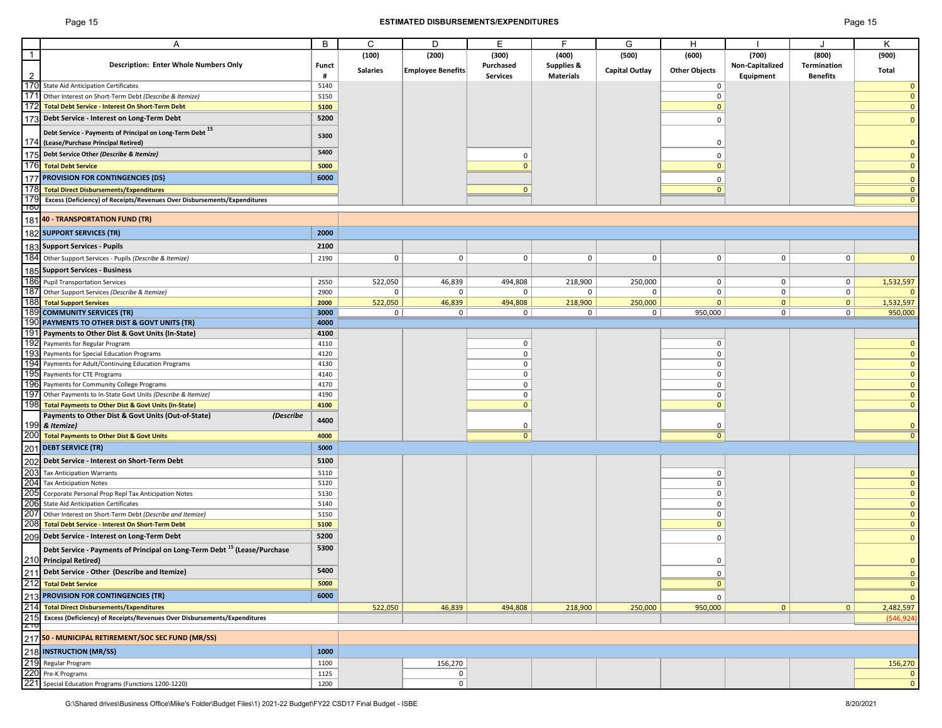## Page 15 **ESTIMATED DISBURSEMENTS/EXPENDITURES** Page 15

|                |                                                                                      |              | C               |                          |                 | F                     |                |                      |                 | $\cdot$             |              |
|----------------|--------------------------------------------------------------------------------------|--------------|-----------------|--------------------------|-----------------|-----------------------|----------------|----------------------|-----------------|---------------------|--------------|
|                | A                                                                                    | B            |                 | D                        | E               |                       | G              | H                    |                 |                     | Κ            |
| $\overline{1}$ |                                                                                      |              | (100)           | (200)                    | (300)           | (400)                 | (500)          | (600)                | (700)           | (800)               | (900)        |
|                | <b>Description: Enter Whole Numbers Only</b>                                         | <b>Funct</b> |                 |                          | Purchased       | <b>Supplies &amp;</b> |                |                      | Non-Capitalized | Termination         |              |
| $\overline{2}$ |                                                                                      | #            | <b>Salaries</b> | <b>Employee Benefits</b> | <b>Services</b> | <b>Materials</b>      | Capital Outlay | <b>Other Objects</b> | Equipment       | <b>Benefits</b>     | Total        |
|                | 170 State Aid Anticipation Certificates                                              |              |                 |                          |                 |                       |                |                      |                 |                     |              |
|                |                                                                                      | 5140         |                 |                          |                 |                       |                | 0                    |                 |                     | $\mathbf{0}$ |
| 171            | Other Interest on Short-Term Debt (Describe & Itemize)                               | 5150         |                 |                          |                 |                       |                | $\mathbf 0$          |                 |                     | $\mathbf{0}$ |
|                | 172 Total Debt Service - Interest On Short-Term Debt                                 | 5100         |                 |                          |                 |                       |                | $\mathbf{0}$         |                 |                     | $\mathbf{0}$ |
| 173            | Debt Service - Interest on Long-Term Debt                                            | 5200         |                 |                          |                 |                       |                |                      |                 |                     |              |
|                |                                                                                      |              |                 |                          |                 |                       |                | $\mathbf 0$          |                 |                     | $\mathbf{0}$ |
|                | Debt Service - Payments of Principal on Long-Term Debt 15                            | 5300         |                 |                          |                 |                       |                |                      |                 |                     |              |
|                | 174 (Lease/Purchase Principal Retired)                                               |              |                 |                          |                 |                       |                | $\Omega$             |                 |                     | $\mathbf 0$  |
|                |                                                                                      | 5400         |                 |                          |                 |                       |                |                      |                 |                     |              |
| 175            | Debt Service Other (Describe & Itemize)                                              |              |                 |                          | $\mathbf 0$     |                       |                | $\mathbf 0$          |                 |                     | $\mathbf{0}$ |
|                | 176 Total Debt Service                                                               | 5000         |                 |                          | $\mathbf{0}$    |                       |                | $\mathbf{0}$         |                 |                     | $\mathbf 0$  |
|                |                                                                                      | 6000         |                 |                          |                 |                       |                |                      |                 |                     |              |
| 177            | <b>PROVISION FOR CONTINGENCIES (DS)</b>                                              |              |                 |                          |                 |                       |                | $\mathbf 0$          |                 |                     | $\mathbf{0}$ |
| 178            | <b>Total Direct Disbursements/Expenditures</b>                                       |              |                 |                          | $\mathbf{0}$    |                       |                | $\mathbf{0}$         |                 |                     | $\mathbf{0}$ |
| 179            | Excess (Deficiency) of Receipts/Revenues Over Disbursements/Expenditures             |              |                 |                          |                 |                       |                |                      |                 |                     | $\mathbf{0}$ |
| ᠇ᡂ             |                                                                                      |              |                 |                          |                 |                       |                |                      |                 |                     |              |
|                | 181 40 - TRANSPORTATION FUND (TR)                                                    |              |                 |                          |                 |                       |                |                      |                 |                     |              |
|                |                                                                                      |              |                 |                          |                 |                       |                |                      |                 |                     |              |
|                | 182 SUPPORT SERVICES (TR)                                                            | 2000         |                 |                          |                 |                       |                |                      |                 |                     |              |
|                |                                                                                      |              |                 |                          |                 |                       |                |                      |                 |                     |              |
|                | 183 Support Services - Pupils                                                        | 2100         |                 |                          |                 |                       |                |                      |                 |                     |              |
|                | 184 Other Support Services - Pupils (Describe & Itemize)                             | 2190         | $\mathbf 0$     | $\mathbf 0$              | $\mathbf 0$     | $\mathbf 0$           | $\mathbf 0$    | $\overline{0}$       | $\mathbf 0$     | 0                   | $\mathbf{0}$ |
|                | <b>Support Services - Business</b>                                                   |              |                 |                          |                 |                       |                |                      |                 |                     |              |
| 185            |                                                                                      |              |                 |                          |                 |                       |                |                      |                 |                     |              |
|                | 186 Pupil Transportation Services                                                    | 2550         | 522,050         | 46,839                   | 494,808         | 218,900               | 250,000        | $\overline{0}$       | $\mathbf 0$     | $\mathbf 0$         | 1,532,597    |
| 187            | Other Support Services (Describe & Itemize)                                          | 2900         | $\mathbf 0$     | $\mathbf 0$              | $\mathbf 0$     | $\mathbf 0$           | 0              | $\overline{0}$       | 0               | $\mathsf{O}\xspace$ | $\mathbf{0}$ |
|                | 188 Total Support Services                                                           | 2000         | 522,050         | 46,839                   | 494,808         | 218,900               | 250,000        | $\overline{0}$       | $\mathbf{0}$    | $\mathbf{0}$        | 1,532,597    |
|                |                                                                                      |              |                 |                          |                 |                       |                |                      |                 |                     |              |
|                | 189 COMMUNITY SERVICES (TR)                                                          | 3000         | $\mathbf{0}$    | 0 <sup>1</sup>           | $\overline{0}$  | $\mathbf{0}$          | 0 <sup>1</sup> | 950,000              | 0 <sup>1</sup>  | 0 <sup>1</sup>      | 950,000      |
|                | 190 PAYMENTS TO OTHER DIST & GOVT UNITS (TR)                                         | 4000         |                 |                          |                 |                       |                |                      |                 |                     |              |
| 191            | Payments to Other Dist & Govt Units (In-State)                                       | 4100         |                 |                          |                 |                       |                |                      |                 |                     |              |
| 192            | Payments for Regular Program                                                         | 4110         |                 |                          | $\mathsf 0$     |                       |                | $\mathbf 0$          |                 |                     | $\mathbf{0}$ |
| 193            | Payments for Special Education Programs                                              | 4120         |                 |                          | $\mathbf 0$     |                       |                | $\mathbf 0$          |                 |                     |              |
|                |                                                                                      |              |                 |                          |                 |                       |                |                      |                 |                     | $\mathbf{0}$ |
| 194            | Payments for Adult/Continuing Education Programs                                     | 4130         |                 |                          | $\mathbf 0$     |                       |                | $\mathbf 0$          |                 |                     | $\mathbf{0}$ |
| 195            | Payments for CTE Programs                                                            | 4140         |                 |                          | $\mathbf 0$     |                       |                | 0                    |                 |                     | $\mathbf{0}$ |
|                | 196 Payments for Community College Programs                                          | 4170         |                 |                          | $\mathbf 0$     |                       |                | 0                    |                 |                     | $\mathbf{0}$ |
| 197            | Other Payments to In-State Govt Units (Describe & Itemize)                           | 4190         |                 |                          | $\mathbf 0$     |                       |                | 0                    |                 |                     |              |
|                |                                                                                      |              |                 |                          |                 |                       |                |                      |                 |                     | 0            |
| 198            | <b>Total Payments to Other Dist &amp; Govt Units (In-State)</b>                      | 4100         |                 |                          | $\mathbf 0$     |                       |                | $\mathbf{0}$         |                 |                     | $\mathbf 0$  |
|                | Payments to Other Dist & Govt Units (Out-of-State)<br>(Describe                      | 4400         |                 |                          |                 |                       |                |                      |                 |                     |              |
|                | $199$ & Itemize)                                                                     |              |                 |                          | 0               |                       |                | 0                    |                 |                     | $\mathbf{0}$ |
|                | 200 Total Payments to Other Dist & Govt Units                                        | 4000         |                 |                          | $\overline{0}$  |                       |                | $\overline{0}$       |                 |                     | $\mathbf 0$  |
|                |                                                                                      |              |                 |                          |                 |                       |                |                      |                 |                     |              |
| 201            | <b>DEBT SERVICE (TR)</b>                                                             | 5000         |                 |                          |                 |                       |                |                      |                 |                     |              |
| 202            | Debt Service - Interest on Short-Term Debt                                           | 5100         |                 |                          |                 |                       |                |                      |                 |                     |              |
|                |                                                                                      |              |                 |                          |                 |                       |                |                      |                 |                     |              |
| 203            | <b>Tax Anticipation Warrants</b>                                                     | 5110         |                 |                          |                 |                       |                | $\mathbf 0$          |                 |                     | $\mathbf{0}$ |
| 204            | <b>Tax Anticipation Notes</b>                                                        | 5120         |                 |                          |                 |                       |                | $\mathbf 0$          |                 |                     | $\mathbf{0}$ |
| 205            | Corporate Personal Prop Repl Tax Anticipation Notes                                  | 5130         |                 |                          |                 |                       |                | $\mathbf 0$          |                 |                     | $\mathbf{0}$ |
| 206            | <b>State Aid Anticipation Certificates</b>                                           | 5140         |                 |                          |                 |                       |                | $\mathbf 0$          |                 |                     |              |
|                |                                                                                      |              |                 |                          |                 |                       |                |                      |                 |                     | $\mathbf{0}$ |
| 207            | Other Interest on Short-Term Debt (Describe and Itemize)                             | 5150         |                 |                          |                 |                       |                | $\mathbf 0$          |                 |                     | $\mathbf{0}$ |
| 208            | Total Debt Service - Interest On Short-Term Debt                                     | 5100         |                 |                          |                 |                       |                | $\mathbf{0}$         |                 |                     | $\mathbf{0}$ |
| 209            | Debt Service - Interest on Long-Term Debt                                            | 5200         |                 |                          |                 |                       |                | $\mathbf 0$          |                 |                     | $\mathbf{0}$ |
|                |                                                                                      |              |                 |                          |                 |                       |                |                      |                 |                     |              |
|                | Debt Service - Payments of Principal on Long-Term Debt <sup>15</sup> (Lease/Purchase | 5300         |                 |                          |                 |                       |                |                      |                 |                     |              |
|                | 210 Principal Retired)                                                               |              |                 |                          |                 |                       |                | 0                    |                 |                     | $\mathbf 0$  |
|                |                                                                                      | 5400         |                 |                          |                 |                       |                |                      |                 |                     |              |
|                | 211 Debt Service - Other (Describe and Itemize)                                      |              |                 |                          |                 |                       |                | 0                    |                 |                     | $\mathbf 0$  |
|                | 212 Total Debt Service                                                               | 5000         |                 |                          |                 |                       |                | $\mathbf{0}$         |                 |                     | $\mathbf{0}$ |
| 213            | <b>PROVISION FOR CONTINGENCIES (TR)</b>                                              | 6000         |                 |                          |                 |                       |                |                      |                 |                     |              |
|                |                                                                                      |              |                 |                          |                 |                       |                | $\mathbf 0$          |                 |                     | $\mathbf{0}$ |
|                | 214 Total Direct Disbursements/Expenditures                                          |              | 522,050         | 46,839                   | 494,808         | 218,900               | 250,000        | 950,000              | 0               | 0                   | 2,482,597    |
| 215            | Excess (Deficiency) of Receipts/Revenues Over Disbursements/Expenditures             |              |                 |                          |                 |                       |                |                      |                 |                     | (546, 924)   |
| <b>ZTO</b>     |                                                                                      |              |                 |                          |                 |                       |                |                      |                 |                     |              |
| 217            | 50 - MUNICIPAL RETIREMENT/SOC SEC FUND (MR/SS)                                       |              |                 |                          |                 |                       |                |                      |                 |                     |              |
|                |                                                                                      |              |                 |                          |                 |                       |                |                      |                 |                     |              |
| 218            | <b>INSTRUCTION (MR/SS)</b>                                                           | 1000         |                 |                          |                 |                       |                |                      |                 |                     |              |
|                | 219 Regular Program                                                                  | 1100         |                 | 156,270                  |                 |                       |                |                      |                 |                     | 156,270      |
|                |                                                                                      |              |                 |                          |                 |                       |                |                      |                 |                     |              |
|                | 220 Pre-K Programs                                                                   | 1125         |                 | 0                        |                 |                       |                |                      |                 |                     | $\mathbf 0$  |
|                | 221 Special Education Programs (Functions 1200-1220)                                 | 1200         |                 | $\mathsf{O}$             |                 |                       |                |                      |                 |                     | $\mathbf{0}$ |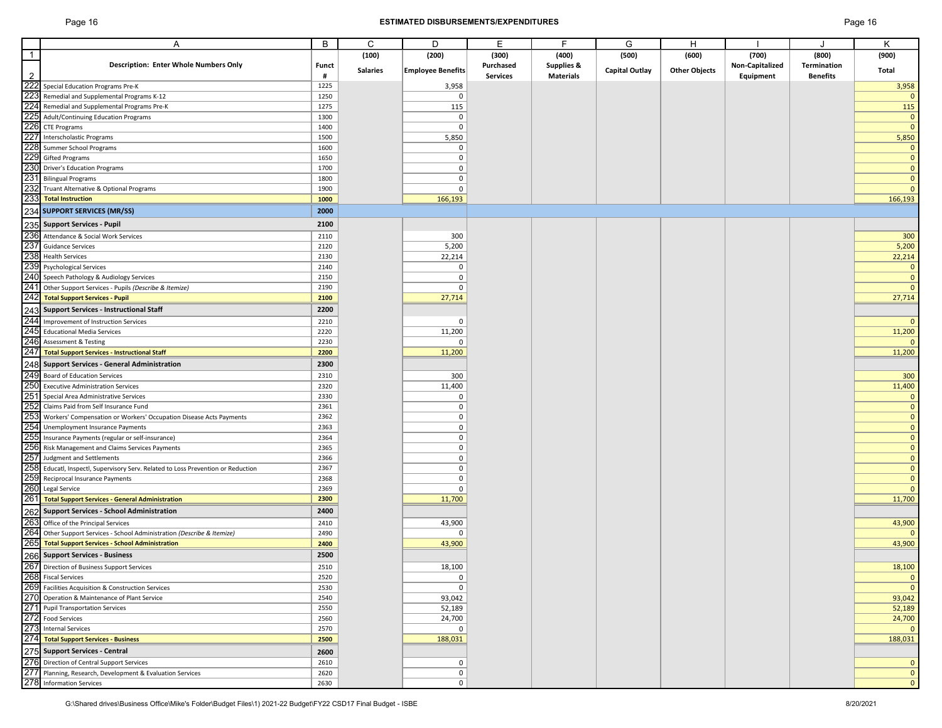## Page 16 **ESTIMATED DISBURSEMENTS/EXPENDITURES** Page 16

|                | Α                                                                            | В            | C               | D                        | E               | E                     | G                     | Н                    |                 |                 | K              |
|----------------|------------------------------------------------------------------------------|--------------|-----------------|--------------------------|-----------------|-----------------------|-----------------------|----------------------|-----------------|-----------------|----------------|
| $\mathbf{1}$   |                                                                              |              | (100)           | (200)                    | (300)           | (400)                 | (500)                 | (600)                | (700)           | (800)           | (900)          |
|                | <b>Description: Enter Whole Numbers Only</b>                                 | <b>Funct</b> | <b>Salaries</b> | <b>Employee Benefits</b> | Purchased       | <b>Supplies &amp;</b> | <b>Capital Outlay</b> | <b>Other Objects</b> | Non-Capitalized | Termination     | Total          |
| $\overline{2}$ |                                                                              | #            |                 |                          | <b>Services</b> | <b>Materials</b>      |                       |                      | Equipment       | <b>Benefits</b> |                |
| 222            | Special Education Programs Pre-K                                             | 1225         |                 | 3,958                    |                 |                       |                       |                      |                 |                 | 3,958          |
| 223            | Remedial and Supplemental Programs K-12                                      | 1250         |                 | $\mathbf 0$              |                 |                       |                       |                      |                 |                 | $\mathbf{0}$   |
|                | 224 Remedial and Supplemental Programs Pre-K                                 | 1275         |                 | 115                      |                 |                       |                       |                      |                 |                 | 115            |
| 225            | Adult/Continuing Education Programs                                          | 1300         |                 | $\mathbf 0$              |                 |                       |                       |                      |                 |                 | $\mathbf 0$    |
| 226            | <b>CTE Programs</b>                                                          | 1400         |                 | $\mathsf 0$              |                 |                       |                       |                      |                 |                 | $\mathbf{0}$   |
| 227            | <b>Interscholastic Programs</b>                                              | 1500         |                 | 5,850                    |                 |                       |                       |                      |                 |                 | 5,850          |
|                | 228 Summer School Programs                                                   | 1600         |                 | 0                        |                 |                       |                       |                      |                 |                 | $\mathbf 0$    |
| 229            | <b>Gifted Programs</b>                                                       | 1650         |                 | 0                        |                 |                       |                       |                      |                 |                 | $\mathbf 0$    |
|                | 230 Driver's Education Programs                                              | 1700         |                 | 0                        |                 |                       |                       |                      |                 |                 | $\mathbf 0$    |
| 231            | <b>Bilingual Programs</b>                                                    | 1800         |                 | $\mathbf 0$              |                 |                       |                       |                      |                 |                 | $\mathbf 0$    |
| 232            | Truant Alternative & Optional Programs                                       | 1900         |                 | $\mathbf 0$              |                 |                       |                       |                      |                 |                 | $\mathbf{0}$   |
| 233            | <b>Total Instruction</b>                                                     | 1000         |                 | 166,193                  |                 |                       |                       |                      |                 |                 | 166,193        |
|                |                                                                              |              |                 |                          |                 |                       |                       |                      |                 |                 |                |
| 234            | <b>SUPPORT SERVICES (MR/SS)</b>                                              | 2000         |                 |                          |                 |                       |                       |                      |                 |                 |                |
| 235            | <b>Support Services - Pupil</b>                                              | 2100         |                 |                          |                 |                       |                       |                      |                 |                 |                |
| 236            | Attendance & Social Work Services                                            | 2110         |                 | 300                      |                 |                       |                       |                      |                 |                 | 300            |
| 237            | <b>Guidance Services</b>                                                     | 2120         |                 | 5,200                    |                 |                       |                       |                      |                 |                 | 5,200          |
| 238            | <b>Health Services</b>                                                       | 2130         |                 | 22,214                   |                 |                       |                       |                      |                 |                 | 22,214         |
| 239            | <b>Psychological Services</b>                                                | 2140         |                 | 0                        |                 |                       |                       |                      |                 |                 | $\mathbf 0$    |
|                | 240 Speech Pathology & Audiology Services                                    | 2150         |                 | $\mathbf 0$              |                 |                       |                       |                      |                 |                 | $\mathbf{0}$   |
| 241            | Other Support Services - Pupils (Describe & Itemize)                         | 2190         |                 | $\mathbf 0$              |                 |                       |                       |                      |                 |                 | $\mathbf{0}$   |
|                | 242 Total Support Services - Pupil                                           | 2100         |                 | 27,714                   |                 |                       |                       |                      |                 |                 | 27,714         |
|                |                                                                              |              |                 |                          |                 |                       |                       |                      |                 |                 |                |
|                | 243 Support Services - Instructional Staff                                   | 2200         |                 |                          |                 |                       |                       |                      |                 |                 |                |
| 244            | Improvement of Instruction Services                                          | 2210         |                 | 0                        |                 |                       |                       |                      |                 |                 | $\mathbf 0$    |
| 245            | <b>Educational Media Services</b>                                            | 2220         |                 | 11,200                   |                 |                       |                       |                      |                 |                 | 11,200         |
| 246            | <b>Assessment &amp; Testing</b>                                              | 2230         |                 | 0                        |                 |                       |                       |                      |                 |                 | $\Omega$       |
| 247            | <b>Total Support Services - Instructional Staff</b>                          | 2200         |                 | 11,200                   |                 |                       |                       |                      |                 |                 | 11,200         |
| 248            | <b>Support Services - General Administration</b>                             | 2300         |                 |                          |                 |                       |                       |                      |                 |                 |                |
| 249            | <b>Board of Education Services</b>                                           | 2310         |                 | 300                      |                 |                       |                       |                      |                 |                 | 300            |
| 250            | <b>Executive Administration Services</b>                                     | 2320         |                 | 11,400                   |                 |                       |                       |                      |                 |                 | 11,400         |
| 251            | Special Area Administrative Services                                         | 2330         |                 | $\Omega$                 |                 |                       |                       |                      |                 |                 | $\mathbf{0}$   |
| 252            | Claims Paid from Self Insurance Fund                                         | 2361         |                 | $\mathbf 0$              |                 |                       |                       |                      |                 |                 | $\mathbf{0}$   |
| 253            |                                                                              | 2362         |                 | $\mathbf 0$              |                 |                       |                       |                      |                 |                 | $\mathbf{0}$   |
| 254            | Workers' Compensation or Workers' Occupation Disease Acts Payments           | 2363         |                 |                          |                 |                       |                       |                      |                 |                 |                |
| 255            | <b>Unemployment Insurance Payments</b>                                       |              |                 | 0                        |                 |                       |                       |                      |                 |                 | $\Omega$       |
|                | Insurance Payments (regular or self-insurance)                               | 2364         |                 | 0                        |                 |                       |                       |                      |                 |                 | $\mathbf{0}$   |
| 256            | Risk Management and Claims Services Payments                                 | 2365         |                 | $\mathsf 0$              |                 |                       |                       |                      |                 |                 | $\mathbf{0}$   |
| 257            | <b>Judgment and Settlements</b>                                              | 2366         |                 | 0                        |                 |                       |                       |                      |                 |                 | $\mathbf 0$    |
| 258            | Educatl, Inspectl, Supervisory Serv. Related to Loss Prevention or Reduction | 2367         |                 | 0                        |                 |                       |                       |                      |                 |                 | $\mathbf 0$    |
| 259            | Reciprocal Insurance Payments                                                | 2368         |                 | 0                        |                 |                       |                       |                      |                 |                 | $\mathbf 0$    |
| 260            | Legal Service                                                                | 2369         |                 | $\Omega$                 |                 |                       |                       |                      |                 |                 | $\mathbf{0}$   |
| 261            | <b>Total Support Services - General Administration</b>                       | 2300         |                 | 11,700                   |                 |                       |                       |                      |                 |                 | 11,700         |
| 262            | <b>Support Services - School Administration</b>                              | 2400         |                 |                          |                 |                       |                       |                      |                 |                 |                |
| 263            | Office of the Principal Services                                             | 2410         |                 | 43,900                   |                 |                       |                       |                      |                 |                 | 43,900         |
| 264            | Other Support Services - School Administration (Describe & Itemize)          | 2490         |                 | 0                        |                 |                       |                       |                      |                 |                 | $\Omega$       |
| 265            | <b>Total Support Services - School Administration</b>                        | 2400         |                 | 43,900                   |                 |                       |                       |                      |                 |                 | 43,900         |
| 266            | <b>Support Services - Business</b>                                           | 2500         |                 |                          |                 |                       |                       |                      |                 |                 |                |
|                |                                                                              |              |                 |                          |                 |                       |                       |                      |                 |                 |                |
|                | 267 Direction of Business Support Services<br>268 Fiscal Services            | 2510         |                 | 18,100                   |                 |                       |                       |                      |                 |                 | 18,100         |
|                |                                                                              | 2520         |                 | $\mathbf 0$              |                 |                       |                       |                      |                 |                 | $\mathbf{0}$   |
|                | 269 Facilities Acquisition & Construction Services                           | 2530         |                 | $\mathbf 0$              |                 |                       |                       |                      |                 |                 | $\overline{0}$ |
|                | 270 Operation & Maintenance of Plant Service                                 | 2540         |                 | 93,042                   |                 |                       |                       |                      |                 |                 | 93,042         |
|                | 271 Pupil Transportation Services                                            | 2550         |                 | 52,189                   |                 |                       |                       |                      |                 |                 | 52,189         |
|                | 272 Food Services                                                            | 2560         |                 | 24,700                   |                 |                       |                       |                      |                 |                 | 24,700         |
|                | 273 Internal Services                                                        | 2570         |                 | 0                        |                 |                       |                       |                      |                 |                 | $\mathbf{0}$   |
|                | 274 Total Support Services - Business                                        | 2500         |                 | 188,031                  |                 |                       |                       |                      |                 |                 | 188,031        |
|                | 275 Support Services - Central                                               | 2600         |                 |                          |                 |                       |                       |                      |                 |                 |                |
|                | 276 Direction of Central Support Services                                    | 2610         |                 | 0                        |                 |                       |                       |                      |                 |                 | $\mathbf{0}$   |
|                | 277 Planning, Research, Development & Evaluation Services                    | 2620         |                 | 0                        |                 |                       |                       |                      |                 |                 | $\mathbf{0}$   |
|                | 278 Information Services                                                     | 2630         |                 | 0                        |                 |                       |                       |                      |                 |                 | $\mathbf{0}$   |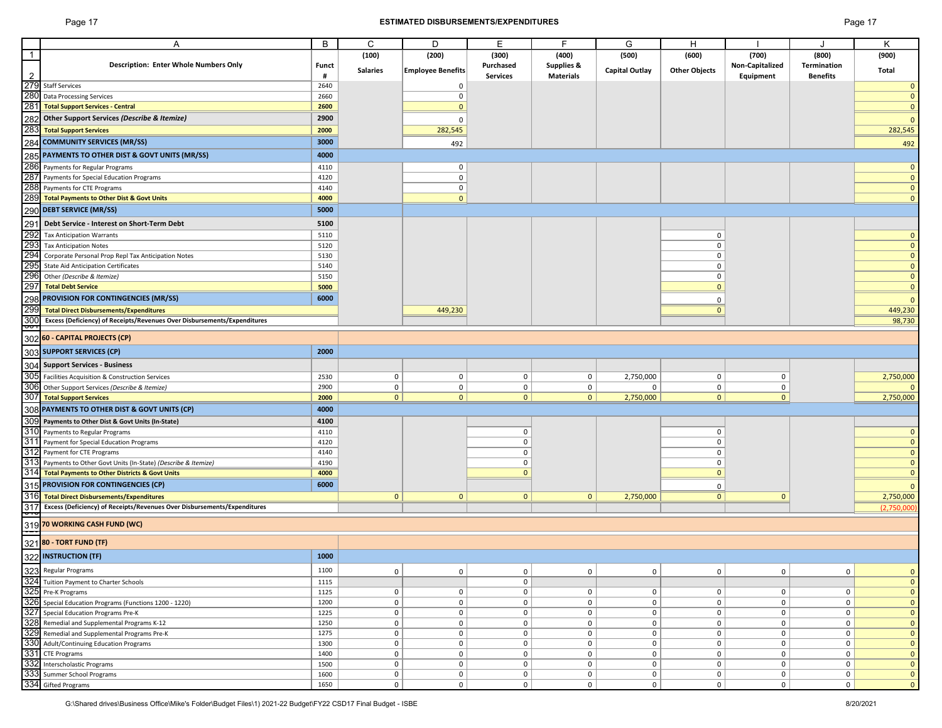## Page 17 **ESTIMATED DISBURSEMENTS/EXPENDITURES** Page 17

|                | Α                                                                            | B            | C               | D                        | E                   | F                     | G                     | н                    |                 |                     | K            |
|----------------|------------------------------------------------------------------------------|--------------|-----------------|--------------------------|---------------------|-----------------------|-----------------------|----------------------|-----------------|---------------------|--------------|
| $\overline{1}$ |                                                                              |              | (100)           | (200)                    | (300)               | (400)                 | (500)                 | (600)                | (700)           | (800)               | (900)        |
|                | Description: Enter Whole Numbers Only                                        | <b>Funct</b> | <b>Salaries</b> |                          | Purchased           | <b>Supplies &amp;</b> |                       | <b>Other Objects</b> | Non-Capitalized | Termination         | Total        |
| $\overline{2}$ |                                                                              | #            |                 | <b>Employee Benefits</b> | <b>Services</b>     | <b>Materials</b>      | <b>Capital Outlay</b> |                      | Equipment       | <b>Benefits</b>     |              |
|                | 279 Staff Services                                                           | 2640         |                 | 0                        |                     |                       |                       |                      |                 |                     | $\mathbf 0$  |
|                | 280 Data Processing Services                                                 | 2660         |                 | $\mathbf 0$              |                     |                       |                       |                      |                 |                     | $\mathbf{0}$ |
|                | 281 Total Support Services - Central                                         | 2600         |                 | $\mathbf{0}$             |                     |                       |                       |                      |                 |                     | $\mathbf{0}$ |
|                | 282 Other Support Services (Describe & Itemize)                              | 2900         |                 | $\mathbf 0$              |                     |                       |                       |                      |                 |                     | $\mathbf{0}$ |
|                | 283 Total Support Services                                                   | 2000         |                 | 282,545                  |                     |                       |                       |                      |                 |                     | 282,545      |
|                |                                                                              |              |                 |                          |                     |                       |                       |                      |                 |                     |              |
|                | 284 COMMUNITY SERVICES (MR/SS)                                               | 3000         |                 | 492                      |                     |                       |                       |                      |                 |                     | 492          |
|                | 285 PAYMENTS TO OTHER DIST & GOVT UNITS (MR/SS)                              | 4000         |                 |                          |                     |                       |                       |                      |                 |                     |              |
|                | 286 Payments for Regular Programs                                            | 4110         |                 | 0                        |                     |                       |                       |                      |                 |                     | $\mathbf{0}$ |
|                | 287 Payments for Special Education Programs                                  | 4120         |                 | $\mathsf 0$              |                     |                       |                       |                      |                 |                     | $\mathbf{0}$ |
|                | 288 Payments for CTE Programs                                                | 4140         |                 | 0                        |                     |                       |                       |                      |                 |                     | $\mathbf{0}$ |
|                | 289 Total Payments to Other Dist & Govt Units                                | 4000         |                 | $\mathbf{0}$             |                     |                       |                       |                      |                 |                     | $\mathbf{0}$ |
|                | 290 DEBT SERVICE (MR/SS)                                                     | 5000         |                 |                          |                     |                       |                       |                      |                 |                     |              |
|                |                                                                              |              |                 |                          |                     |                       |                       |                      |                 |                     |              |
|                | 291 Debt Service - Interest on Short-Term Debt                               | 5100         |                 |                          |                     |                       |                       |                      |                 |                     |              |
| 292            | <b>Tax Anticipation Warrants</b>                                             | 5110         |                 |                          |                     |                       |                       | $\mathbf 0$          |                 |                     | $\mathbf{0}$ |
| 293            | <b>Tax Anticipation Notes</b>                                                | 5120         |                 |                          |                     |                       |                       | $\mathbf 0$          |                 |                     | $\mathbf{0}$ |
|                | 294 Corporate Personal Prop Repl Tax Anticipation Notes                      | 5130         |                 |                          |                     |                       |                       | 0                    |                 |                     | $\mathbf{0}$ |
| 295            | <b>State Aid Anticipation Certificates</b>                                   | 5140         |                 |                          |                     |                       |                       | $\mathbf 0$          |                 |                     | $\mathbf{0}$ |
|                | 296 Other (Describe & Itemize)                                               | 5150         |                 |                          |                     |                       |                       | $\mathbf 0$          |                 |                     | $\mathbf{0}$ |
|                | 297 Total Debt Service                                                       | 5000         |                 |                          |                     |                       |                       | $\mathbf{0}$         |                 |                     | $\mathbf{0}$ |
|                | 298 PROVISION FOR CONTINGENCIES (MR/SS)                                      | 6000         |                 |                          |                     |                       |                       | 0                    |                 |                     | $\mathbf 0$  |
|                | 299 Total Direct Disbursements/Expenditures                                  |              |                 | 449,230                  |                     |                       |                       | $\mathbf{0}$         |                 |                     | 449,230      |
| 300            | Excess (Deficiency) of Receipts/Revenues Over Disbursements/Expenditures     |              |                 |                          |                     |                       |                       |                      |                 |                     | 98,730       |
| ě              |                                                                              |              |                 |                          |                     |                       |                       |                      |                 |                     |              |
|                | 302 60 - CAPITAL PROJECTS (CP)                                               |              |                 |                          |                     |                       |                       |                      |                 |                     |              |
|                | 303 SUPPORT SERVICES (CP)                                                    | 2000         |                 |                          |                     |                       |                       |                      |                 |                     |              |
|                |                                                                              |              |                 |                          |                     |                       |                       |                      |                 |                     |              |
|                | 304 Support Services - Business                                              |              |                 |                          |                     |                       |                       |                      |                 |                     |              |
|                | 305 Facilities Acquisition & Construction Services                           | 2530         | $\mathbf 0$     | 0                        | 0                   | $\mathbf{0}$          | 2,750,000             | $\mathbf 0$          | 0               |                     | 2,750,000    |
|                | 306 Other Support Services (Describe & Itemize)                              | 2900         | $\mathbf 0$     | $\mathbf 0$              | 0                   | $\mathbf 0$           | $\circ$               | $\mathbf 0$          | $\mathsf 0$     |                     | $\mathbf{0}$ |
|                | 307 Total Support Services                                                   | 2000         | $\mathbf{0}$    | $\mathbf{0}$             | $\mathbf{0}$        | $\mathbf{0}$          | 2,750,000             | $\mathbf{0}$         | $\mathbf{0}$    |                     | 2,750,000    |
|                | 308 PAYMENTS TO OTHER DIST & GOVT UNITS (CP)                                 | 4000         |                 |                          |                     |                       |                       |                      |                 |                     |              |
|                | 309 Payments to Other Dist & Govt Units (In-State)                           | 4100         |                 |                          |                     |                       |                       |                      |                 |                     |              |
|                | 310 Payments to Regular Programs                                             | 4110         |                 |                          | $\mathbf 0$         |                       |                       | $\mathbf 0$          |                 |                     | $\mathbf{0}$ |
|                | 311 Payment for Special Education Programs                                   | 4120         |                 |                          | $\mathbf 0$         |                       |                       | $\mathsf 0$          |                 |                     | $\mathbf{0}$ |
|                | 312 Payment for CTE Programs                                                 | 4140         |                 |                          | $\mathbf 0$         |                       |                       | $\mathbf 0$          |                 |                     | $\mathbf{0}$ |
|                | 313 Payments to Other Govt Units (In-State) (Describe & Itemize)             | 4190         |                 |                          | $\mathbf 0$         |                       |                       | 0                    |                 |                     | $\mathbf{0}$ |
|                | 314 Total Payments to Other Districts & Govt Units                           | 4000         |                 |                          | $\mathbf{0}$        |                       |                       | $\mathbf{0}$         |                 |                     | $\mathbf{0}$ |
|                |                                                                              | 6000         |                 |                          |                     |                       |                       |                      |                 |                     |              |
|                | 315 PROVISION FOR CONTINGENCIES (CP)                                         |              |                 |                          |                     |                       |                       | 0                    |                 |                     | $\mathbf{0}$ |
|                | 316 Total Direct Disbursements/Expenditures                                  |              | $\mathbf{0}$    | $\mathbf{0}$             | $\mathbf{0}$        | $\mathbf{0}$          | 2,750,000             | 0                    | $\mathbf 0$     |                     | 2,750,000    |
|                | 317 Excess (Deficiency) of Receipts/Revenues Over Disbursements/Expenditures |              |                 |                          |                     |                       |                       |                      |                 |                     | (2,750,000)  |
|                | 319 70 WORKING CASH FUND (WC)                                                |              |                 |                          |                     |                       |                       |                      |                 |                     |              |
|                |                                                                              |              |                 |                          |                     |                       |                       |                      |                 |                     |              |
|                | 321 80 - TORT FUND (TF)                                                      |              |                 |                          |                     |                       |                       |                      |                 |                     |              |
|                | 322 INSTRUCTION (TF)                                                         | 1000         |                 |                          |                     |                       |                       |                      |                 |                     |              |
|                |                                                                              |              |                 |                          |                     |                       |                       |                      |                 |                     |              |
|                | 323 Regular Programs                                                         | 1100         | 0 <sup>1</sup>  | $\mathbf 0$              | 0                   | $\overline{0}$        | 0                     | 0                    | $\mathbf 0$     | 0                   | $\mathbf 0$  |
|                | 324 Tuition Payment to Charter Schools                                       | 1115         |                 |                          | $\mathsf{O}\xspace$ |                       |                       |                      |                 |                     | $\mathbf{0}$ |
|                | 325 Pre-K Programs                                                           | 1125         | $\mathbf{0}$    | 0                        | $\mathsf{O}\xspace$ | $\mathbf 0$           | 0                     | $\mathbf{0}$         | 0               | 0                   | $\mathbf{0}$ |
|                | 326 Special Education Programs (Functions 1200 - 1220)                       | 1200         | $\mathbf 0$     | $\mathbf 0$              | $\mathsf{O}\xspace$ | $\mathbf 0$           | 0                     | $\mathbf{0}$         | $\mathsf 0$     | $\mathsf{O}\xspace$ | $\mathbf 0$  |
|                | 327 Special Education Programs Pre-K                                         | 1225         | $\mathbf 0$     | $\mathsf 0$              | $\mathsf{O}\xspace$ | $\mathbf 0$           | $\circ$               | $\mathbf{0}$         | $\mathsf 0$     | 0                   | $\mathbf{0}$ |
|                | 328 Remedial and Supplemental Programs K-12                                  | 1250         | $\mathbf 0$     | 0                        | $\mathsf{O}\xspace$ | $\mathbf 0$           | $\overline{0}$        | $\mathbf{0}$         | $\mathsf 0$     | $\mathsf{O}\xspace$ | $\mathbf{0}$ |
|                | 329 Remedial and Supplemental Programs Pre-K                                 | 1275         | $\mathbf 0$     | $\mathsf{O}$             | $\mathsf{O}\xspace$ | $\mathbf 0$           | 0                     | $\overline{0}$       | $\mathsf 0$     | $\mathsf{O}\xspace$ | $\mathbf{0}$ |
|                | 330 Adult/Continuing Education Programs                                      | 1300         | $\mathbf 0$     | $\mathsf{O}$             | $\mathsf{O}\xspace$ | $\mathbf 0$           | 0                     | $\overline{0}$       | $\mathsf 0$     | $\mathsf{O}$        | $\mathbf{0}$ |
|                | 331 CTE Programs                                                             | 1400         | $\mathbf 0$     | $\mathsf{O}$             | 0                   | $\mathbf 0$           | 0                     | $\overline{0}$       | $\mathsf 0$     | 0                   | $\mathbf{0}$ |
|                | 332 Interscholastic Programs                                                 | 1500         | $\mathbf{0}$    | 0                        | 0                   | $\mathbf 0$           | $\circ$               | $\mathbf{0}$         | 0               | 0                   | $\mathbf{0}$ |
|                | 333 Summer School Programs                                                   | 1600         | 0               | 0                        | $\mathsf{O}\xspace$ | $\mathsf{O}\xspace$   | 0 <sup>1</sup>        | $\mathbf 0$          | $\mathsf 0$     | $\mathsf{O}\xspace$ | $\mathbf 0$  |
|                | 334 Gifted Programs                                                          | 1650         | $\mathbf 0$     | $\mathbf 0$              | $\mathbf 0$         | $\circ$               | 0                     | $\overline{0}$       | $\mathsf 0$     | $\mathbf 0$         | $\mathbf 0$  |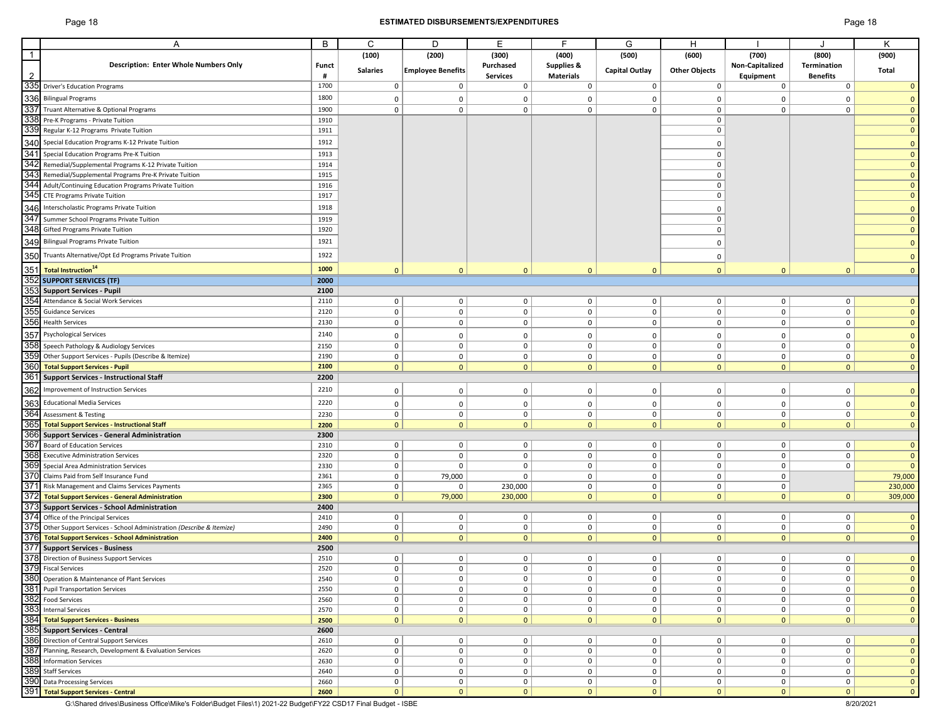## Page 18 **ESTIMATED DISBURSEMENTS/EXPENDITURES** Page 18

| 1e<br>эc |  |
|----------|--|
|          |  |

|                | Α                                                                   | B            | C               |                | D                        | E                   | F                | G              | Н                    |                 |                 | K            |
|----------------|---------------------------------------------------------------------|--------------|-----------------|----------------|--------------------------|---------------------|------------------|----------------|----------------------|-----------------|-----------------|--------------|
| $\overline{1}$ |                                                                     |              | (100)           |                | (200)                    | (300)               | (400)            | (500)          | (600)                | (700)           | (800)           | (900)        |
|                | Description: Enter Whole Numbers Only                               | <b>Funct</b> |                 |                |                          | Purchased           | Supplies &       |                |                      | Non-Capitalized | Termination     |              |
| $\overline{2}$ |                                                                     |              | <b>Salaries</b> |                | <b>Employee Benefits</b> | <b>Services</b>     | <b>Materials</b> | Capital Outlay | <b>Other Objects</b> | Equipment       | <b>Benefits</b> | Total        |
| 335            |                                                                     |              |                 |                |                          |                     |                  |                |                      |                 |                 |              |
|                | <b>Driver's Education Programs</b>                                  | 1700         |                 | 0              | 0                        | $\mathbf 0$         | 0                | $\Omega$       | 0                    | $\mathbf 0$     | 0               | $\mathbf{0}$ |
| 336            | <b>Bilingual Programs</b>                                           | 1800         |                 | $\Omega$       | $\mathbf 0$              | $\mathsf 0$         | $\Omega$         | $\mathbf 0$    | $\mathbf 0$          | $\mathbf 0$     | 0               | $\mathbf{0}$ |
| 337            | Truant Alternative & Optional Programs                              | 1900         |                 | $\mathbf 0$    | 0                        | $\mathbf 0$         | 0                | 0              | 0                    | $\Omega$        | 0               | $\mathbf{0}$ |
| 338            | Pre-K Programs - Private Tuition                                    | 1910         |                 |                |                          |                     |                  |                | 0                    |                 |                 | $\mathbf{0}$ |
| 339            | Regular K-12 Programs Private Tuition                               | 1911         |                 |                |                          |                     |                  |                | $\mathbf 0$          |                 |                 | $\mathbf{0}$ |
|                |                                                                     |              |                 |                |                          |                     |                  |                |                      |                 |                 |              |
| 340            | Special Education Programs K-12 Private Tuition                     | 1912         |                 |                |                          |                     |                  |                | $\mathbf 0$          |                 |                 | $\mathbf{0}$ |
| 341            | Special Education Programs Pre-K Tuition                            | 1913         |                 |                |                          |                     |                  |                | $\mathbf 0$          |                 |                 | $\mathbf{0}$ |
| 342            | Remedial/Supplemental Programs K-12 Private Tuition                 | 1914         |                 |                |                          |                     |                  |                | $\mathbf 0$          |                 |                 | $\mathbf{0}$ |
| 343            | Remedial/Supplemental Programs Pre-K Private Tuition                | 1915         |                 |                |                          |                     |                  |                | $\mathbf 0$          |                 |                 | $\mathbf{0}$ |
| 344            | Adult/Continuing Education Programs Private Tuition                 | 1916         |                 |                |                          |                     |                  |                | 0                    |                 |                 | $\mathbf{0}$ |
| 345            | <b>CTE Programs Private Tuition</b>                                 | 1917         |                 |                |                          |                     |                  |                | 0                    |                 |                 | $\mathbf{0}$ |
|                | Interscholastic Programs Private Tuition                            | 1918         |                 |                |                          |                     |                  |                |                      |                 |                 |              |
| 346            |                                                                     |              |                 |                |                          |                     |                  |                | $\Omega$             |                 |                 | $\mathbf{0}$ |
| 347            | Summer School Programs Private Tuition                              | 1919         |                 |                |                          |                     |                  |                | $\Omega$             |                 |                 | $\mathbf{0}$ |
| 348            | Gifted Programs Private Tuition                                     | 1920         |                 |                |                          |                     |                  |                | $\mathbf 0$          |                 |                 | $\mathbf{0}$ |
| 349            | <b>Bilingual Programs Private Tuition</b>                           | 1921         |                 |                |                          |                     |                  |                | $\mathbf 0$          |                 |                 | $\mathbf{0}$ |
|                |                                                                     | 1922         |                 |                |                          |                     |                  |                |                      |                 |                 |              |
| 350            | Truants Alternative/Opt Ed Programs Private Tuition                 |              |                 |                |                          |                     |                  |                | 0                    |                 |                 | $\mathbf{0}$ |
| 351            | <b>Total Instruction</b> <sup>14</sup>                              | 1000         |                 | $\mathbf{0}$   | $\mathbf{0}$             | $\mathbf{0}$        | $\Omega$         | $\mathbf{0}$   | $\Omega$             | $\mathbf{0}$    | $\mathbf{0}$    | $\mathbf{0}$ |
| 352            | <b>SUPPORT SERVICES (TF)</b>                                        | 2000         |                 |                |                          |                     |                  |                |                      |                 |                 |              |
| 353            | <b>Support Services - Pupil</b>                                     | 2100         |                 |                |                          |                     |                  |                |                      |                 |                 |              |
| 354            | Attendance & Social Work Services                                   | 2110         |                 | $\mathbf 0$    | $\mathbf 0$              | $\mathbf 0$         | 0                | $\mathbf 0$    | $\mathbf 0$          | $\mathbf 0$     | 0               | $\mathbf{0}$ |
| 355            |                                                                     |              |                 |                |                          |                     |                  |                |                      |                 |                 |              |
|                | <b>Guidance Services</b>                                            | 2120         |                 | $\mathsf 0$    | $\mathbf 0$              | $\mathsf 0$         | 0                | $\mathsf{O}$   | $\mathbf 0$          | $\mathbf 0$     | 0               | $\mathbf{0}$ |
| 356            | <b>Health Services</b>                                              | 2130         |                 | $\mathbf 0$    | $\mathbf 0$              | 0                   | 0                | 0              | $\mathbf 0$          | $\mathbf 0$     | 0               | $\mathbf{0}$ |
| 357            | <b>Psychological Services</b>                                       | 2140         |                 | $\mathbf 0$    | $\mathbf 0$              | $\mathsf 0$         | $\Omega$         | $\mathbf 0$    | 0                    | $\Omega$        | 0               | $\mathbf{0}$ |
| 358            | Speech Pathology & Audiology Services                               | 2150         |                 | $\mathsf 0$    | $\mathbf 0$              | $\mathbf 0$         | 0                | $\mathbf 0$    | $\mathbf 0$          | $\mathbf 0$     | 0               | $\mathbf{0}$ |
| 359            | Other Support Services - Pupils (Describe & Itemize)                | 2190         |                 | $\mathbf 0$    | $\overline{0}$           | $\mathbf 0$         | 0                | $\circ$        | $\mathbf 0$          | $\mathbf 0$     | 0               | $\mathbf{0}$ |
| 360            | <b>Total Support Services - Pupil</b>                               | 2100         |                 | $\mathbf{0}$   | 0                        | $\overline{0}$      | $\overline{0}$   | 0              | $\overline{0}$       | $\mathbf 0$     | $\overline{0}$  | $\mathbf{0}$ |
| 361            |                                                                     |              |                 |                |                          |                     |                  |                |                      |                 |                 |              |
|                | <b>Support Services - Instructional Staff</b>                       | 2200         |                 |                |                          |                     |                  |                |                      |                 |                 |              |
| 362            | Improvement of Instruction Services                                 | 2210         |                 | $\mathsf 0$    | $\mathbf 0$              | $\mathsf 0$         | 0                | $\mathbf 0$    | $\mathbf 0$          | $\mathbf 0$     | 0               | $\mathbf{0}$ |
| 363            | <b>Educational Media Services</b>                                   | 2220         |                 | $\mathsf 0$    | $\mathbf 0$              | $\mathsf 0$         | 0                | $\mathsf{O}$   | $\mathbf 0$          | $\mathbf 0$     | 0               | $\mathbf{0}$ |
| 364            | <b>Assessment &amp; Testing</b>                                     | 2230         |                 | $\mathbf 0$    | 0                        | $\mathbf 0$         | 0                | 0              | $\mathbf 0$          | $\mathbf 0$     | 0               | $\mathbf{0}$ |
| 365            |                                                                     | 2200         |                 | $\mathbf{0}$   | 0                        | 0                   | $\mathbf{0}$     | 0              | 0                    | $\mathbf{0}$    | $\circ$         | $\mathbf{0}$ |
|                | <b>Total Support Services - Instructional Staff</b>                 |              |                 |                |                          |                     |                  |                |                      |                 |                 |              |
| 366            | <b>Support Services - General Administration</b>                    | 2300         |                 |                |                          |                     |                  |                |                      |                 |                 |              |
| 367            | <b>Board of Education Services</b>                                  | 2310         |                 | $\mathbf 0$    | $\mathbf{0}$             | $\mathbf 0$         | $\mathbf 0$      | $\mathbf 0$    | 0                    | 0               | 0               | $\mathbf{0}$ |
| 368            | <b>Executive Administration Services</b>                            | 2320         |                 | $\mathbf 0$    | 0                        | $\mathbf 0$         | 0                | $\mathbf 0$    | 0 <sup>1</sup>       | $\mathbf 0$     | 0               | $\mathbf{0}$ |
| 369            | Special Area Administration Services                                | 2330         |                 | $\mathbf 0$    | $\mathbf 0$              | $\mathbf 0$         | 0                | 0              | 0                    | $\mathbf 0$     | 0               | $\mathbf{0}$ |
| 370            | Claims Paid from Self Insurance Fund                                | 2361         |                 | $\mathbf 0$    | 79,000                   | $\Omega$            | 0                | $\mathbf 0$    | $\mathbf 0$          | $\mathbf 0$     |                 | 79,000       |
| 371            | Risk Management and Claims Services Payments                        | 2365         |                 | $\mathbf 0$    | 0                        | 230,000             | 0                | $\mathbf 0$    | $\mathbf 0$          | $\mathsf 0$     |                 | 230,000      |
| 372            | <b>Total Support Services - General Administration</b>              | 2300         |                 | 0              | 79,000                   | 230,000             | $\mathbf{0}$     | 0              | 0                    | $\mathbf{0}$    | $\circ$         | 309,000      |
| 373            | <b>Support Services - School Administration</b>                     | 2400         |                 |                |                          |                     |                  |                |                      |                 |                 |              |
| 374            | Office of the Principal Services                                    | 2410         |                 | $\mathbf 0$    | $\mathbf 0$              | $\mathbf 0$         | $\mathbf 0$      | $\circ$        | $\overline{0}$       | $\mathbf 0$     | 0               | $\mathbf{0}$ |
| 375            | Other Support Services - School Administration (Describe & Itemize) | 2490         |                 | $\mathbf 0$    | $\overline{0}$           | $\mathbf 0$         | 0                | $\circ$        | 0                    | $\mathbf 0$     | 0               | $\mathbf{0}$ |
| 376            | <b>Total Support Services - School Administration</b>               | 2400         |                 | $\mathbf{0}$   | 0 <sup>1</sup>           | 0                   | $\mathbf{0}$     | 0              | 0                    | $\mathbf{0}$    | $\circ$         | $\mathbf{0}$ |
|                | 377 Support Services - Business                                     | 2500         |                 |                |                          |                     |                  |                |                      |                 |                 |              |
|                | 378 Direction of Business Support Services                          | 2510         |                 | $\mathbf 0$    | 0                        | 0                   | 0                | 0              | 0                    | $\mathbf 0$     | 0               | $\mathbf{0}$ |
|                | 379 Fiscal Services                                                 |              |                 |                |                          |                     |                  |                |                      |                 |                 |              |
|                |                                                                     | 2520         |                 | 0              | 0                        | $\mathbf 0$         | 0                | 0              | $\mathbf{0}$         | $\mathbf 0$     | 0               | $\mathbf{0}$ |
|                | 380 Operation & Maintenance of Plant Services                       | 2540         |                 | $\mathbf 0$    | $\mathsf{o}$             | $\mathsf 0$         | 0                | $\mathsf 0$    | $\mathbf 0$          | $\mathsf 0$     | 0               | $\mathbf{0}$ |
|                | 381 Pupil Transportation Services                                   | 2550         |                 | $\overline{0}$ | $\overline{0}$           | $\mathsf{O}\xspace$ | 0                | $\circ$        | $\overline{0}$       | $\mathbf 0$     | $\overline{0}$  | $\mathbf{0}$ |
|                | 382 Food Services                                                   | 2560         |                 | $\overline{0}$ | 0                        | $\overline{0}$      | 0                | $\circ$        | 0                    | $\mathbf 0$     | 0 <sup>1</sup>  | $\mathbf{0}$ |
|                | 383 Internal Services                                               | 2570         |                 | $\overline{0}$ | 0                        | $\overline{0}$      | $\mathsf{O}$     | $\overline{0}$ | 0                    | $\mathbf 0$     | $\overline{0}$  | $\mathbf{0}$ |
|                | 384 Total Support Services - Business                               | 2500         |                 | 0              | 0                        | 0                   | $\mathbf{0}$     | 0              | 0                    | 0               | 0 <sup>1</sup>  | $\mathbf{0}$ |
|                | 385 Support Services - Central                                      | 2600         |                 |                |                          |                     |                  |                |                      |                 |                 |              |
|                | 386 Direction of Central Support Services                           | 2610         |                 | $\overline{0}$ | $\overline{0}$           | $\mathsf{O}\xspace$ | 0                | $\circ$        | 0                    | $\mathbf 0$     | $\overline{0}$  | $\mathbf{0}$ |
|                | 387 Planning, Research, Development & Evaluation Services           | 2620         |                 | $\mathbf 0$    | $\mathbf 0$              | $\mathsf 0$         | 0                | $\circ$        | $\mathbf 0$          | $\mathbf 0$     | 0               | $\mathbf{0}$ |
|                | 388 Information Services                                            | 2630         |                 | $\mathbf 0$    | $\mathbf 0$              | $\mathsf 0$         | 0                | $\overline{0}$ | 0                    | $\mathbf 0$     | $\overline{0}$  | $\mathbf{0}$ |
|                | 389 Staff Services                                                  | 2640         |                 | $\mathbf 0$    | $\overline{0}$           | $\mathsf{O}\xspace$ | 0                | $\circ$        | 0                    | $\mathbf 0$     | $\overline{0}$  | $\mathbf{0}$ |
|                | 390 Data Processing Services                                        |              |                 | $\mathbf 0$    |                          |                     | 0                | $\overline{0}$ |                      | $\mathbf 0$     |                 |              |
|                |                                                                     | 2660         |                 |                | $\overline{0}$           | $\mathbf 0$         |                  |                | 0                    |                 | $\overline{0}$  | $\mathbf{0}$ |
|                | 391 Total Support Services - Central                                | 2600         |                 | 0              | 0                        | 0                   | $\mathbf{0}$     | 0              | 0 <sup>1</sup>       | 0               | 0               | $\mathbf{0}$ |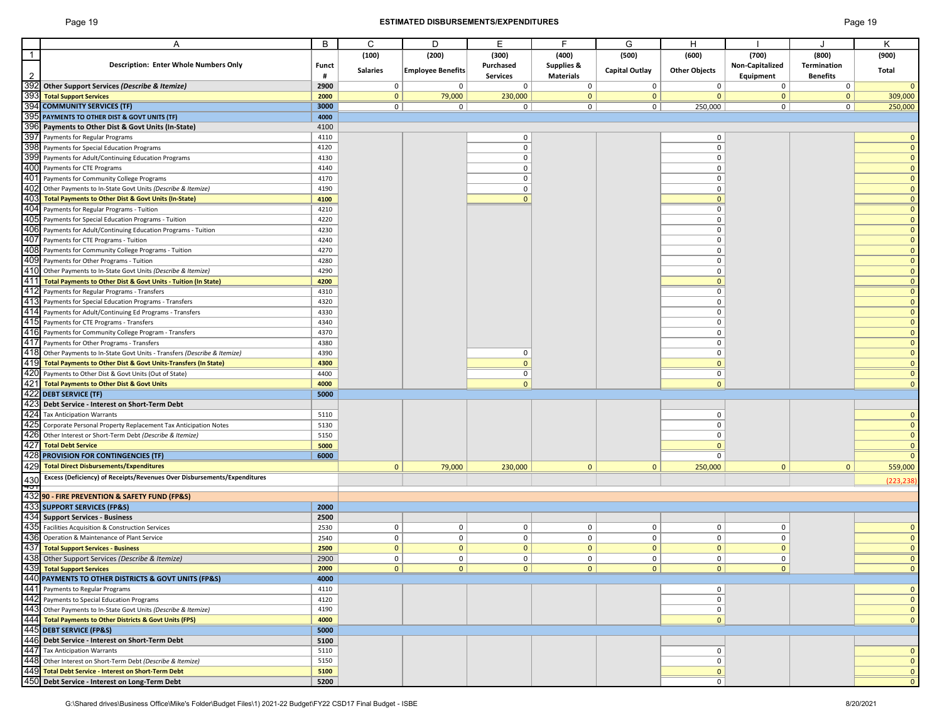## Page 19 **ESTIMATED DISBURSEMENTS/EXPENDITURES** Page 19

| Page 19 |  |
|---------|--|
|---------|--|

|                  | Α                                                                                          | B            | C               | D                        | E                   | F                | G                     | н                    |                 |                 | Κ            |
|------------------|--------------------------------------------------------------------------------------------|--------------|-----------------|--------------------------|---------------------|------------------|-----------------------|----------------------|-----------------|-----------------|--------------|
| $\mathbf{1}$     |                                                                                            |              | (100)           | (200)                    | (300)               | (400)            | (500)                 | (600)                | (700)           | (800)           | (900)        |
|                  | <b>Description: Enter Whole Numbers Only</b>                                               | <b>Funct</b> |                 |                          | Purchased           | Supplies &       |                       |                      | Non-Capitalized | Termination     |              |
| 2                |                                                                                            | #            | <b>Salaries</b> | <b>Employee Benefits</b> | <b>Services</b>     | <b>Materials</b> | <b>Capital Outlay</b> | <b>Other Objects</b> | Equipment       | <b>Benefits</b> | Total        |
|                  | 392 Other Support Services (Describe & Itemize)                                            | 2900         | 0               | 0                        | 0                   | $\mathbf 0$      | 0                     | $\overline{0}$       | 0               | 0               | $\mathbf{0}$ |
| 393              | <b>Total Support Services</b>                                                              |              | $\overline{0}$  |                          | 230,000             | $\mathbf{0}$     | 0                     | $\mathbf{0}$         | $\mathbf{0}$    | 0               |              |
|                  |                                                                                            | 2000         |                 | 79,000                   |                     |                  |                       |                      |                 |                 | 309,000      |
| 394              | <b>COMMUNITY SERVICES (TF)</b>                                                             | 3000         | 0 <sup>1</sup>  | $\mathbf 0$              | 0 <sup>1</sup>      | 0 <sup>1</sup>   | 0 <sup>1</sup>        | 250,000              | $\mathbf 0$     | $\circ$         | 250,000      |
| 395              | PAYMENTS TO OTHER DIST & GOVT UNITS (TF)                                                   | 4000         |                 |                          |                     |                  |                       |                      |                 |                 |              |
| 396              | Payments to Other Dist & Govt Units (In-State)                                             | 4100         |                 |                          |                     |                  |                       |                      |                 |                 |              |
| 397              | Payments for Regular Programs                                                              | 4110         |                 |                          | 0                   |                  |                       | $\mathbf 0$          |                 |                 | $\mathbf{0}$ |
| 398              | Payments for Special Education Programs                                                    | 4120         |                 |                          | $\mathbf 0$         |                  |                       | $\mathbf 0$          |                 |                 | $\mathbf{0}$ |
| 399              | Payments for Adult/Continuing Education Programs                                           | 4130         |                 |                          | $\mathbf 0$         |                  |                       | $\mathbf 0$          |                 |                 | $\mathbf{0}$ |
| 400              | Payments for CTE Programs                                                                  | 4140         |                 |                          | $\mathsf{O}\xspace$ |                  |                       | $\mathbf 0$          |                 |                 | $\mathbf{0}$ |
| 401              |                                                                                            | 4170         |                 |                          | $\mathbf 0$         |                  |                       | $\mathbf 0$          |                 |                 | $\mathbf{0}$ |
|                  | Payments for Community College Programs                                                    |              |                 |                          |                     |                  |                       |                      |                 |                 |              |
| 402              | Other Payments to In-State Govt Units (Describe & Itemize)                                 | 4190         |                 |                          | $\mathbf 0$         |                  |                       | $\mathbf 0$          |                 |                 | $\mathbf{0}$ |
| 403              | <b>Total Payments to Other Dist &amp; Govt Units (In-State)</b>                            | 4100         |                 |                          | $\mathbf{0}$        |                  |                       | $\mathbf 0$          |                 |                 | $\mathbf{0}$ |
| 404              | Payments for Regular Programs - Tuition                                                    | 4210         |                 |                          |                     |                  |                       | $\mathbf 0$          |                 |                 | $\mathbf{0}$ |
| 405              | Payments for Special Education Programs - Tuition                                          | 4220         |                 |                          |                     |                  |                       | $\mathbf 0$          |                 |                 | $\mathbf{0}$ |
| 406              | Payments for Adult/Continuing Education Programs - Tuition                                 | 4230         |                 |                          |                     |                  |                       | $\mathbf 0$          |                 |                 | $\mathbf{0}$ |
| 407              | Payments for CTE Programs - Tuition                                                        | 4240         |                 |                          |                     |                  |                       | $\mathbf 0$          |                 |                 | $\mathbf{0}$ |
| 408              | Payments for Community College Programs - Tuition                                          | 4270         |                 |                          |                     |                  |                       | $\mathbf 0$          |                 |                 | $\mathbf{0}$ |
| 409              |                                                                                            | 4280         |                 |                          |                     |                  |                       | $\mathbf 0$          |                 |                 | $\mathbf{0}$ |
| 410              | Payments for Other Programs - Tuition                                                      |              |                 |                          |                     |                  |                       |                      |                 |                 |              |
|                  | Other Payments to In-State Govt Units (Describe & Itemize)                                 | 4290         |                 |                          |                     |                  |                       | $\mathbf 0$          |                 |                 | $\mathbf{0}$ |
| 411              | Total Payments to Other Dist & Govt Units - Tuition (In State)                             | 4200         |                 |                          |                     |                  |                       | $\mathbf{0}$         |                 |                 | $\mathbf{0}$ |
| 412              | Payments for Regular Programs - Transfers                                                  | 4310         |                 |                          |                     |                  |                       | $\mathbf 0$          |                 |                 | $\mathbf{0}$ |
| 413              | Payments for Special Education Programs - Transfers                                        | 4320         |                 |                          |                     |                  |                       | $\mathbf 0$          |                 |                 | $\mathbf{0}$ |
| 414              | Payments for Adult/Continuing Ed Programs - Transfers                                      | 4330         |                 |                          |                     |                  |                       | $\mathbf 0$          |                 |                 | $\mathbf{0}$ |
| 415              | Payments for CTE Programs - Transfers                                                      | 4340         |                 |                          |                     |                  |                       | $\mathbf 0$          |                 |                 | $\mathbf{0}$ |
| 416              | Payments for Community College Program - Transfers                                         | 4370         |                 |                          |                     |                  |                       | $\mathbf 0$          |                 |                 | $\mathbf{0}$ |
| 417              | Payments for Other Programs - Transfers                                                    | 4380         |                 |                          |                     |                  |                       | $\mathbf 0$          |                 |                 | $\mathbf{0}$ |
| 418              | Other Payments to In-State Govt Units - Transfers (Describe & Itemize)                     | 4390         |                 |                          | $\mathbf 0$         |                  |                       | $\mathbf 0$          |                 |                 | $\mathbf{0}$ |
|                  |                                                                                            |              |                 |                          |                     |                  |                       |                      |                 |                 |              |
| 419              | <b>Total Payments to Other Dist &amp; Govt Units-Transfers (In State)</b>                  | 4300         |                 |                          | $\mathbf 0$         |                  |                       | $\mathbf{0}$         |                 |                 | $\mathbf{0}$ |
| 420              | Payments to Other Dist & Govt Units (Out of State)                                         | 4400         |                 |                          | $\overline{0}$      |                  |                       | $\mathbf 0$          |                 |                 | $\mathbf{0}$ |
| 421              | <b>Total Payments to Other Dist &amp; Govt Units</b>                                       | 4000         |                 |                          | $\mathbf{0}$        |                  |                       | $\mathbf{0}$         |                 |                 | $\mathbf{0}$ |
| 422              | <b>DEBT SERVICE (TF)</b>                                                                   | 5000         |                 |                          |                     |                  |                       |                      |                 |                 |              |
| 423              | Debt Service - Interest on Short-Term Debt                                                 |              |                 |                          |                     |                  |                       |                      |                 |                 |              |
| 424              | <b>Tax Anticipation Warrants</b>                                                           | 5110         |                 |                          |                     |                  |                       | $\mathbf 0$          |                 |                 | $\mathbf{0}$ |
| 425              | Corporate Personal Property Replacement Tax Anticipation Notes                             | 5130         |                 |                          |                     |                  |                       | $\mathbf 0$          |                 |                 | $\mathbf{0}$ |
| 426              | Other Interest or Short-Term Debt (Describe & Itemize)                                     | 5150         |                 |                          |                     |                  |                       | $\mathbf 0$          |                 |                 | $\mathbf{0}$ |
| 427              | <b>Total Debt Service</b>                                                                  | 5000         |                 |                          |                     |                  |                       | $\mathbf{0}$         |                 |                 | $\mathbf{0}$ |
| 428              |                                                                                            |              |                 |                          |                     |                  |                       |                      |                 |                 |              |
|                  | <b>PROVISION FOR CONTINGENCIES (TF)</b>                                                    | 6000         |                 |                          |                     |                  |                       | $\mathbf 0$          |                 |                 | $\mathbf{0}$ |
| 429              | <b>Total Direct Disbursements/Expenditures</b>                                             |              | 0 <sup>1</sup>  | 79,000                   | 230,000             | $\mathbf{0}$     | 0 <sup>1</sup>        | 250,000              | $\mathbf{0}$    | $\mathbf{0}$    | 559,000      |
| $\frac{430}{20}$ | Excess (Deficiency) of Receipts/Revenues Over Disbursements/Expenditures                   |              |                 |                          |                     |                  |                       |                      |                 |                 | (223, 238)   |
|                  |                                                                                            |              |                 |                          |                     |                  |                       |                      |                 |                 |              |
|                  | 432 90 - FIRE PREVENTION & SAFETY FUND (FP&S)                                              |              |                 |                          |                     |                  |                       |                      |                 |                 |              |
| 433              | <b>SUPPORT SERVICES (FP&amp;S)</b>                                                         | 2000         |                 |                          |                     |                  |                       |                      |                 |                 |              |
| 434              | <b>Support Services - Business</b>                                                         | 2500         |                 |                          |                     |                  |                       |                      |                 |                 |              |
| 435              | Facilities Acquisition & Construction Services                                             | 2530         | $\mathbf 0$     | $\mathbf 0$              | $\mathbf 0$         | $\mathbf 0$      | $\circ$               | $\mathbf{0}$         | 0               |                 | $\mathbf{0}$ |
| 436              | Operation & Maintenance of Plant Service                                                   | 2540         | $\mathbf 0$     | $\mathbf 0$              | $\mathbf 0$         | $\mathsf{O}$     | $\overline{0}$        | $\mathbf 0$          | $\mathbf 0$     |                 | $\mathbf{0}$ |
|                  | 437 Total Support Services - Business                                                      | 2500         | $\mathbf{0}$    | $\mathbf{0}$             | $\mathbf{0}$        | $\mathbf{0}$     | $\mathbf{0}$          | $\mathbf{0}$         | $\mathbf{0}$    |                 | $\mathbf{0}$ |
|                  |                                                                                            |              |                 | $\Omega$                 | $\mathbf 0$         |                  |                       |                      |                 |                 |              |
|                  | 438 Other Support Services (Describe & Itemize)                                            | 2900         | 0               |                          |                     | $\mathbf{0}$     | 0 <sup>1</sup>        | $\mathbf 0$          | $\mathbf 0$     |                 | $\mathbf{0}$ |
|                  | 439 Total Support Services<br>440 PAYMENTS TO OTHER DISTRICTS & GOVT UNITS (FP&S)          | 2000         | 0               | 0 <sup>1</sup>           |                     | $\overline{0}$   |                       | 0 <sup>1</sup>       | $\mathbf{0}$    |                 |              |
|                  |                                                                                            | 4000         |                 |                          |                     |                  |                       |                      |                 |                 |              |
|                  | 441 Payments to Regular Programs                                                           | 4110         |                 |                          |                     |                  |                       | $\overline{0}$       |                 |                 | $\mathbf{0}$ |
|                  | 442 Payments to Special Education Programs                                                 | 4120         |                 |                          |                     |                  |                       | $\mathbf 0$          |                 |                 | $\mathbf{0}$ |
| 443              | Other Payments to In-State Govt Units (Describe & Itemize)                                 | 4190         |                 |                          |                     |                  |                       | $\mathbf 0$          |                 |                 | $\mathbf{0}$ |
|                  | <b>444</b> Total Payments to Other Districts & Govt Units (FPS)<br>445 DEBT SERVICE (FP&S) | 4000         |                 |                          |                     |                  |                       | $\mathbf{0}$         |                 |                 | $\mathbf{0}$ |
|                  |                                                                                            | 5000         |                 |                          |                     |                  |                       |                      |                 |                 |              |
|                  | 446 Debt Service - Interest on Short-Term Debt                                             | 5100         |                 |                          |                     |                  |                       |                      |                 |                 |              |
|                  | 447 Tax Anticipation Warrants                                                              |              |                 |                          |                     |                  |                       |                      |                 |                 |              |
|                  |                                                                                            | 5110         |                 |                          |                     |                  |                       | $\mathbf 0$          |                 |                 | $\mathbf{0}$ |
|                  | 448 Other Interest on Short-Term Debt (Describe & Itemize)                                 | 5150         |                 |                          |                     |                  |                       | $\mathbf 0$          |                 |                 | $\mathbf{0}$ |
|                  | 449 Total Debt Service - Interest on Short-Term Debt                                       | 5100         |                 |                          |                     |                  |                       | $\mathbf{0}$         |                 |                 | $\mathbf{0}$ |
|                  | 450 Debt Service - Interest on Long-Term Debt                                              | 5200         |                 |                          |                     |                  |                       | 0                    |                 |                 | $\mathbf{0}$ |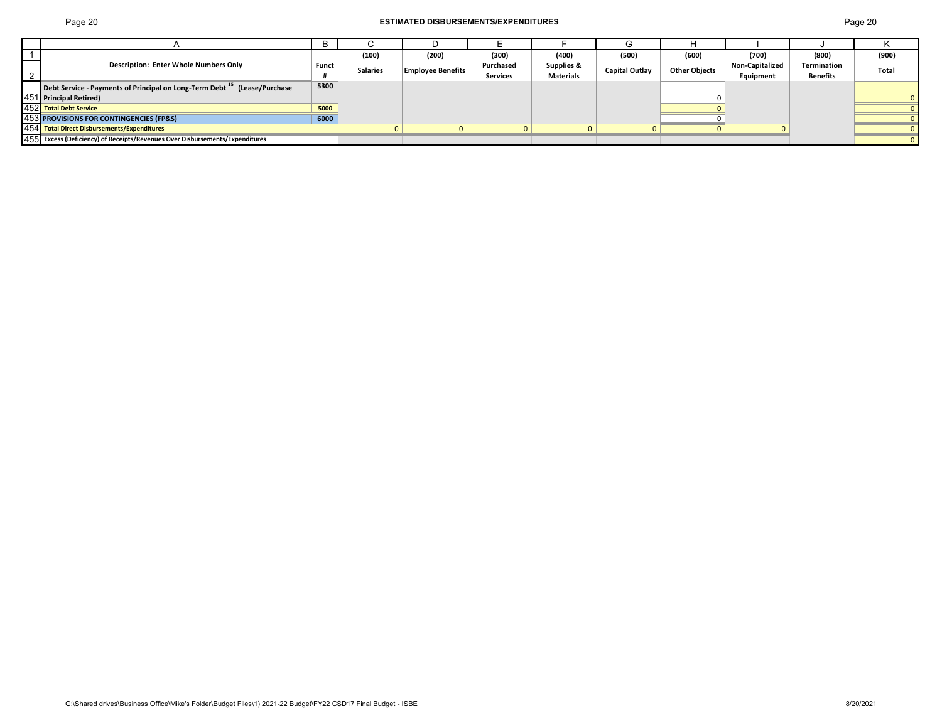## Page 20 **ESTIMATED DISBURSEMENTS/EXPENDITURES** Page 20

|                                                                                      |              | (100)           | (200)             | (300)                        | (400)                          | (500)          | (600)                | (700)                        | (800)                          | (900)        |
|--------------------------------------------------------------------------------------|--------------|-----------------|-------------------|------------------------------|--------------------------------|----------------|----------------------|------------------------------|--------------------------------|--------------|
| <b>Description: Enter Whole Numbers Only</b>                                         | <b>Funct</b> | <b>Salaries</b> | Employee Benefits | Purchased<br><b>Services</b> | Supplies &<br><b>Materials</b> | Capital Outlay | <b>Other Objects</b> | Non-Capitalized<br>Equipment | Termination<br><b>Benefits</b> | <b>Total</b> |
| Debt Service - Payments of Principal on Long-Term Debt <sup>15</sup> (Lease/Purchase | 5300         |                 |                   |                              |                                |                |                      |                              |                                |              |
| 451 Principal Retired)<br>452 Total Debt Service                                     |              |                 |                   |                              |                                |                |                      |                              |                                |              |
|                                                                                      | 5000         |                 |                   |                              |                                |                |                      |                              |                                |              |
| 453 PROVISIONS FOR CONTINGENCIES (FP&S)                                              | 6000         |                 |                   |                              |                                |                |                      |                              |                                |              |
| 454 Total Direct Disbursements/Expenditures                                          |              |                 |                   |                              |                                |                |                      |                              |                                |              |
| 455 Excess (Deficiency) of Receipts/Revenues Over Disbursements/Expenditures         |              |                 |                   |                              |                                |                |                      |                              |                                |              |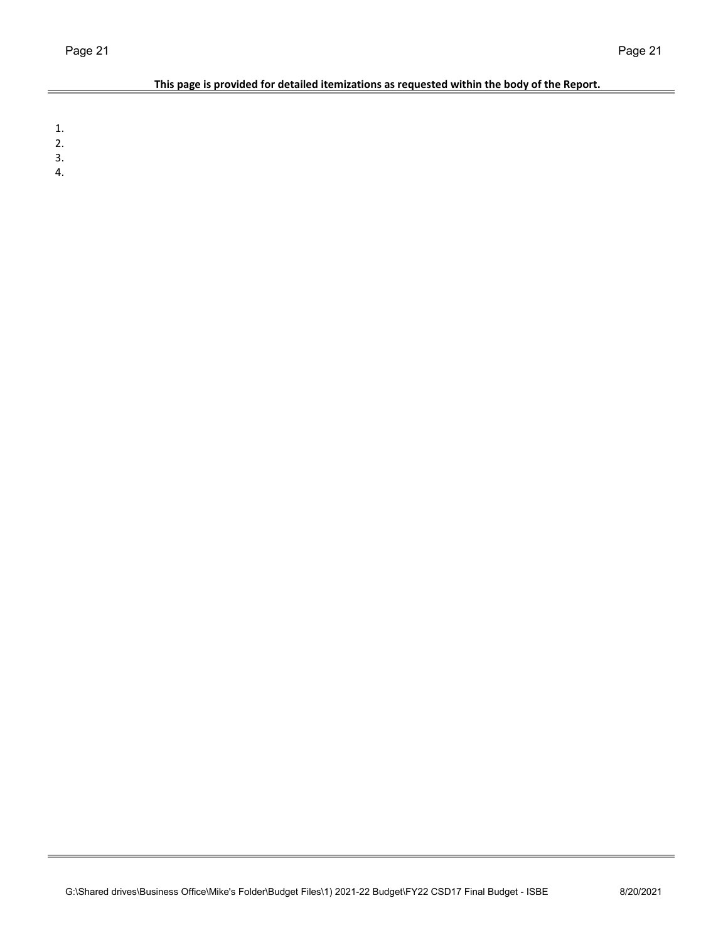# **This page is provided for detailed itemizations as requested within the body of the Report.**

1.

2.

3.

4.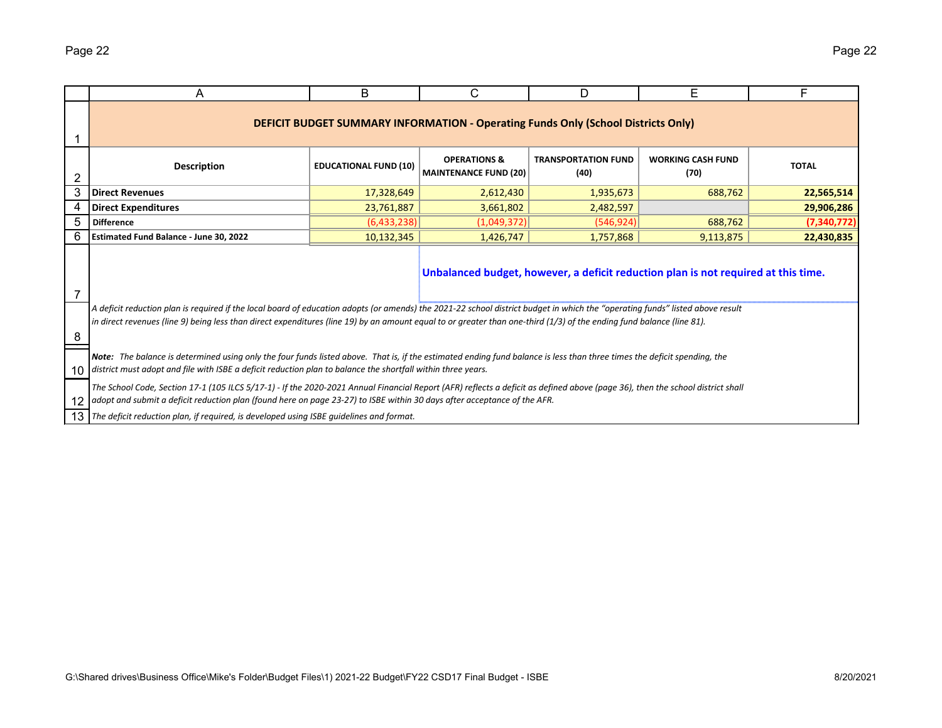|    | A                                                                                                                                                                                                                                                                                                                                                      | B                            | C                                                                                        | D                                  | E                                | F            |  |  |  |  |  |  |
|----|--------------------------------------------------------------------------------------------------------------------------------------------------------------------------------------------------------------------------------------------------------------------------------------------------------------------------------------------------------|------------------------------|------------------------------------------------------------------------------------------|------------------------------------|----------------------------------|--------------|--|--|--|--|--|--|
|    |                                                                                                                                                                                                                                                                                                                                                        |                              | <b>DEFICIT BUDGET SUMMARY INFORMATION - Operating Funds Only (School Districts Only)</b> |                                    |                                  |              |  |  |  |  |  |  |
| 2  | <b>Description</b>                                                                                                                                                                                                                                                                                                                                     | <b>EDUCATIONAL FUND (10)</b> | <b>OPERATIONS &amp;</b><br>MAINTENANCE FUND (20)                                         | <b>TRANSPORTATION FUND</b><br>(40) | <b>WORKING CASH FUND</b><br>(70) | <b>TOTAL</b> |  |  |  |  |  |  |
| 3  | <b>Direct Revenues</b>                                                                                                                                                                                                                                                                                                                                 | 17,328,649                   | 2,612,430                                                                                | 1,935,673                          | 688,762                          | 22,565,514   |  |  |  |  |  |  |
|    | <b>Direct Expenditures</b>                                                                                                                                                                                                                                                                                                                             | 23,761,887                   | 3,661,802                                                                                | 2,482,597                          |                                  | 29,906,286   |  |  |  |  |  |  |
| 5  | <b>Difference</b>                                                                                                                                                                                                                                                                                                                                      | (6,433,238)                  | (1,049,372)                                                                              | (546, 924)                         | 688,762                          | (7,340,772)  |  |  |  |  |  |  |
| 6  | Estimated Fund Balance - June 30, 2022                                                                                                                                                                                                                                                                                                                 | 10,132,345                   | 1,426,747                                                                                | 1,757,868                          | 9,113,875                        | 22,430,835   |  |  |  |  |  |  |
| 7  | Unbalanced budget, however, a deficit reduction plan is not required at this time.                                                                                                                                                                                                                                                                     |                              |                                                                                          |                                    |                                  |              |  |  |  |  |  |  |
| 8  | A deficit reduction plan is required if the local board of education adopts (or amends) the 2021-22 school district budget in which the "operating funds" listed above result<br>in direct revenues (line 9) being less than direct expenditures (line 19) by an amount equal to or greater than one-third (1/3) of the ending fund balance (line 81). |                              |                                                                                          |                                    |                                  |              |  |  |  |  |  |  |
| 10 | Note: The balance is determined using only the four funds listed above. That is, if the estimated ending fund balance is less than three times the deficit spending, the<br>district must adopt and file with ISBE a deficit reduction plan to balance the shortfall within three years.                                                               |                              |                                                                                          |                                    |                                  |              |  |  |  |  |  |  |
| 12 | The School Code, Section 17-1 (105 ILCS 5/17-1) - If the 2020-2021 Annual Financial Report (AFR) reflects a deficit as defined above (page 36), then the school district shall<br>adopt and submit a deficit reduction plan (found here on page 23-27) to ISBE within 30 days after acceptance of the AFR.                                             |                              |                                                                                          |                                    |                                  |              |  |  |  |  |  |  |
|    | 13 The deficit reduction plan, if required, is developed using ISBE quidelines and format.                                                                                                                                                                                                                                                             |                              |                                                                                          |                                    |                                  |              |  |  |  |  |  |  |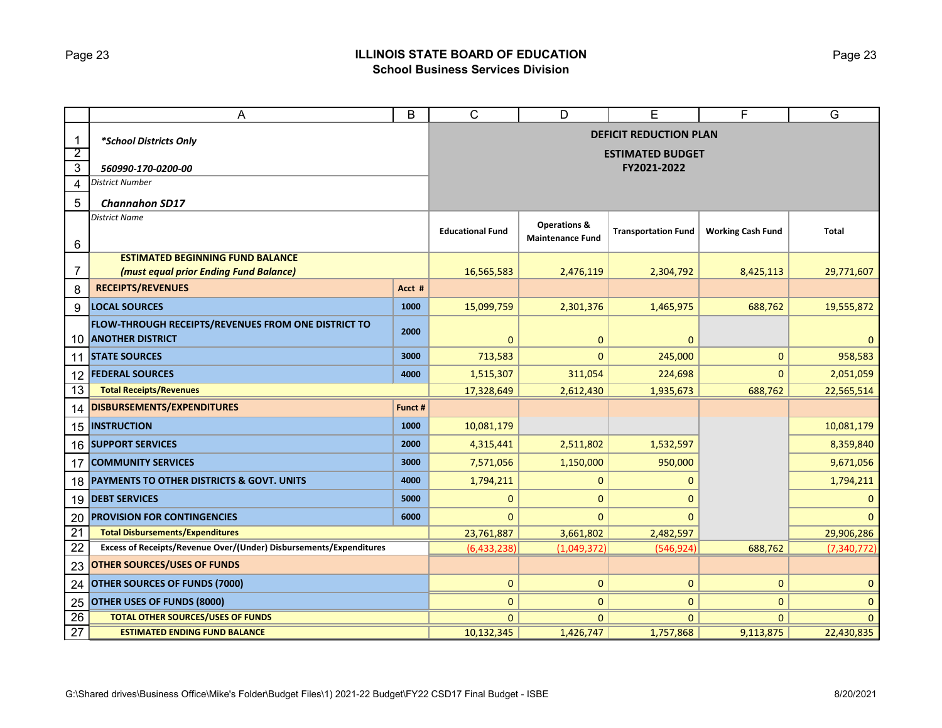# Page 23 **ILLINOIS STATE BOARD OF EDUCATION School Business Services Division**

|                 | Α                                                                  | B                       | $\overline{C}$                | D                          | E                        | F             | G          |  |
|-----------------|--------------------------------------------------------------------|-------------------------|-------------------------------|----------------------------|--------------------------|---------------|------------|--|
| $\mathbf{1}$    | *School Districts Only                                             |                         | <b>DEFICIT REDUCTION PLAN</b> |                            |                          |               |            |  |
| $\overline{2}$  |                                                                    |                         | <b>ESTIMATED BUDGET</b>       |                            |                          |               |            |  |
| $\overline{3}$  | 560990-170-0200-00                                                 |                         |                               | FY2021-2022                |                          |               |            |  |
| 4               | <b>District Number</b>                                             |                         |                               |                            |                          |               |            |  |
| 5               | <b>Channahon SD17</b>                                              |                         |                               |                            |                          |               |            |  |
|                 | <b>District Name</b>                                               |                         | <b>Operations &amp;</b>       |                            |                          |               |            |  |
| 6               |                                                                    | <b>Educational Fund</b> | <b>Maintenance Fund</b>       | <b>Transportation Fund</b> | <b>Working Cash Fund</b> | <b>Total</b>  |            |  |
|                 | <b>ESTIMATED BEGINNING FUND BALANCE</b>                            |                         |                               |                            |                          |               |            |  |
| 7               | (must equal prior Ending Fund Balance)                             |                         | 16,565,583                    | 2,476,119                  | 2,304,792                | 8,425,113     | 29,771,607 |  |
| 8               | <b>RECEIPTS/REVENUES</b>                                           | Acct #                  |                               |                            |                          |               |            |  |
| 9               | <b>LOCAL SOURCES</b>                                               | 1000                    | 15,099,759                    | 2,301,376                  | 1,465,975                | 688,762       | 19,555,872 |  |
|                 | FLOW-THROUGH RECEIPTS/REVENUES FROM ONE DISTRICT TO                | 2000                    |                               |                            |                          |               |            |  |
|                 | 10 ANOTHER DISTRICT                                                |                         | $\mathbf 0$                   | $\mathbf{0}$               | 0                        |               |            |  |
| 11              | <b>STATE SOURCES</b>                                               | 3000                    | 713,583                       | $\Omega$                   | 245,000                  | $\mathbf{0}$  | 958,583    |  |
| 12              | <b>FEDERAL SOURCES</b>                                             | 4000                    | 1,515,307                     | 311,054                    | 224,698                  | $\mathbf{0}$  | 2,051,059  |  |
| 13              | <b>Total Receipts/Revenues</b>                                     | 17,328,649              | 2,612,430                     | 1,935,673                  | 688,762                  | 22,565,514    |            |  |
| 14              | <b>DISBURSEMENTS/EXPENDITURES</b>                                  | Funct #                 |                               |                            |                          |               |            |  |
| 15              | <b>INSTRUCTION</b>                                                 | 1000                    | 10,081,179                    |                            |                          |               | 10,081,179 |  |
| 16              | <b>SUPPORT SERVICES</b>                                            | 2000                    | 4,315,441                     | 2,511,802                  | 1,532,597                |               | 8,359,840  |  |
| 17              | <b>COMMUNITY SERVICES</b>                                          | 3000                    | 7,571,056                     | 1,150,000                  | 950,000                  |               | 9,671,056  |  |
| 18              | PAYMENTS TO OTHER DISTRICTS & GOVT. UNITS                          | 4000                    | 1,794,211                     | $\mathbf 0$                | 0                        |               | 1,794,211  |  |
| 19              | <b>DEBT SERVICES</b>                                               | 5000                    | $\mathbf 0$                   | $\mathbf{0}$               | $\mathbf{0}$             |               |            |  |
| 20              | <b>PROVISION FOR CONTINGENCIES</b>                                 | 6000                    | $\Omega$                      | $\Omega$                   | $\Omega$                 |               |            |  |
| 21              | <b>Total Disbursements/Expenditures</b>                            | 23,761,887              | 3,661,802                     | 2,482,597                  |                          | 29,906,286    |            |  |
| 22              | Excess of Receipts/Revenue Over/(Under) Disbursements/Expenditures | (6,433,238)             | (1,049,372)                   | (546, 924)                 | 688,762                  | (7, 340, 772) |            |  |
| 23              | <b>OTHER SOURCES/USES OF FUNDS</b>                                 |                         |                               |                            |                          |               |            |  |
| 24              | <b>OTHER SOURCES OF FUNDS (7000)</b>                               | $\mathbf{0}$            | $\mathbf{0}$                  | $\mathbf{0}$               | $\mathbf 0$              | $\Omega$      |            |  |
| 25              | OTHER USES OF FUNDS (8000)                                         |                         | $\mathbf 0$                   | $\mathbf{0}$               | 0                        | $\mathbf{0}$  | $\Omega$   |  |
| 26              | <b>TOTAL OTHER SOURCES/USES OF FUNDS</b>                           |                         | $\mathbf{0}$                  | $\Omega$                   | 0                        | $\mathbf{0}$  | $\Omega$   |  |
| $\overline{27}$ | <b>ESTIMATED ENDING FUND BALANCE</b>                               | 10,132,345              | 1,426,747                     | 1,757,868                  | 9,113,875                | 22,430,835    |            |  |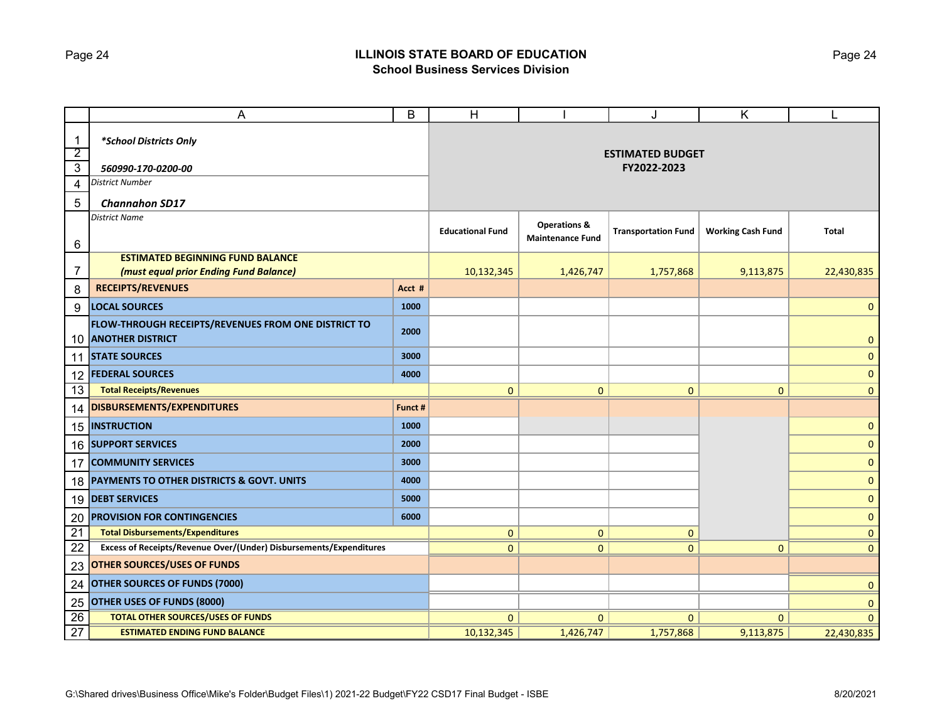# Page 24 **ILLINOIS STATE BOARD OF EDUCATION School Business Services Division**

|                                  | A                                                                          | B                                      | H                                                  |                            | J                        | Κ            |              |
|----------------------------------|----------------------------------------------------------------------------|----------------------------------------|----------------------------------------------------|----------------------------|--------------------------|--------------|--------------|
| $\mathbf{1}$                     | *School Districts Only                                                     |                                        |                                                    |                            |                          |              |              |
| $\overline{2}$<br>$\overline{3}$ | 560990-170-0200-00                                                         | <b>ESTIMATED BUDGET</b><br>FY2022-2023 |                                                    |                            |                          |              |              |
| $\overline{4}$                   | <b>District Number</b>                                                     |                                        |                                                    |                            |                          |              |              |
| 5                                | <b>Channahon SD17</b>                                                      |                                        |                                                    |                            |                          |              |              |
|                                  | <b>District Name</b>                                                       | <b>Educational Fund</b>                | <b>Operations &amp;</b><br><b>Maintenance Fund</b> | <b>Transportation Fund</b> | <b>Working Cash Fund</b> | <b>Total</b> |              |
| 6                                | <b>ESTIMATED BEGINNING FUND BALANCE</b>                                    |                                        |                                                    |                            |                          |              |              |
| 7                                | (must equal prior Ending Fund Balance)                                     |                                        | 10,132,345                                         | 1,426,747                  | 1,757,868                | 9,113,875    | 22,430,835   |
| 8                                | <b>RECEIPTS/REVENUES</b>                                                   | Acct #                                 |                                                    |                            |                          |              |              |
| 9                                | <b>LOCAL SOURCES</b>                                                       | 1000                                   |                                                    |                            |                          |              | 0            |
|                                  | FLOW-THROUGH RECEIPTS/REVENUES FROM ONE DISTRICT TO<br>10 ANOTHER DISTRICT | 2000                                   |                                                    |                            |                          |              | $\Omega$     |
| 11                               | <b>STATE SOURCES</b>                                                       | 3000                                   |                                                    |                            |                          |              | $\mathbf 0$  |
| 12                               | <b>FEDERAL SOURCES</b>                                                     | 4000                                   |                                                    |                            |                          |              | $\mathbf{0}$ |
| 13                               | <b>Total Receipts/Revenues</b>                                             |                                        | $\mathbf 0$                                        | $\mathbf{0}$               | 0                        | $\mathbf 0$  | $\mathbf{0}$ |
| 14                               | <b>DISBURSEMENTS/EXPENDITURES</b>                                          | Funct #                                |                                                    |                            |                          |              |              |
| 15                               | <b>INSTRUCTION</b>                                                         | 1000                                   |                                                    |                            |                          |              | $\mathbf 0$  |
|                                  | 16 SUPPORT SERVICES                                                        | 2000                                   |                                                    |                            |                          |              | $\mathbf 0$  |
| 17                               | <b>COMMUNITY SERVICES</b>                                                  | 3000                                   |                                                    |                            |                          |              | $\mathbf{0}$ |
| 18                               | <b>PAYMENTS TO OTHER DISTRICTS &amp; GOVT. UNITS</b>                       | 4000                                   |                                                    |                            |                          |              | $\mathbf{0}$ |
| 19                               | <b>DEBT SERVICES</b>                                                       | 5000                                   |                                                    |                            |                          |              | $\mathbf{0}$ |
| 20                               | <b>PROVISION FOR CONTINGENCIES</b>                                         | 6000                                   |                                                    |                            |                          |              | $\mathbf 0$  |
| $\overline{21}$                  | <b>Total Disbursements/Expenditures</b>                                    |                                        | $\mathbf 0$                                        | $\mathbf{0}$               | $\mathbf{0}$             |              | $\mathbf{0}$ |
| 22                               | Excess of Receipts/Revenue Over/(Under) Disbursements/Expenditures         | $\Omega$                               | $\Omega$                                           | $\Omega$                   | $\Omega$                 | $\Omega$     |              |
| 23                               | <b>OTHER SOURCES/USES OF FUNDS</b>                                         |                                        |                                                    |                            |                          |              |              |
| 24                               | <b>OTHER SOURCES OF FUNDS (7000)</b>                                       |                                        |                                                    |                            |                          |              |              |
| 25                               | <b>OTHER USES OF FUNDS (8000)</b>                                          |                                        |                                                    |                            |                          |              | O            |
| 26                               | <b>TOTAL OTHER SOURCES/USES OF FUNDS</b>                                   |                                        | $\mathbf{0}$                                       | $\Omega$                   | 0                        | $\mathbf{0}$ | $\Omega$     |
| $\overline{27}$                  | <b>ESTIMATED ENDING FUND BALANCE</b>                                       | 10,132,345                             | 1,426,747                                          | 1,757,868                  | 9,113,875                | 22,430,835   |              |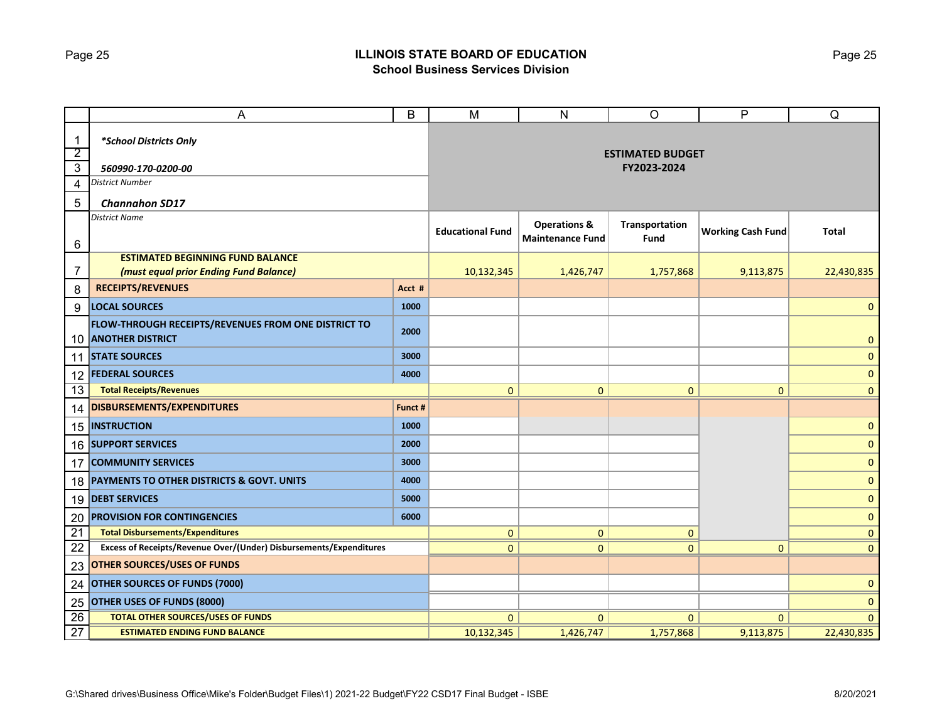# Page 25 **ILLINOIS STATE BOARD OF EDUCATION School Business Services Division**

|                 | Α                                                                  | B                       | M                       | N                       | O                        | P            | Q            |  |
|-----------------|--------------------------------------------------------------------|-------------------------|-------------------------|-------------------------|--------------------------|--------------|--------------|--|
| $\mathbf{1}$    | *School Districts Only                                             |                         |                         |                         |                          |              |              |  |
| $\overline{2}$  |                                                                    |                         | <b>ESTIMATED BUDGET</b> |                         |                          |              |              |  |
| $\overline{3}$  | 560990-170-0200-00                                                 |                         |                         | FY2023-2024             |                          |              |              |  |
| $\overline{4}$  | <b>District Number</b>                                             |                         |                         |                         |                          |              |              |  |
| 5               | <b>Channahon SD17</b>                                              |                         |                         |                         |                          |              |              |  |
|                 | <b>District Name</b>                                               |                         |                         | <b>Operations &amp;</b> | Transportation           |              |              |  |
| 6               |                                                                    | <b>Educational Fund</b> | <b>Maintenance Fund</b> | <b>Fund</b>             | <b>Working Cash Fund</b> | <b>Total</b> |              |  |
|                 | <b>ESTIMATED BEGINNING FUND BALANCE</b>                            |                         |                         |                         |                          |              |              |  |
| 7               | (must equal prior Ending Fund Balance)                             |                         | 10,132,345              | 1,426,747               | 1,757,868                | 9,113,875    | 22,430,835   |  |
| 8               | <b>RECEIPTS/REVENUES</b>                                           | Acct #                  |                         |                         |                          |              |              |  |
| 9               | <b>LOCAL SOURCES</b>                                               | 1000                    |                         |                         |                          |              | 0            |  |
|                 | FLOW-THROUGH RECEIPTS/REVENUES FROM ONE DISTRICT TO                | 2000                    |                         |                         |                          |              |              |  |
|                 | 10 ANOTHER DISTRICT                                                |                         |                         |                         |                          |              | $\Omega$     |  |
| 11              | <b>STATE SOURCES</b>                                               | 3000                    |                         |                         |                          |              | $\mathbf{0}$ |  |
| 12              | <b>FEDERAL SOURCES</b>                                             | 4000                    |                         |                         |                          |              | $\mathbf{0}$ |  |
| 13              | <b>Total Receipts/Revenues</b>                                     |                         | $\mathbf 0$             | $\mathbf{0}$            | 0                        | $\mathbf 0$  | $\mathbf{0}$ |  |
| 14              | <b>DISBURSEMENTS/EXPENDITURES</b>                                  | Funct #                 |                         |                         |                          |              |              |  |
| 15              | <b>INSTRUCTION</b>                                                 | 1000                    |                         |                         |                          |              | $\mathbf 0$  |  |
|                 | 16 SUPPORT SERVICES                                                | 2000                    |                         |                         |                          |              | $\mathbf 0$  |  |
| 17              | <b>COMMUNITY SERVICES</b>                                          | 3000                    |                         |                         |                          |              | $\mathbf{0}$ |  |
| 18              | <b>PAYMENTS TO OTHER DISTRICTS &amp; GOVT. UNITS</b>               | 4000                    |                         |                         |                          |              | $\mathbf{0}$ |  |
| 19              | <b>DEBT SERVICES</b>                                               | 5000                    |                         |                         |                          |              | $\mathbf{0}$ |  |
| 20              | <b>PROVISION FOR CONTINGENCIES</b>                                 | 6000                    |                         |                         |                          |              | $\mathbf 0$  |  |
| $\overline{21}$ | <b>Total Disbursements/Expenditures</b>                            |                         | $\mathbf{0}$            | $\mathbf{0}$            | 0                        |              | $\mathbf{0}$ |  |
| 22              | Excess of Receipts/Revenue Over/(Under) Disbursements/Expenditures | $\Omega$                | $\Omega$                | $\overline{0}$          | $\Omega$                 | $\Omega$     |              |  |
| 23              | <b>OTHER SOURCES/USES OF FUNDS</b>                                 |                         |                         |                         |                          |              |              |  |
| 24              | OTHER SOURCES OF FUNDS (7000)                                      |                         |                         |                         |                          | $\Omega$     |              |  |
| 25              | <b>OTHER USES OF FUNDS (8000)</b>                                  |                         |                         |                         |                          |              | 0            |  |
| 26              | <b>TOTAL OTHER SOURCES/USES OF FUNDS</b>                           |                         | $\mathbf{0}$            | $\Omega$                | 0                        | $\mathbf{0}$ | $\Omega$     |  |
| $\overline{27}$ | <b>ESTIMATED ENDING FUND BALANCE</b>                               |                         | 10,132,345              | 1,426,747               | 1,757,868                | 9,113,875    | 22,430,835   |  |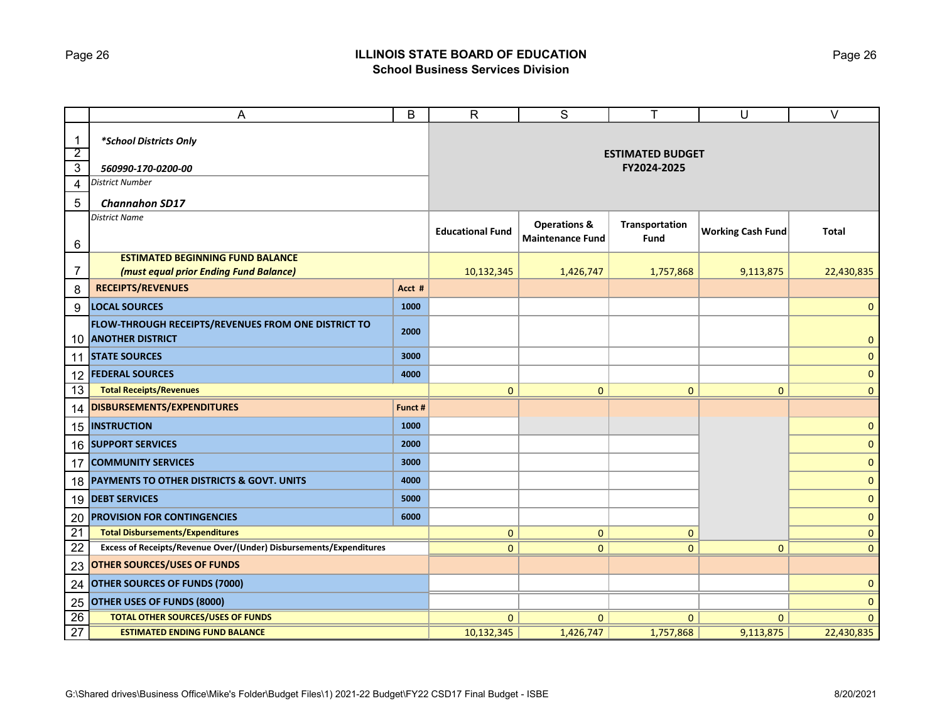# Page 26 **ILLINOIS STATE BOARD OF EDUCATION School Business Services Division**

|                                | A                                                                          | B                       | $\mathsf{R}$                                       | S                       | T                        | U            | $\overline{\vee}$ |
|--------------------------------|----------------------------------------------------------------------------|-------------------------|----------------------------------------------------|-------------------------|--------------------------|--------------|-------------------|
| $\mathbf{1}$<br>$\overline{2}$ | *School Districts Only                                                     |                         |                                                    | <b>ESTIMATED BUDGET</b> |                          |              |                   |
| $\overline{3}$                 | 560990-170-0200-00                                                         |                         |                                                    |                         | FY2024-2025              |              |                   |
| 4                              | <b>District Number</b>                                                     |                         |                                                    |                         |                          |              |                   |
| 5                              | <b>Channahon SD17</b>                                                      |                         |                                                    |                         |                          |              |                   |
| 6                              | <b>District Name</b>                                                       | <b>Educational Fund</b> | <b>Operations &amp;</b><br><b>Maintenance Fund</b> | Transportation<br>Fund  | <b>Working Cash Fund</b> | Total        |                   |
|                                | <b>ESTIMATED BEGINNING FUND BALANCE</b>                                    |                         |                                                    |                         |                          |              |                   |
| 7                              | (must equal prior Ending Fund Balance)                                     |                         | 10,132,345                                         | 1,426,747               | 1,757,868                | 9,113,875    | 22,430,835        |
| 8                              | <b>RECEIPTS/REVENUES</b>                                                   | Acct #                  |                                                    |                         |                          |              |                   |
| 9                              | <b>LOCAL SOURCES</b>                                                       | 1000                    |                                                    |                         |                          |              | $\mathbf{0}$      |
|                                | FLOW-THROUGH RECEIPTS/REVENUES FROM ONE DISTRICT TO<br>10 ANOTHER DISTRICT | 2000                    |                                                    |                         |                          |              | $\mathbf{0}$      |
| 11                             | <b>STATE SOURCES</b>                                                       | 3000                    |                                                    |                         |                          |              | $\mathbf{0}$      |
|                                | 12 <b>FEDERAL SOURCES</b>                                                  | 4000                    |                                                    |                         |                          |              | $\mathbf{0}$      |
| 13                             | <b>Total Receipts/Revenues</b>                                             |                         | $\mathbf{0}$                                       | $\mathbf{0}$            | $\mathbf{0}$             | $\mathbf{0}$ | $\mathbf{0}$      |
| 14                             | DISBURSEMENTS/EXPENDITURES                                                 | Funct #                 |                                                    |                         |                          |              |                   |
|                                | <b>15 INSTRUCTION</b>                                                      | 1000                    |                                                    |                         |                          |              | $\mathbf{0}$      |
|                                | <b>16 SUPPORT SERVICES</b>                                                 | 2000                    |                                                    |                         |                          |              | $\mathbf{0}$      |
| 17                             | <b>COMMUNITY SERVICES</b>                                                  | 3000                    |                                                    |                         |                          |              | $\mathbf{0}$      |
|                                | 18 PAYMENTS TO OTHER DISTRICTS & GOVT. UNITS                               | 4000                    |                                                    |                         |                          |              | $\mathbf{0}$      |
|                                | 19 DEBT SERVICES                                                           | 5000                    |                                                    |                         |                          |              | $\mathbf{0}$      |
| 20                             | <b>PROVISION FOR CONTINGENCIES</b>                                         | 6000                    |                                                    |                         |                          |              | $\mathbf{0}$      |
| 21                             | <b>Total Disbursements/Expenditures</b>                                    |                         | $\mathbf{0}$                                       | $\mathbf{0}$            | $\mathbf{0}$             |              | $\mathbf{0}$      |
| 22                             | Excess of Receipts/Revenue Over/(Under) Disbursements/Expenditures         | $\mathbf{0}$            | $\mathbf{0}$                                       | $\mathbf{0}$            | $\overline{0}$           | $\mathbf{0}$ |                   |
| 23                             | <b>OTHER SOURCES/USES OF FUNDS</b>                                         |                         |                                                    |                         |                          |              |                   |
| 24                             | <b>OTHER SOURCES OF FUNDS (7000)</b>                                       |                         |                                                    |                         |                          | $\mathbf{0}$ |                   |
| 25                             | <b>OTHER USES OF FUNDS (8000)</b>                                          |                         |                                                    |                         |                          | $\mathbf 0$  |                   |
| $\overline{26}$                | <b>TOTAL OTHER SOURCES/USES OF FUNDS</b>                                   |                         | $\Omega$                                           | $\mathbf{0}$            | $\mathbf{0}$             | $\Omega$     | $\overline{0}$    |
| $\overline{27}$                | <b>ESTIMATED ENDING FUND BALANCE</b>                                       | 10,132,345              | 1,426,747                                          | 1,757,868               | 9,113,875                | 22,430,835   |                   |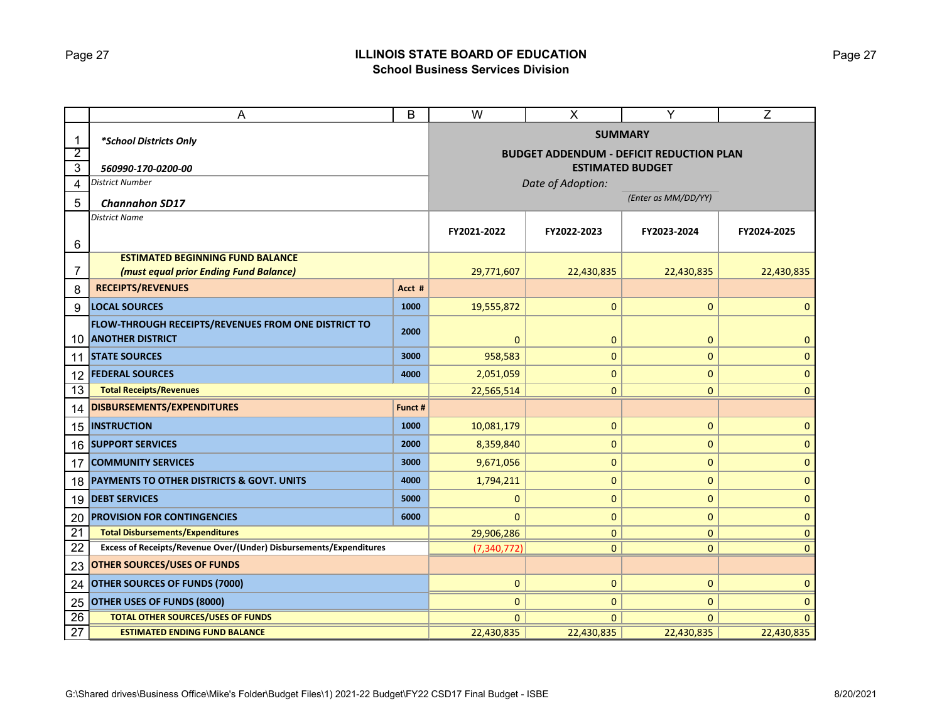# Page 27 **ILLINOIS STATE BOARD OF EDUCATION School Business Services Division**

|                 | A                                                                  | B             | W                                               | X            | Y            | Z            |  |  |
|-----------------|--------------------------------------------------------------------|---------------|-------------------------------------------------|--------------|--------------|--------------|--|--|
| 1               | *School Districts Only                                             |               | <b>SUMMARY</b>                                  |              |              |              |  |  |
| $\overline{2}$  |                                                                    |               | <b>BUDGET ADDENDUM - DEFICIT REDUCTION PLAN</b> |              |              |              |  |  |
| $\overline{3}$  | 560990-170-0200-00                                                 |               | <b>ESTIMATED BUDGET</b>                         |              |              |              |  |  |
| 4               | <b>District Number</b>                                             |               | Date of Adoption:                               |              |              |              |  |  |
| 5               | <b>Channahon SD17</b>                                              |               | (Enter as MM/DD/YY)                             |              |              |              |  |  |
|                 | <b>District Name</b>                                               |               |                                                 |              |              |              |  |  |
| 6               |                                                                    | FY2021-2022   | FY2022-2023                                     | FY2023-2024  | FY2024-2025  |              |  |  |
|                 | <b>ESTIMATED BEGINNING FUND BALANCE</b>                            |               |                                                 |              |              |              |  |  |
| 7               | (must equal prior Ending Fund Balance)                             |               | 29,771,607                                      | 22,430,835   | 22,430,835   | 22,430,835   |  |  |
| 8               | <b>RECEIPTS/REVENUES</b>                                           | Acct #        |                                                 |              |              |              |  |  |
| 9               | <b>LOCAL SOURCES</b>                                               | 1000          | 19,555,872                                      | $\mathbf 0$  | $\pmb{0}$    | $\mathbf 0$  |  |  |
|                 | FLOW-THROUGH RECEIPTS/REVENUES FROM ONE DISTRICT TO                | 2000          |                                                 |              |              |              |  |  |
| 10              | <b>ANOTHER DISTRICT</b>                                            |               | $\mathbf{0}$                                    | $\mathbf 0$  | $\mathbf{0}$ | $\mathbf{0}$ |  |  |
| 11              | <b>STATE SOURCES</b>                                               | 3000          | 958,583                                         | $\mathbf 0$  | $\pmb{0}$    | $\mathbf{0}$ |  |  |
| 12              | <b>FEDERAL SOURCES</b>                                             | 4000          | 2,051,059                                       | $\mathbf 0$  | $\pmb{0}$    | $\mathbf 0$  |  |  |
| 13              | <b>Total Receipts/Revenues</b>                                     | 22,565,514    | $\mathbf 0$                                     | $\mathbf{0}$ | $\mathbf 0$  |              |  |  |
| 14              | DISBURSEMENTS/EXPENDITURES                                         | Funct #       |                                                 |              |              |              |  |  |
| 15              | <b>INSTRUCTION</b>                                                 | 1000          | 10,081,179                                      | $\mathbf 0$  | 0            | $\mathbf 0$  |  |  |
| 16              | <b>SUPPORT SERVICES</b>                                            | 2000          | 8,359,840                                       | $\mathbf 0$  | $\pmb{0}$    | $\mathbf 0$  |  |  |
| 17              | <b>COMMUNITY SERVICES</b>                                          | 3000          | 9,671,056                                       | $\mathbf 0$  | $\mathbf 0$  | $\mathbf 0$  |  |  |
| 18              | <b>PAYMENTS TO OTHER DISTRICTS &amp; GOVT. UNITS</b>               | 4000          | 1,794,211                                       | $\mathbf 0$  | $\pmb{0}$    | $\mathbf 0$  |  |  |
| 19              | <b>DEBT SERVICES</b>                                               | 5000          | 0                                               | $\mathbf 0$  | $\pmb{0}$    | $\mathbf 0$  |  |  |
| 20              | <b>PROVISION FOR CONTINGENCIES</b>                                 | 6000          | 0                                               | $\mathbf 0$  | $\mathbf 0$  | $\mathbf 0$  |  |  |
| 21              | <b>Total Disbursements/Expenditures</b>                            |               | 29,906,286                                      | $\mathbf{0}$ | $\mathbf{0}$ | $\mathbf{0}$ |  |  |
| $\overline{22}$ | Excess of Receipts/Revenue Over/(Under) Disbursements/Expenditures | (7, 340, 772) | $\mathbf{0}$                                    | $\mathbf{0}$ | $\mathbf{0}$ |              |  |  |
| 23              | <b>OTHER SOURCES/USES OF FUNDS</b>                                 |               |                                                 |              |              |              |  |  |
| 24              | <b>OTHER SOURCES OF FUNDS (7000)</b>                               | 0             | $\mathbf 0$                                     | $\mathbf{0}$ | $\mathbf{0}$ |              |  |  |
| 25              | OTHER USES OF FUNDS (8000)                                         |               | $\overline{0}$                                  | $\mathbf 0$  | $\mathbf{0}$ | $\Omega$     |  |  |
| $\overline{26}$ | <b>TOTAL OTHER SOURCES/USES OF FUNDS</b>                           |               | $\Omega$                                        | $\Omega$     | $\Omega$     | $\Omega$     |  |  |
| $\overline{27}$ | <b>ESTIMATED ENDING FUND BALANCE</b>                               | 22,430,835    | 22,430,835                                      | 22,430,835   | 22,430,835   |              |  |  |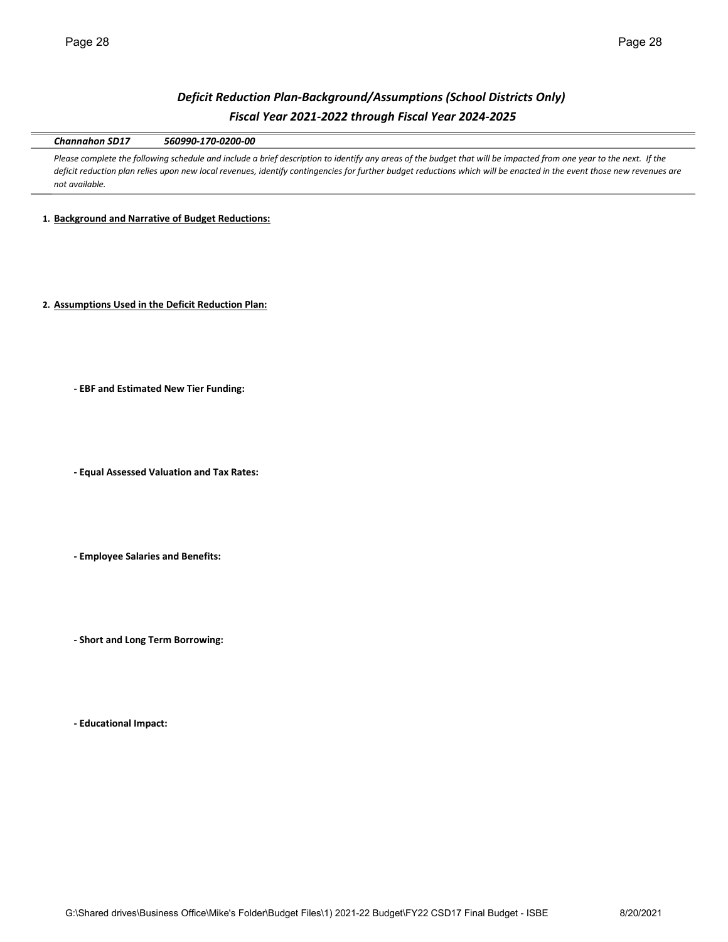# *Deficit Reduction Plan-Background/Assumptions (School Districts Only) Fiscal Year 2021-2022 through Fiscal Year 2024-2025*

*Channahon SD17 560990-170-0200-00*

Please complete the following schedule and include a brief description to identify any areas of the budget that will be impacted from one year to the next. If the *deficit reduction plan relies upon new local revenues, identify contingencies for further budget reductions which will be enacted in the event those new revenues are not available.* 

**1. Background and Narrative of Budget Reductions:**

**2. Assumptions Used in the Deficit Reduction Plan:**

**- EBF and Estimated New Tier Funding:**

**- Equal Assessed Valuation and Tax Rates:**

**- Employee Salaries and Benefits:**

**- Short and Long Term Borrowing:**

**- Educational Impact:**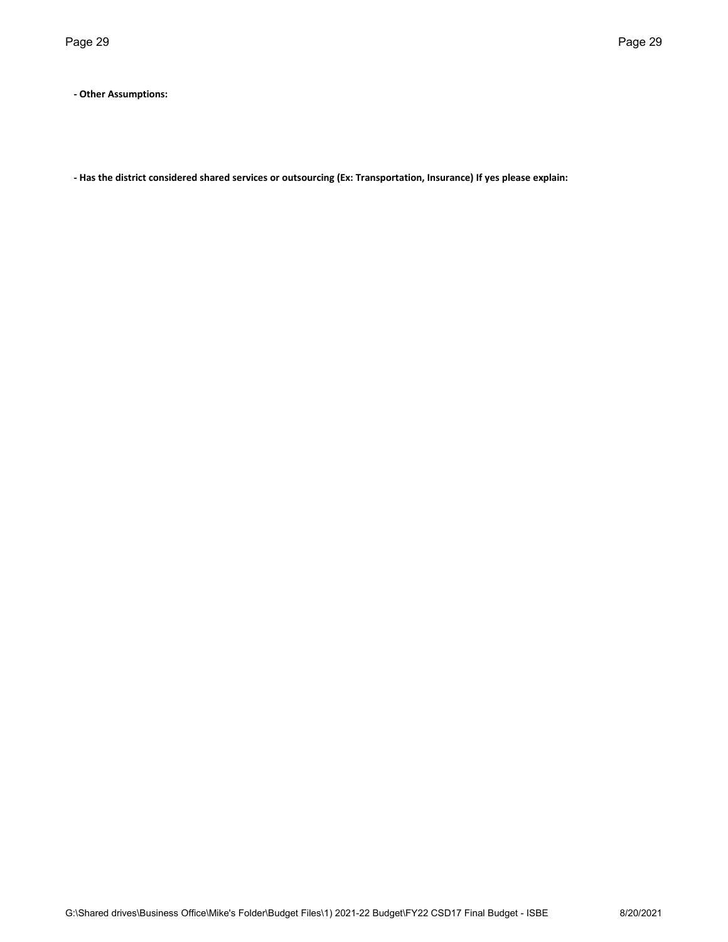**- Other Assumptions:**

**- Has the district considered shared services or outsourcing (Ex: Transportation, Insurance) If yes please explain:**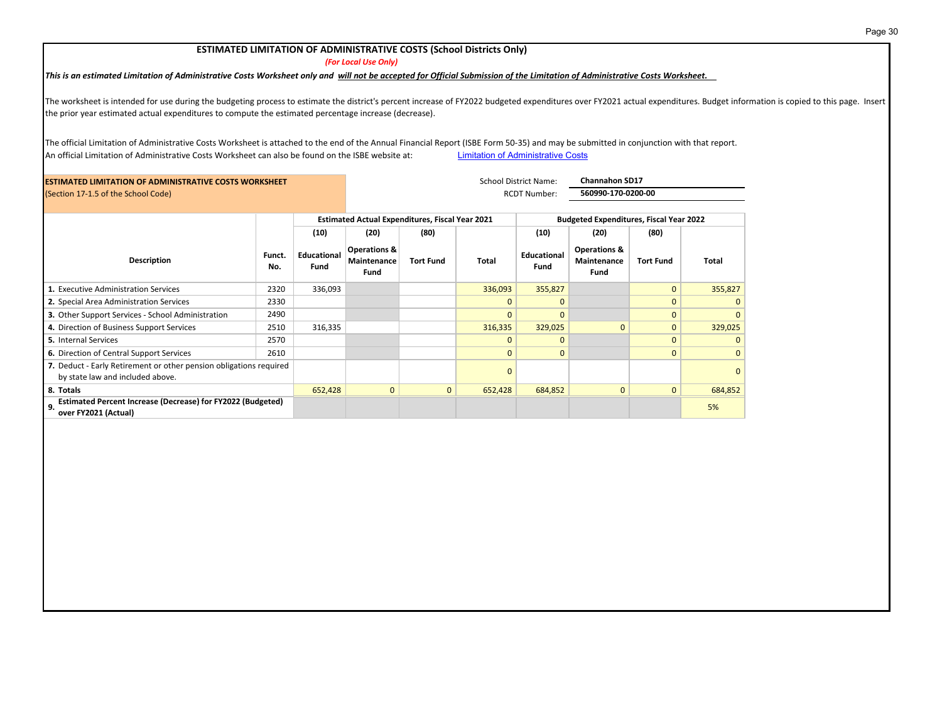## **ESTIMATED LIMITATION OF ADMINISTRATIVE COSTS (School Districts Only)**

*(For Local Use Only)*

*This is an estimated Limitation of Administrative Costs Worksheet only and will not be accepted for Official Submission of the Limitation of Administrative Costs Worksheet.* 

The worksheet is intended for use during the budgeting process to estimate the district's percent increase of FY2022 budgeted expenditures over FY2021 actual expenditures. Budget information is copied to this page. Insert the prior year estimated actual expenditures to compute the estimated percentage increase (decrease).

The official Limitation of Administrative Costs Worksheet is attached to the end of the Annual Financial Report (ISBE Form 50-35) and may be submitted in conjunction with that report. An official [Limitation of Administrative Costs](https://www.isbe.net/Pages/Limitation-of-Administrative-Costs.aspx) Worksheet can also be found on the ISBE website at: Limitation of Administrative Costs

| <b>ESTIMATED LIMITATION OF ADMINISTRATIVE COSTS WORKSHEET</b>                                          | <b>Channahon SD17</b><br><b>School District Name:</b> |                            |                                                |                                                        |              |                                                |                                                |                  |              |
|--------------------------------------------------------------------------------------------------------|-------------------------------------------------------|----------------------------|------------------------------------------------|--------------------------------------------------------|--------------|------------------------------------------------|------------------------------------------------|------------------|--------------|
| (Section 17-1.5 of the School Code)                                                                    |                                                       |                            |                                                |                                                        |              | <b>RCDT Number:</b>                            | 560990-170-0200-00                             |                  |              |
|                                                                                                        |                                                       |                            |                                                | <b>Estimated Actual Expenditures, Fiscal Year 2021</b> |              | <b>Budgeted Expenditures, Fiscal Year 2022</b> |                                                |                  |              |
|                                                                                                        |                                                       | (10)                       | (20)                                           | (80)                                                   |              | (10)                                           | (20)                                           | (80)             |              |
| <b>Description</b>                                                                                     | Funct.<br>No.                                         | <b>Educational</b><br>Fund | <b>Operations &amp;</b><br>Maintenance<br>Fund | <b>Tort Fund</b>                                       | Total        | Educational<br>Fund                            | <b>Operations &amp;</b><br>Maintenance<br>Fund | <b>Tort Fund</b> | Total        |
| 1. Executive Administration Services                                                                   | 2320                                                  | 336,093                    |                                                |                                                        | 336,093      | 355,827                                        |                                                | $\mathbf{0}$     | 355,827      |
| 2. Special Area Administration Services                                                                | 2330                                                  |                            |                                                |                                                        | n            | 0                                              |                                                | $\mathbf{0}$     |              |
| 3. Other Support Services - School Administration                                                      | 2490                                                  |                            |                                                |                                                        | <sup>0</sup> | $\Omega$                                       |                                                | $\mathbf{0}$     | <sup>n</sup> |
| 4. Direction of Business Support Services                                                              | 2510                                                  | 316,335                    |                                                |                                                        | 316,335      | 329,025                                        | $\Omega$                                       | $\mathbf{0}$     | 329,025      |
| <b>5.</b> Internal Services                                                                            | 2570                                                  |                            |                                                |                                                        | O            | $\Omega$                                       |                                                | $\Omega$         |              |
| 6. Direction of Central Support Services                                                               | 2610                                                  |                            |                                                |                                                        | $\Omega$     | $\Omega$                                       |                                                | $\mathbf{0}$     | $\Omega$     |
| 7. Deduct - Early Retirement or other pension obligations required<br>by state law and included above. |                                                       |                            |                                                |                                                        |              |                                                |                                                | $\Omega$         |              |
| 8. Totals<br>652,428                                                                                   |                                                       | $\mathbf{0}$               | $\mathbf{0}$                                   | 652,428                                                | 684,852      | $\mathbf{0}$                                   | $\mathbf{0}$                                   | 684,852          |              |
| Estimated Percent Increase (Decrease) for FY2022 (Budgeted)<br>9.<br>over FY2021 (Actual)              |                                                       |                            |                                                |                                                        |              |                                                |                                                |                  | 5%           |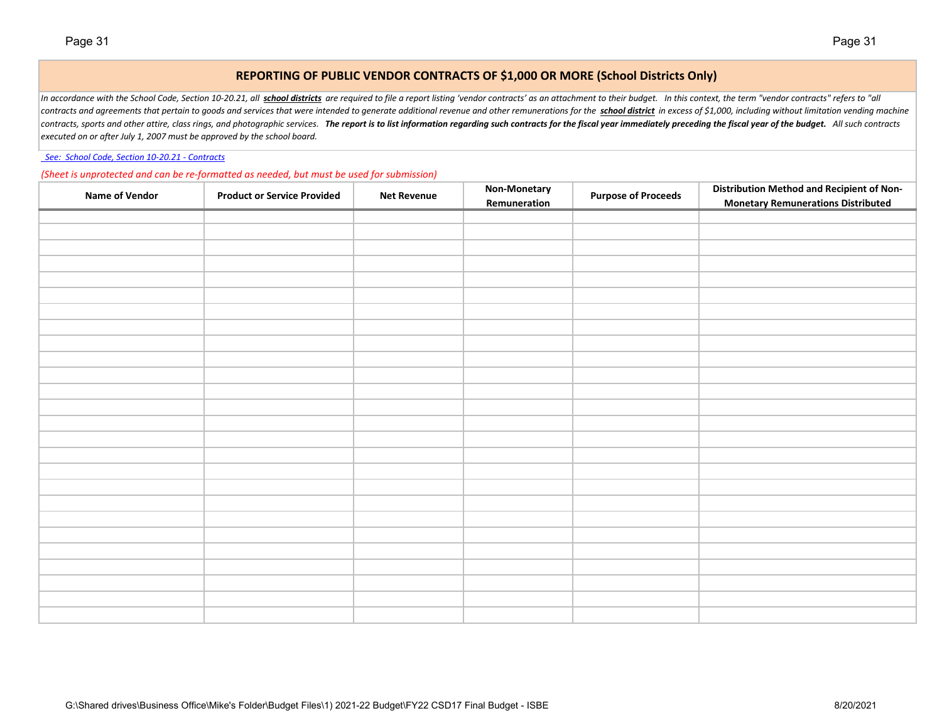## **REPORTING OF PUBLIC VENDOR CONTRACTS OF \$1,000 OR MORE (School Districts Only)**

In accordance with the School Code, Section 10-20.21, all school districts are required to file a report listing 'vendor contracts' as an attachment to their budget. In this context, the term "vendor contracts" refers to " contracts and agreements that pertain to goods and services that were intended to generate additional revenue and other remunerations for the school district in excess of \$1,000, including without limitation vending machin contracts, sports and other attire, class rings, and photographic services. The report is to list information regarding such contracts for the fiscal year immediately preceding the fiscal year of the budget. All such contr *executed on or after July 1, 2007 must be approved by the school board.*

 *[See: School Code, Section 10-20.21 - Contracts](http://www.ilga.gov/legislation/ilcs/ilcs4.asp?DocName=010500050HArt.%2010&ActID=1005&ChapAct=105 ILCS 5/&ChapterID=17&ChapterName=SCHOOLS&SectionID=48899&SeqStart=53200000&SeqEnd=74800000&ActName=School%20Code.)*

*(Sheet is unprotected and can be re-formatted as needed, but must be used for submission)*

| <b>Name of Vendor</b> | <b>Product or Service Provided</b> | <b>Net Revenue</b> | Non-Monetary<br>Remuneration | <b>Purpose of Proceeds</b> | <b>Distribution Method and Recipient of Non-</b><br><b>Monetary Remunerations Distributed</b> |
|-----------------------|------------------------------------|--------------------|------------------------------|----------------------------|-----------------------------------------------------------------------------------------------|
|                       |                                    |                    |                              |                            |                                                                                               |
|                       |                                    |                    |                              |                            |                                                                                               |
|                       |                                    |                    |                              |                            |                                                                                               |
|                       |                                    |                    |                              |                            |                                                                                               |
|                       |                                    |                    |                              |                            |                                                                                               |
|                       |                                    |                    |                              |                            |                                                                                               |
|                       |                                    |                    |                              |                            |                                                                                               |
|                       |                                    |                    |                              |                            |                                                                                               |
|                       |                                    |                    |                              |                            |                                                                                               |
|                       |                                    |                    |                              |                            |                                                                                               |
|                       |                                    |                    |                              |                            |                                                                                               |
|                       |                                    |                    |                              |                            |                                                                                               |
|                       |                                    |                    |                              |                            |                                                                                               |
|                       |                                    |                    |                              |                            |                                                                                               |
|                       |                                    |                    |                              |                            |                                                                                               |
|                       |                                    |                    |                              |                            |                                                                                               |
|                       |                                    |                    |                              |                            |                                                                                               |
|                       |                                    |                    |                              |                            |                                                                                               |
|                       |                                    |                    |                              |                            |                                                                                               |
|                       |                                    |                    |                              |                            |                                                                                               |
|                       |                                    |                    |                              |                            |                                                                                               |
|                       |                                    |                    |                              |                            |                                                                                               |
|                       |                                    |                    |                              |                            |                                                                                               |
|                       |                                    |                    |                              |                            |                                                                                               |
|                       |                                    |                    |                              |                            |                                                                                               |
|                       |                                    |                    |                              |                            |                                                                                               |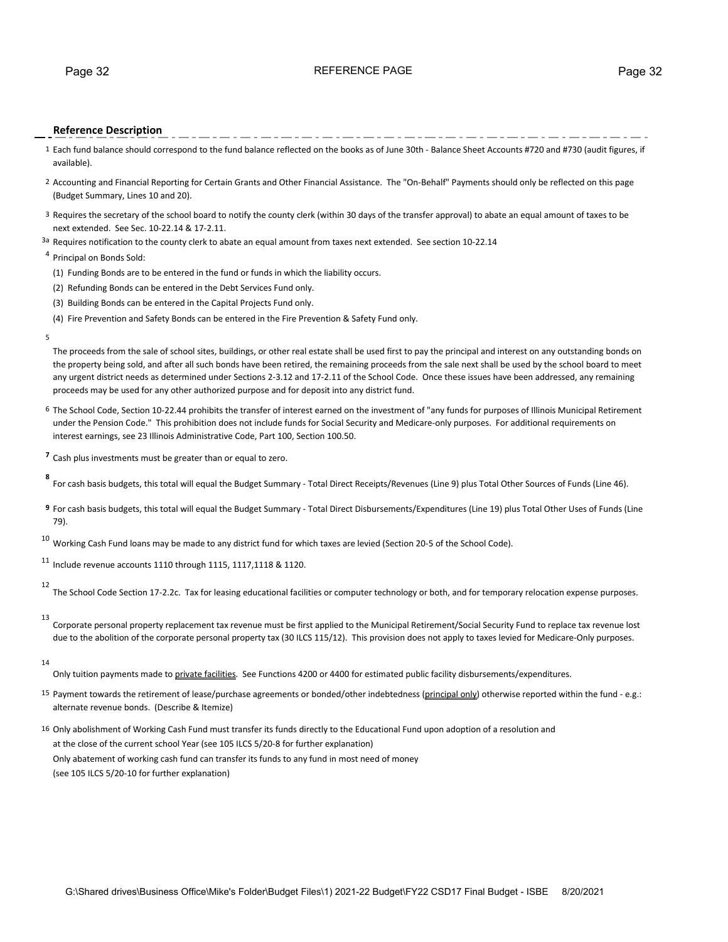## Page 32 **Page 32** REFERENCE PAGE **PAGE** Page 32

## **Reference Description**

- 1 Each fund balance should correspond to the fund balance reflected on the books as of June 30th Balance Sheet Accounts #720 and #730 (audit figures, if available).
- 2 Accounting and Financial Reporting for Certain Grants and Other Financial Assistance. The "On-Behalf" Payments should only be reflected on this page (Budget Summary, Lines 10 and 20).
- 3 Requires the secretary of the school board to notify the county clerk (within 30 days of the transfer approval) to abate an equal amount of taxes to be next extended. See Sec. 10-22.14 & 17-2.11.
- 3a Requires notification to the county clerk to abate an equal amount from taxes next extended. See section 10-22.14

## <sup>4</sup> Principal on Bonds Sold:

- (1) Funding Bonds are to be entered in the fund or funds in which the liability occurs.
- (2) Refunding Bonds can be entered in the Debt Services Fund only.
- (3) Building Bonds can be entered in the Capital Projects Fund only.
- (4) Fire Prevention and Safety Bonds can be entered in the Fire Prevention & Safety Fund only.
- 5

The proceeds from the sale of school sites, buildings, or other real estate shall be used first to pay the principal and interest on any outstanding bonds on the property being sold, and after all such bonds have been retired, the remaining proceeds from the sale next shall be used by the school board to meet any urgent district needs as determined under Sections 2-3.12 and 17-2.11 of the School Code. Once these issues have been addressed, any remaining proceeds may be used for any other authorized purpose and for deposit into any district fund.

- 6 The School Code, Section 10-22.44 prohibits the transfer of interest earned on the investment of "any funds for purposes of Illinois Municipal Retirement under the Pension Code." This prohibition does not include funds for Social Security and Medicare-only purposes. For additional requirements on interest earnings, see 23 Illinois Administrative Code, Part 100, Section 100.50.
- **7** Cash plus investments must be greater than or equal to zero.

**8** For cash basis budgets, this total will equal the Budget Summary - Total Direct Receipts/Revenues (Line 9) plus Total Other Sources of Funds (Line 46).

**9** For cash basis budgets, this total will equal the Budget Summary - Total Direct Disbursements/Expenditures (Line 19) plus Total Other Uses of Funds (Line 79).

 $10$  Working Cash Fund loans may be made to any district fund for which taxes are levied (Section 20-5 of the School Code).

 $11$  Include revenue accounts 1110 through 1115, 1117, 1118 & 1120.

12 The School Code Section 17-2.2c. Tax for leasing educational facilities or computer technology or both, and for temporary relocation expense purposes.

13

Corporate personal property replacement tax revenue must be first applied to the Municipal Retirement/Social Security Fund to replace tax revenue lost due to the abolition of the corporate personal property tax (30 ILCS 115/12). This provision does not apply to taxes levied for Medicare-Only purposes.

14

Only tuition payments made to private facilities. See Functions 4200 or 4400 for estimated public facility disbursements/expenditures.

- 15 Payment towards the retirement of lease/purchase agreements or bonded/other indebtedness (principal only) otherwise reported within the fund e.g.: alternate revenue bonds. (Describe & Itemize)
- 16 Only abolishment of Working Cash Fund must transfer its funds directly to the Educational Fund upon adoption of a resolution and at the close of the current school Year (see 105 ILCS 5/20-8 for further explanation) Only abatement of working cash fund can transfer its funds to any fund in most need of money (see 105 ILCS 5/20-10 for further explanation)